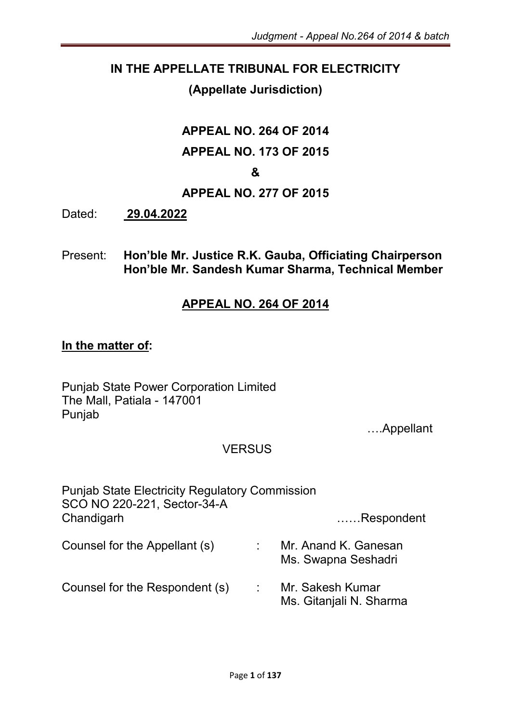#### IN THE APPELLATE TRIBUNAL FOR ELECTRICITY

#### (Appellate Jurisdiction)

# APPEAL NO. 264 OF 2014 APPEAL NO. 173 OF 2015

#### &

#### APPEAL NO. 277 OF 2015

Dated: 29.04.2022

Present: Hon'ble Mr. Justice R.K. Gauba, Officiating Chairperson Hon'ble Mr. Sandesh Kumar Sharma, Technical Member

#### APPEAL NO. 264 OF 2014

#### In the matter of:

Punjab State Power Corporation Limited The Mall, Patiala - 147001 Punjab

….Appellant

#### **VERSUS**

| <b>Punjab State Electricity Regulatory Commission</b><br>SCO NO 220-221, Sector-34-A |                                             |
|--------------------------------------------------------------------------------------|---------------------------------------------|
| Chandigarh                                                                           | Respondent                                  |
| Counsel for the Appellant (s)                                                        | Mr. Anand K. Ganesan<br>Ms. Swapna Seshadri |
| Counsel for the Respondent (s)                                                       | Mr. Sakesh Kumar<br>Ms. Gitanjali N. Sharma |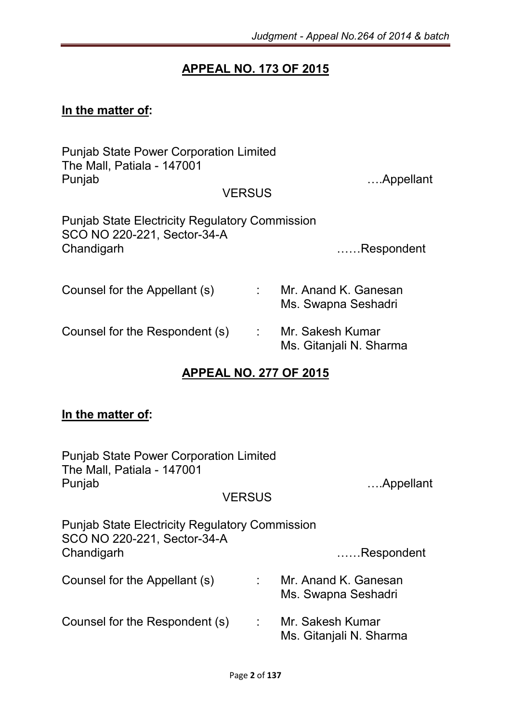### APPEAL NO. 173 OF 2015

# In the matter of:

| <b>Punjab State Power Corporation Limited</b><br>The Mall, Patiala - 147001<br>Punjab<br><b>VERSUS</b> | Appellant |                                             |
|--------------------------------------------------------------------------------------------------------|-----------|---------------------------------------------|
| <b>Punjab State Electricity Regulatory Commission</b><br>SCO NO 220-221, Sector-34-A<br>Chandigarh     |           | Respondent                                  |
| Counsel for the Appellant (s)                                                                          |           | Mr. Anand K. Ganesan<br>Ms. Swapna Seshadri |
| Counsel for the Respondent (s)                                                                         | ÷         | Mr. Sakesh Kumar<br>Ms. Gitanjali N. Sharma |

#### APPEAL NO. 277 OF 2015

# In the matter of:

| <b>Punjab State Power Corporation Limited</b><br>The Mall, Patiala - 147001<br>Punjab              |                            | Appellant                                   |
|----------------------------------------------------------------------------------------------------|----------------------------|---------------------------------------------|
|                                                                                                    | <b>VERSUS</b>              |                                             |
| <b>Punjab State Electricity Regulatory Commission</b><br>SCO NO 220-221, Sector-34-A<br>Chandigarh |                            | Respondent                                  |
| Counsel for the Appellant (s)                                                                      | $\mathcal{L}^{\text{max}}$ | Mr. Anand K. Ganesan<br>Ms. Swapna Seshadri |
| Counsel for the Respondent (s)                                                                     | <b>COLLEGE</b>             | Mr. Sakesh Kumar<br>Ms. Gitanjali N. Sharma |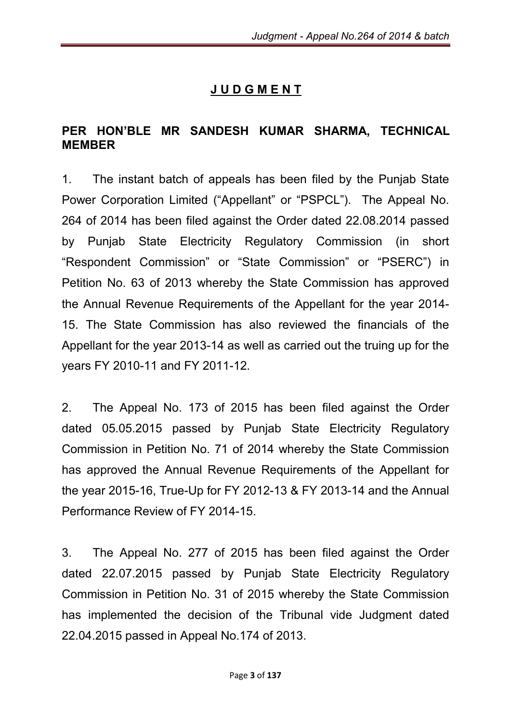# J U D G M E N T

#### PER HON'BLE MR SANDESH KUMAR SHARMA, TECHNICAL MEMBER

1. The instant batch of appeals has been filed by the Punjab State Power Corporation Limited ("Appellant" or "PSPCL"). The Appeal No. 264 of 2014 has been filed against the Order dated 22.08.2014 passed by Punjab State Electricity Regulatory Commission (in short "Respondent Commission" or "State Commission" or "PSERC") in Petition No. 63 of 2013 whereby the State Commission has approved the Annual Revenue Requirements of the Appellant for the year 2014- 15. The State Commission has also reviewed the financials of the Appellant for the year 2013-14 as well as carried out the truing up for the years FY 2010-11 and FY 2011-12.

2. The Appeal No. 173 of 2015 has been filed against the Order dated 05.05.2015 passed by Punjab State Electricity Regulatory Commission in Petition No. 71 of 2014 whereby the State Commission has approved the Annual Revenue Requirements of the Appellant for the year 2015-16, True-Up for FY 2012-13 & FY 2013-14 and the Annual Performance Review of FY 2014-15.

3. The Appeal No. 277 of 2015 has been filed against the Order dated 22.07.2015 passed by Punjab State Electricity Regulatory Commission in Petition No. 31 of 2015 whereby the State Commission has implemented the decision of the Tribunal vide Judgment dated 22.04.2015 passed in Appeal No.174 of 2013.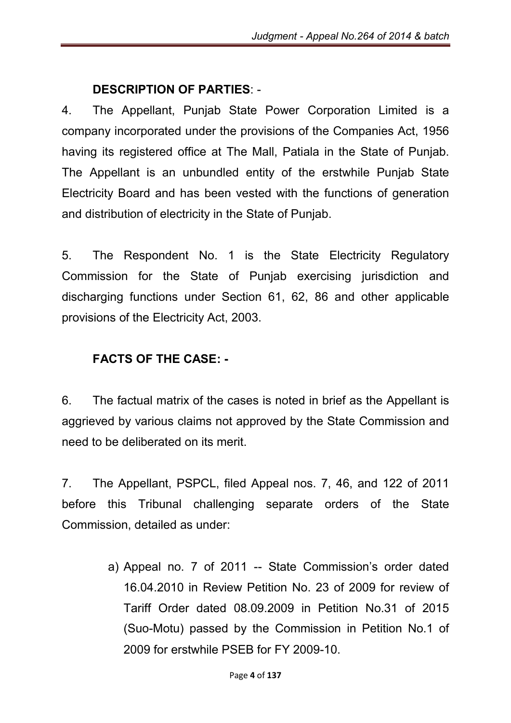#### DESCRIPTION OF PARTIES: -

4. The Appellant, Punjab State Power Corporation Limited is a company incorporated under the provisions of the Companies Act, 1956 having its registered office at The Mall, Patiala in the State of Punjab. The Appellant is an unbundled entity of the erstwhile Punjab State Electricity Board and has been vested with the functions of generation and distribution of electricity in the State of Punjab.

5. The Respondent No. 1 is the State Electricity Regulatory Commission for the State of Punjab exercising jurisdiction and discharging functions under Section 61, 62, 86 and other applicable provisions of the Electricity Act, 2003.

#### FACTS OF THE CASE: -

6. The factual matrix of the cases is noted in brief as the Appellant is aggrieved by various claims not approved by the State Commission and need to be deliberated on its merit.

7. The Appellant, PSPCL, filed Appeal nos. 7, 46, and 122 of 2011 before this Tribunal challenging separate orders of the State Commission, detailed as under:

> a) Appeal no. 7 of 2011 -- State Commission's order dated 16.04.2010 in Review Petition No. 23 of 2009 for review of Tariff Order dated 08.09.2009 in Petition No.31 of 2015 (Suo-Motu) passed by the Commission in Petition No.1 of 2009 for erstwhile PSEB for FY 2009-10.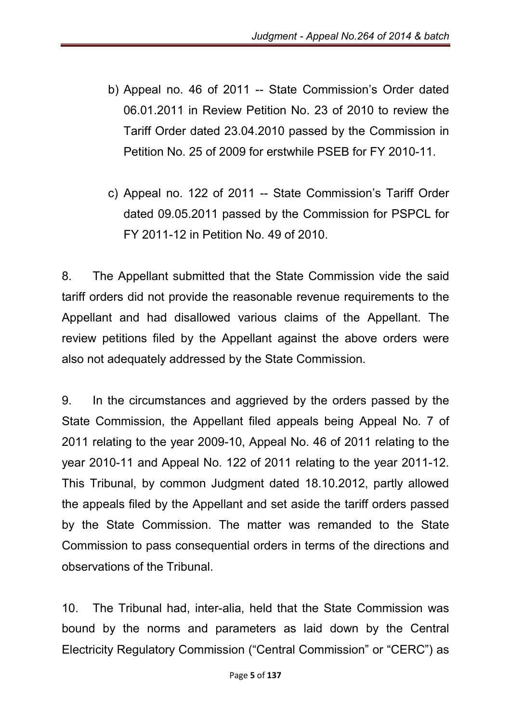- b) Appeal no. 46 of 2011 -- State Commission's Order dated 06.01.2011 in Review Petition No. 23 of 2010 to review the Tariff Order dated 23.04.2010 passed by the Commission in Petition No. 25 of 2009 for erstwhile PSEB for FY 2010-11.
- c) Appeal no. 122 of 2011 -- State Commission's Tariff Order dated 09.05.2011 passed by the Commission for PSPCL for FY 2011-12 in Petition No. 49 of 2010.

8. The Appellant submitted that the State Commission vide the said tariff orders did not provide the reasonable revenue requirements to the Appellant and had disallowed various claims of the Appellant. The review petitions filed by the Appellant against the above orders were also not adequately addressed by the State Commission.

9. In the circumstances and aggrieved by the orders passed by the State Commission, the Appellant filed appeals being Appeal No. 7 of 2011 relating to the year 2009-10, Appeal No. 46 of 2011 relating to the year 2010-11 and Appeal No. 122 of 2011 relating to the year 2011-12. This Tribunal, by common Judgment dated 18.10.2012, partly allowed the appeals filed by the Appellant and set aside the tariff orders passed by the State Commission. The matter was remanded to the State Commission to pass consequential orders in terms of the directions and observations of the Tribunal.

10. The Tribunal had, inter-alia, held that the State Commission was bound by the norms and parameters as laid down by the Central Electricity Regulatory Commission ("Central Commission" or "CERC") as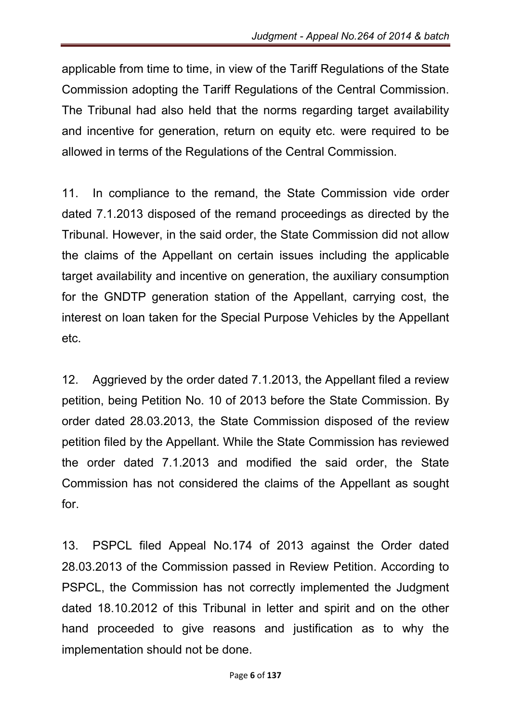applicable from time to time, in view of the Tariff Regulations of the State Commission adopting the Tariff Regulations of the Central Commission. The Tribunal had also held that the norms regarding target availability and incentive for generation, return on equity etc. were required to be allowed in terms of the Regulations of the Central Commission.

11. In compliance to the remand, the State Commission vide order dated 7.1.2013 disposed of the remand proceedings as directed by the Tribunal. However, in the said order, the State Commission did not allow the claims of the Appellant on certain issues including the applicable target availability and incentive on generation, the auxiliary consumption for the GNDTP generation station of the Appellant, carrying cost, the interest on loan taken for the Special Purpose Vehicles by the Appellant etc.

12. Aggrieved by the order dated 7.1.2013, the Appellant filed a review petition, being Petition No. 10 of 2013 before the State Commission. By order dated 28.03.2013, the State Commission disposed of the review petition filed by the Appellant. While the State Commission has reviewed the order dated 7.1.2013 and modified the said order, the State Commission has not considered the claims of the Appellant as sought for.

13. PSPCL filed Appeal No.174 of 2013 against the Order dated 28.03.2013 of the Commission passed in Review Petition. According to PSPCL, the Commission has not correctly implemented the Judgment dated 18.10.2012 of this Tribunal in letter and spirit and on the other hand proceeded to give reasons and justification as to why the implementation should not be done.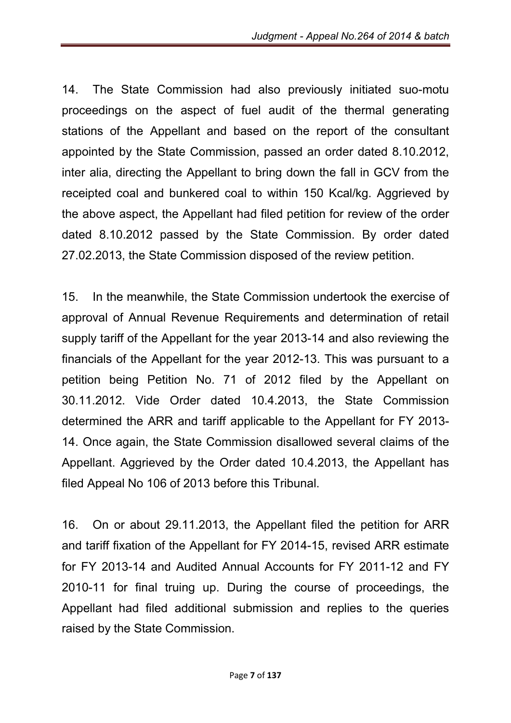14. The State Commission had also previously initiated suo-motu proceedings on the aspect of fuel audit of the thermal generating stations of the Appellant and based on the report of the consultant appointed by the State Commission, passed an order dated 8.10.2012, inter alia, directing the Appellant to bring down the fall in GCV from the receipted coal and bunkered coal to within 150 Kcal/kg. Aggrieved by the above aspect, the Appellant had filed petition for review of the order dated 8.10.2012 passed by the State Commission. By order dated 27.02.2013, the State Commission disposed of the review petition.

15. In the meanwhile, the State Commission undertook the exercise of approval of Annual Revenue Requirements and determination of retail supply tariff of the Appellant for the year 2013-14 and also reviewing the financials of the Appellant for the year 2012-13. This was pursuant to a petition being Petition No. 71 of 2012 filed by the Appellant on 30.11.2012. Vide Order dated 10.4.2013, the State Commission determined the ARR and tariff applicable to the Appellant for FY 2013- 14. Once again, the State Commission disallowed several claims of the Appellant. Aggrieved by the Order dated 10.4.2013, the Appellant has filed Appeal No 106 of 2013 before this Tribunal.

16. On or about 29.11.2013, the Appellant filed the petition for ARR and tariff fixation of the Appellant for FY 2014-15, revised ARR estimate for FY 2013-14 and Audited Annual Accounts for FY 2011-12 and FY 2010-11 for final truing up. During the course of proceedings, the Appellant had filed additional submission and replies to the queries raised by the State Commission.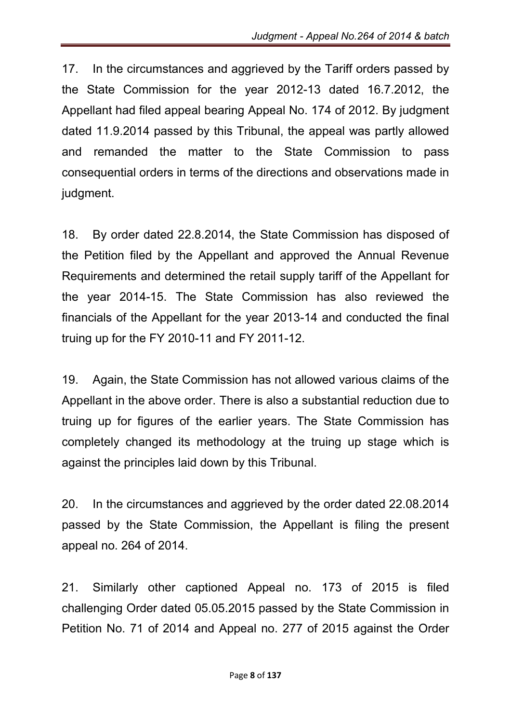17. In the circumstances and aggrieved by the Tariff orders passed by the State Commission for the year 2012-13 dated 16.7.2012, the Appellant had filed appeal bearing Appeal No. 174 of 2012. By judgment dated 11.9.2014 passed by this Tribunal, the appeal was partly allowed and remanded the matter to the State Commission to pass consequential orders in terms of the directions and observations made in judgment.

18. By order dated 22.8.2014, the State Commission has disposed of the Petition filed by the Appellant and approved the Annual Revenue Requirements and determined the retail supply tariff of the Appellant for the year 2014-15. The State Commission has also reviewed the financials of the Appellant for the year 2013-14 and conducted the final truing up for the FY 2010-11 and FY 2011-12.

19. Again, the State Commission has not allowed various claims of the Appellant in the above order. There is also a substantial reduction due to truing up for figures of the earlier years. The State Commission has completely changed its methodology at the truing up stage which is against the principles laid down by this Tribunal.

20. In the circumstances and aggrieved by the order dated 22.08.2014 passed by the State Commission, the Appellant is filing the present appeal no. 264 of 2014.

21. Similarly other captioned Appeal no. 173 of 2015 is filed challenging Order dated 05.05.2015 passed by the State Commission in Petition No. 71 of 2014 and Appeal no. 277 of 2015 against the Order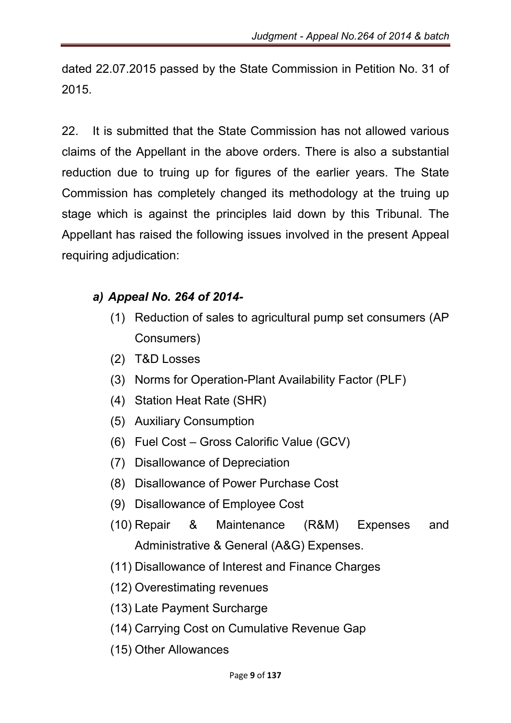dated 22.07.2015 passed by the State Commission in Petition No. 31 of 2015.

22. It is submitted that the State Commission has not allowed various claims of the Appellant in the above orders. There is also a substantial reduction due to truing up for figures of the earlier years. The State Commission has completely changed its methodology at the truing up stage which is against the principles laid down by this Tribunal. The Appellant has raised the following issues involved in the present Appeal requiring adjudication:

## *a) Appeal No. 264 of 2014-*

- (1) Reduction of sales to agricultural pump set consumers (AP Consumers)
- (2) T&D Losses
- (3) Norms for Operation-Plant Availability Factor (PLF)
- (4) Station Heat Rate (SHR)
- (5) Auxiliary Consumption
- (6) Fuel Cost Gross Calorific Value (GCV)
- (7) Disallowance of Depreciation
- (8) Disallowance of Power Purchase Cost
- (9) Disallowance of Employee Cost
- (10) Repair & Maintenance (R&M) Expenses and Administrative & General (A&G) Expenses.
- (11) Disallowance of Interest and Finance Charges
- (12) Overestimating revenues
- (13) Late Payment Surcharge
- (14) Carrying Cost on Cumulative Revenue Gap
- (15) Other Allowances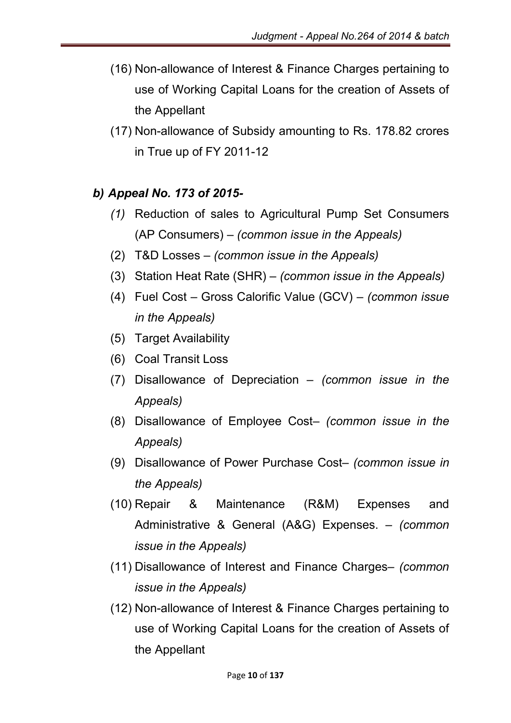- (16) Non-allowance of Interest & Finance Charges pertaining to use of Working Capital Loans for the creation of Assets of the Appellant
- (17) Non-allowance of Subsidy amounting to Rs. 178.82 crores in True up of FY 2011-12

### *b) Appeal No. 173 of 2015-*

- *(1)* Reduction of sales to Agricultural Pump Set Consumers (AP Consumers) – *(common issue in the Appeals)*
- (2) T&D Losses *– (common issue in the Appeals)*
- (3) Station Heat Rate (SHR) *(common issue in the Appeals)*
- (4) Fuel Cost Gross Calorific Value (GCV) *(common issue in the Appeals)*
- (5) Target Availability
- (6) Coal Transit Loss
- (7) Disallowance of Depreciation *(common issue in the Appeals)*
- (8) Disallowance of Employee Cost– *(common issue in the Appeals)*
- (9) Disallowance of Power Purchase Cost– *(common issue in the Appeals)*
- (10) Repair & Maintenance (R&M) Expenses and Administrative & General (A&G) Expenses. – *(common issue in the Appeals)*
- (11) Disallowance of Interest and Finance Charges– *(common issue in the Appeals)*
- (12) Non-allowance of Interest & Finance Charges pertaining to use of Working Capital Loans for the creation of Assets of the Appellant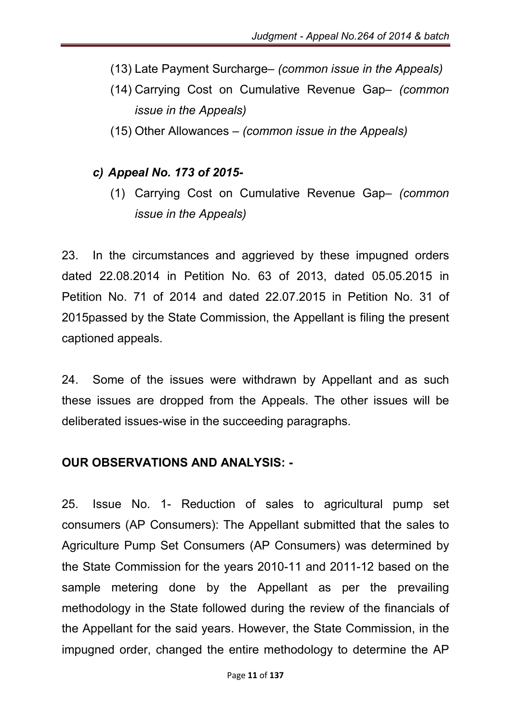- (13) Late Payment Surcharge– *(common issue in the Appeals)*
- (14) Carrying Cost on Cumulative Revenue Gap– *(common issue in the Appeals)*
- (15) Other Allowances *(common issue in the Appeals)*

#### *c) Appeal No. 173 of 2015-*

(1) Carrying Cost on Cumulative Revenue Gap– *(common issue in the Appeals)*

23. In the circumstances and aggrieved by these impugned orders dated 22.08.2014 in Petition No. 63 of 2013, dated 05.05.2015 in Petition No. 71 of 2014 and dated 22.07.2015 in Petition No. 31 of 2015passed by the State Commission, the Appellant is filing the present captioned appeals.

24. Some of the issues were withdrawn by Appellant and as such these issues are dropped from the Appeals. The other issues will be deliberated issues-wise in the succeeding paragraphs.

#### OUR OBSERVATIONS AND ANALYSIS: -

25. Issue No. 1- Reduction of sales to agricultural pump set consumers (AP Consumers): The Appellant submitted that the sales to Agriculture Pump Set Consumers (AP Consumers) was determined by the State Commission for the years 2010-11 and 2011-12 based on the sample metering done by the Appellant as per the prevailing methodology in the State followed during the review of the financials of the Appellant for the said years. However, the State Commission, in the impugned order, changed the entire methodology to determine the AP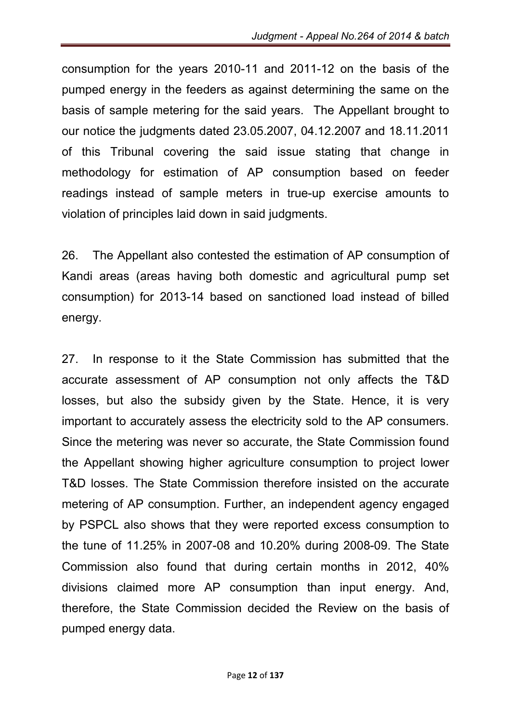consumption for the years 2010-11 and 2011-12 on the basis of the pumped energy in the feeders as against determining the same on the basis of sample metering for the said years. The Appellant brought to our notice the judgments dated 23.05.2007, 04.12.2007 and 18.11.2011 of this Tribunal covering the said issue stating that change in methodology for estimation of AP consumption based on feeder readings instead of sample meters in true-up exercise amounts to violation of principles laid down in said judgments.

26. The Appellant also contested the estimation of AP consumption of Kandi areas (areas having both domestic and agricultural pump set consumption) for 2013-14 based on sanctioned load instead of billed energy.

27. In response to it the State Commission has submitted that the accurate assessment of AP consumption not only affects the T&D losses, but also the subsidy given by the State. Hence, it is very important to accurately assess the electricity sold to the AP consumers. Since the metering was never so accurate, the State Commission found the Appellant showing higher agriculture consumption to project lower T&D losses. The State Commission therefore insisted on the accurate metering of AP consumption. Further, an independent agency engaged by PSPCL also shows that they were reported excess consumption to the tune of 11.25% in 2007-08 and 10.20% during 2008-09. The State Commission also found that during certain months in 2012, 40% divisions claimed more AP consumption than input energy. And, therefore, the State Commission decided the Review on the basis of pumped energy data.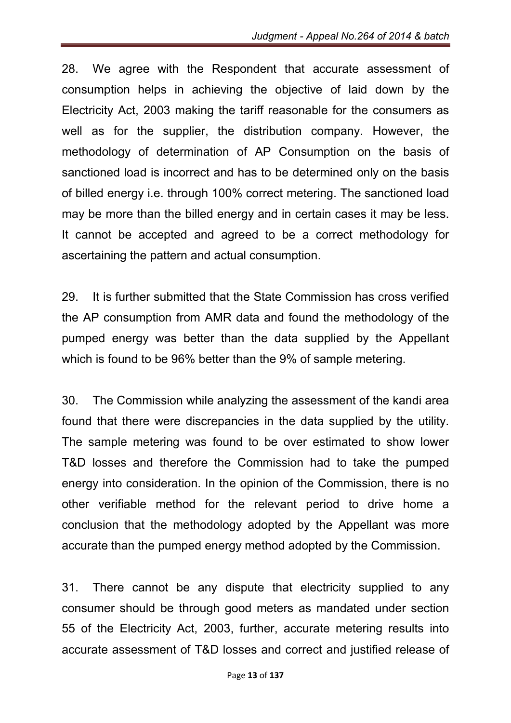28. We agree with the Respondent that accurate assessment of consumption helps in achieving the objective of laid down by the Electricity Act, 2003 making the tariff reasonable for the consumers as well as for the supplier, the distribution company. However, the methodology of determination of AP Consumption on the basis of sanctioned load is incorrect and has to be determined only on the basis of billed energy i.e. through 100% correct metering. The sanctioned load may be more than the billed energy and in certain cases it may be less. It cannot be accepted and agreed to be a correct methodology for ascertaining the pattern and actual consumption.

29. It is further submitted that the State Commission has cross verified the AP consumption from AMR data and found the methodology of the pumped energy was better than the data supplied by the Appellant which is found to be 96% better than the 9% of sample metering.

30. The Commission while analyzing the assessment of the kandi area found that there were discrepancies in the data supplied by the utility. The sample metering was found to be over estimated to show lower T&D losses and therefore the Commission had to take the pumped energy into consideration. In the opinion of the Commission, there is no other verifiable method for the relevant period to drive home a conclusion that the methodology adopted by the Appellant was more accurate than the pumped energy method adopted by the Commission.

31. There cannot be any dispute that electricity supplied to any consumer should be through good meters as mandated under section 55 of the Electricity Act, 2003, further, accurate metering results into accurate assessment of T&D losses and correct and justified release of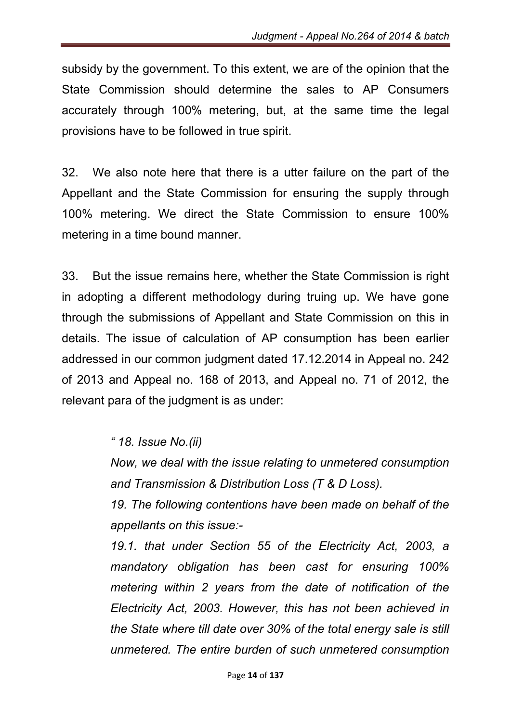subsidy by the government. To this extent, we are of the opinion that the State Commission should determine the sales to AP Consumers accurately through 100% metering, but, at the same time the legal provisions have to be followed in true spirit.

32. We also note here that there is a utter failure on the part of the Appellant and the State Commission for ensuring the supply through 100% metering. We direct the State Commission to ensure 100% metering in a time bound manner.

33. But the issue remains here, whether the State Commission is right in adopting a different methodology during truing up. We have gone through the submissions of Appellant and State Commission on this in details. The issue of calculation of AP consumption has been earlier addressed in our common judgment dated 17.12.2014 in Appeal no. 242 of 2013 and Appeal no. 168 of 2013, and Appeal no. 71 of 2012, the relevant para of the judgment is as under:

#### *" 18. Issue No.(ii)*

*Now, we deal with the issue relating to unmetered consumption and Transmission & Distribution Loss (T & D Loss).*

*19. The following contentions have been made on behalf of the appellants on this issue:-*

*19.1. that under Section 55 of the Electricity Act, 2003, a mandatory obligation has been cast for ensuring 100% metering within 2 years from the date of notification of the Electricity Act, 2003. However, this has not been achieved in the State where till date over 30% of the total energy sale is still unmetered. The entire burden of such unmetered consumption*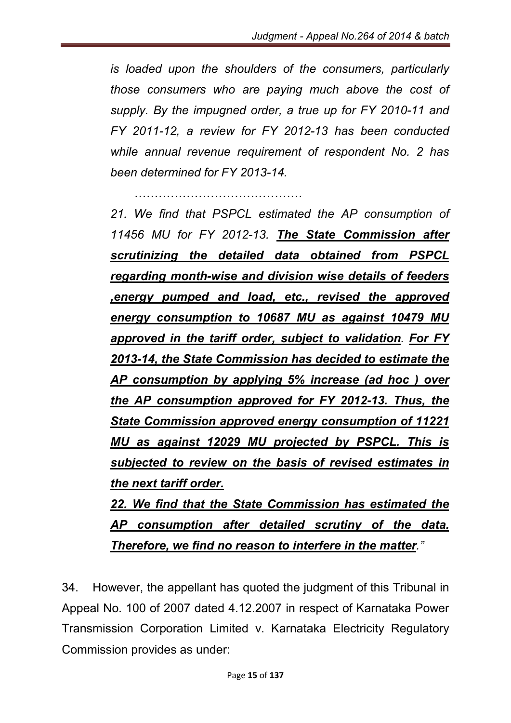*is loaded upon the shoulders of the consumers, particularly those consumers who are paying much above the cost of supply. By the impugned order, a true up for FY 2010-11 and FY 2011-12, a review for FY 2012-13 has been conducted while annual revenue requirement of respondent No. 2 has been determined for FY 2013-14.*

 *……………………………………*

*21. We find that PSPCL estimated the AP consumption of 11456 MU for FY 2012-13. The State Commission after scrutinizing the detailed data obtained from PSPCL regarding month-wise and division wise details of feeders ,energy pumped and load, etc., revised the approved energy consumption to 10687 MU as against 10479 MU approved in the tariff order, subject to validation. For FY 2013-14, the State Commission has decided to estimate the AP consumption by applying 5% increase (ad hoc ) over the AP consumption approved for FY 2012-13. Thus, the State Commission approved energy consumption of 11221 MU as against 12029 MU projected by PSPCL. This is subjected to review on the basis of revised estimates in the next tariff order.*

*22. We find that the State Commission has estimated the AP consumption after detailed scrutiny of the data. Therefore, we find no reason to interfere in the matter."*

34. However, the appellant has quoted the judgment of this Tribunal in Appeal No. 100 of 2007 dated 4.12.2007 in respect of Karnataka Power Transmission Corporation Limited v. Karnataka Electricity Regulatory Commission provides as under: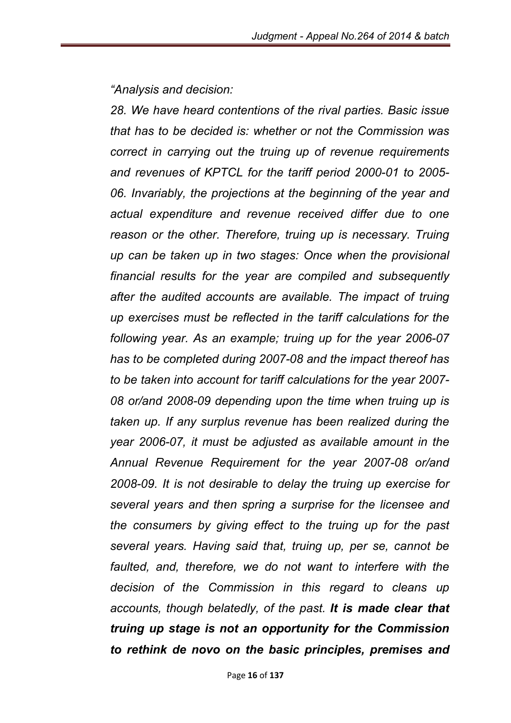*"Analysis and decision:* 

*28. We have heard contentions of the rival parties. Basic issue that has to be decided is: whether or not the Commission was correct in carrying out the truing up of revenue requirements and revenues of KPTCL for the tariff period 2000-01 to 2005- 06. Invariably, the projections at the beginning of the year and actual expenditure and revenue received differ due to one reason or the other. Therefore, truing up is necessary. Truing up can be taken up in two stages: Once when the provisional financial results for the year are compiled and subsequently after the audited accounts are available. The impact of truing up exercises must be reflected in the tariff calculations for the following year. As an example; truing up for the year 2006-07 has to be completed during 2007-08 and the impact thereof has to be taken into account for tariff calculations for the year 2007- 08 or/and 2008-09 depending upon the time when truing up is taken up. If any surplus revenue has been realized during the year 2006-07, it must be adjusted as available amount in the Annual Revenue Requirement for the year 2007-08 or/and 2008-09. It is not desirable to delay the truing up exercise for several years and then spring a surprise for the licensee and the consumers by giving effect to the truing up for the past several years. Having said that, truing up, per se, cannot be*  faulted, and, therefore, we do not want to interfere with the *decision of the Commission in this regard to cleans up accounts, though belatedly, of the past. It is made clear that truing up stage is not an opportunity for the Commission to rethink de novo on the basic principles, premises and*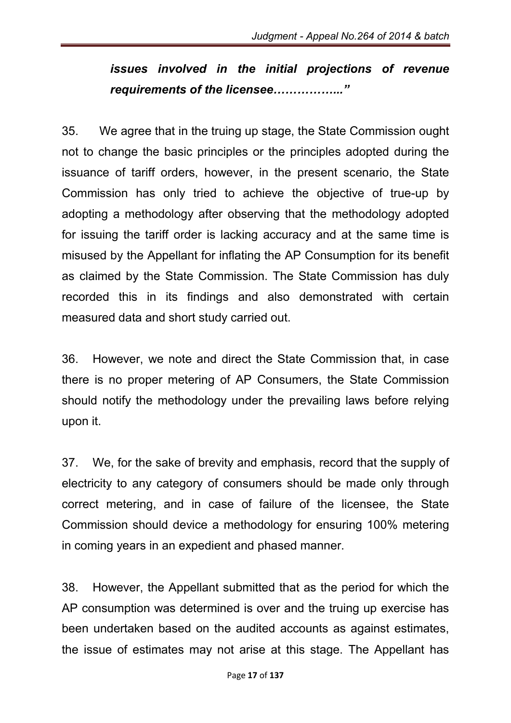# *issues involved in the initial projections of revenue requirements of the licensee……………..."*

35. We agree that in the truing up stage, the State Commission ought not to change the basic principles or the principles adopted during the issuance of tariff orders, however, in the present scenario, the State Commission has only tried to achieve the objective of true-up by adopting a methodology after observing that the methodology adopted for issuing the tariff order is lacking accuracy and at the same time is misused by the Appellant for inflating the AP Consumption for its benefit as claimed by the State Commission. The State Commission has duly recorded this in its findings and also demonstrated with certain measured data and short study carried out.

36. However, we note and direct the State Commission that, in case there is no proper metering of AP Consumers, the State Commission should notify the methodology under the prevailing laws before relying upon it.

37. We, for the sake of brevity and emphasis, record that the supply of electricity to any category of consumers should be made only through correct metering, and in case of failure of the licensee, the State Commission should device a methodology for ensuring 100% metering in coming years in an expedient and phased manner.

38. However, the Appellant submitted that as the period for which the AP consumption was determined is over and the truing up exercise has been undertaken based on the audited accounts as against estimates, the issue of estimates may not arise at this stage. The Appellant has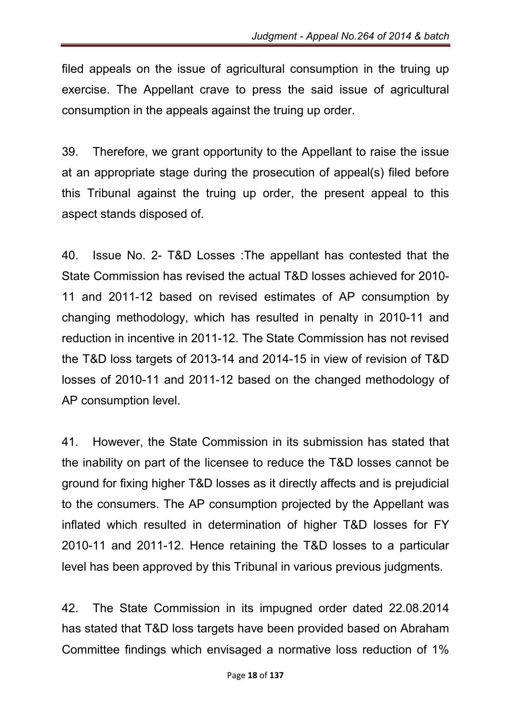filed appeals on the issue of agricultural consumption in the truing up exercise. The Appellant crave to press the said issue of agricultural consumption in the appeals against the truing up order.

39. Therefore, we grant opportunity to the Appellant to raise the issue at an appropriate stage during the prosecution of appeal(s) filed before this Tribunal against the truing up order, the present appeal to this aspect stands disposed of.

40. Issue No. 2- T&D Losses :The appellant has contested that the State Commission has revised the actual T&D losses achieved for 2010- 11 and 2011-12 based on revised estimates of AP consumption by changing methodology, which has resulted in penalty in 2010-11 and reduction in incentive in 2011-12. The State Commission has not revised the T&D loss targets of 2013-14 and 2014-15 in view of revision of T&D losses of 2010-11 and 2011-12 based on the changed methodology of AP consumption level.

41. However, the State Commission in its submission has stated that the inability on part of the licensee to reduce the T&D losses cannot be ground for fixing higher T&D losses as it directly affects and is prejudicial to the consumers. The AP consumption projected by the Appellant was inflated which resulted in determination of higher T&D losses for FY 2010-11 and 2011-12. Hence retaining the T&D losses to a particular level has been approved by this Tribunal in various previous judgments.

42. The State Commission in its impugned order dated 22.08.2014 has stated that T&D loss targets have been provided based on Abraham Committee findings which envisaged a normative loss reduction of 1%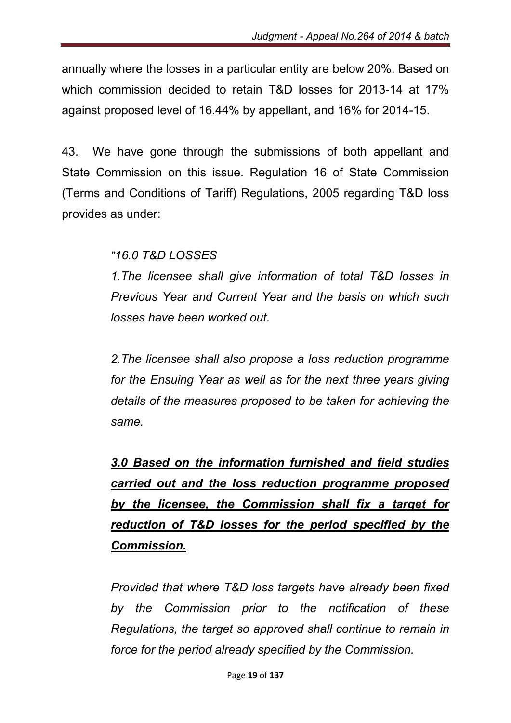annually where the losses in a particular entity are below 20%. Based on which commission decided to retain T&D losses for 2013-14 at 17% against proposed level of 16.44% by appellant, and 16% for 2014-15.

43. We have gone through the submissions of both appellant and State Commission on this issue. Regulation 16 of State Commission (Terms and Conditions of Tariff) Regulations, 2005 regarding T&D loss provides as under:

*"16.0 T&D LOSSES*

*1.The licensee shall give information of total T&D losses in Previous Year and Current Year and the basis on which such losses have been worked out.*

*2.The licensee shall also propose a loss reduction programme for the Ensuing Year as well as for the next three years giving details of the measures proposed to be taken for achieving the same.*

*3.0 Based on the information furnished and field studies carried out and the loss reduction programme proposed by the licensee, the Commission shall fix a target for reduction of T&D losses for the period specified by the Commission.*

*Provided that where T&D loss targets have already been fixed by the Commission prior to the notification of these Regulations, the target so approved shall continue to remain in force for the period already specified by the Commission.*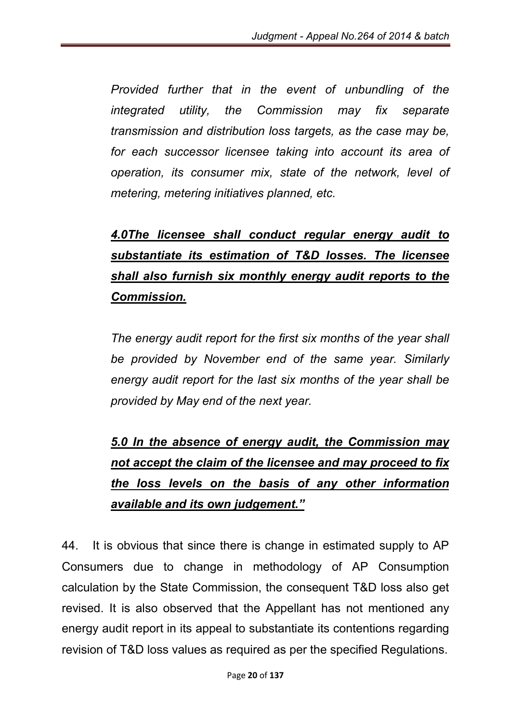*Provided further that in the event of unbundling of the integrated utility, the Commission may fix separate transmission and distribution loss targets, as the case may be, for each successor licensee taking into account its area of operation, its consumer mix, state of the network, level of metering, metering initiatives planned, etc.*

# *4.0The licensee shall conduct regular energy audit to substantiate its estimation of T&D losses. The licensee shall also furnish six monthly energy audit reports to the Commission.*

*The energy audit report for the first six months of the year shall be provided by November end of the same year. Similarly energy audit report for the last six months of the year shall be provided by May end of the next year.*

# *5.0 In the absence of energy audit, the Commission may not accept the claim of the licensee and may proceed to fix the loss levels on the basis of any other information available and its own judgement."*

44. It is obvious that since there is change in estimated supply to AP Consumers due to change in methodology of AP Consumption calculation by the State Commission, the consequent T&D loss also get revised. It is also observed that the Appellant has not mentioned any energy audit report in its appeal to substantiate its contentions regarding revision of T&D loss values as required as per the specified Regulations.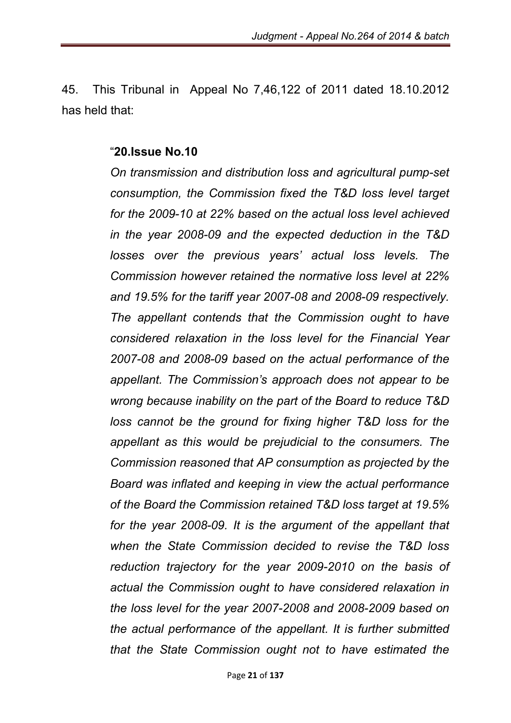45. This Tribunal in Appeal No 7,46,122 of 2011 dated 18.10.2012 has held that:

#### "20.Issue No.10

*On transmission and distribution loss and agricultural pump-set consumption, the Commission fixed the T&D loss level target for the 2009-10 at 22% based on the actual loss level achieved in the year 2008-09 and the expected deduction in the T&D losses over the previous years' actual loss levels. The Commission however retained the normative loss level at 22% and 19.5% for the tariff year 2007-08 and 2008-09 respectively. The appellant contends that the Commission ought to have considered relaxation in the loss level for the Financial Year 2007-08 and 2008-09 based on the actual performance of the appellant. The Commission's approach does not appear to be wrong because inability on the part of the Board to reduce T&D loss cannot be the ground for fixing higher T&D loss for the appellant as this would be prejudicial to the consumers. The Commission reasoned that AP consumption as projected by the Board was inflated and keeping in view the actual performance of the Board the Commission retained T&D loss target at 19.5% for the year 2008-09. It is the argument of the appellant that when the State Commission decided to revise the T&D loss reduction trajectory for the year 2009-2010 on the basis of actual the Commission ought to have considered relaxation in the loss level for the year 2007-2008 and 2008-2009 based on the actual performance of the appellant. It is further submitted that the State Commission ought not to have estimated the*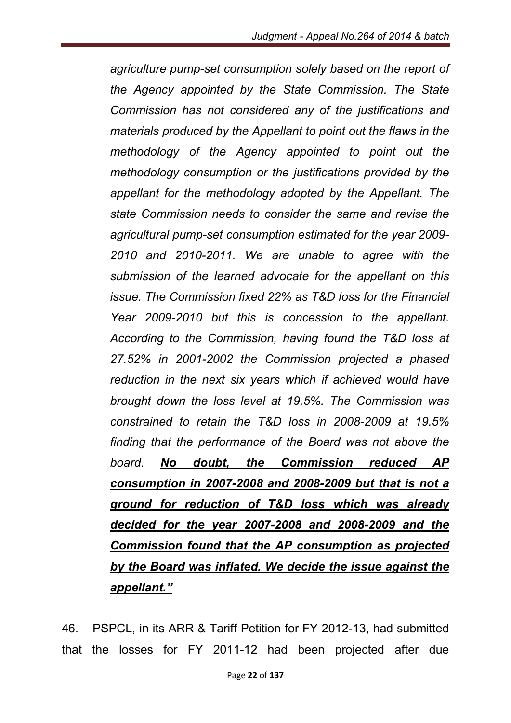*agriculture pump-set consumption solely based on the report of the Agency appointed by the State Commission. The State Commission has not considered any of the justifications and materials produced by the Appellant to point out the flaws in the methodology of the Agency appointed to point out the methodology consumption or the justifications provided by the appellant for the methodology adopted by the Appellant. The state Commission needs to consider the same and revise the agricultural pump-set consumption estimated for the year 2009- 2010 and 2010-2011. We are unable to agree with the submission of the learned advocate for the appellant on this issue. The Commission fixed 22% as T&D loss for the Financial Year 2009-2010 but this is concession to the appellant. According to the Commission, having found the T&D loss at 27.52% in 2001-2002 the Commission projected a phased reduction in the next six years which if achieved would have brought down the loss level at 19.5%. The Commission was constrained to retain the T&D loss in 2008-2009 at 19.5% finding that the performance of the Board was not above the board. No doubt, the Commission reduced AP consumption in 2007-2008 and 2008-2009 but that is not a ground for reduction of T&D loss which was already decided for the year 2007-2008 and 2008-2009 and the Commission found that the AP consumption as projected by the Board was inflated. We decide the issue against the appellant."*

46. PSPCL, in its ARR & Tariff Petition for FY 2012-13, had submitted that the losses for FY 2011-12 had been projected after due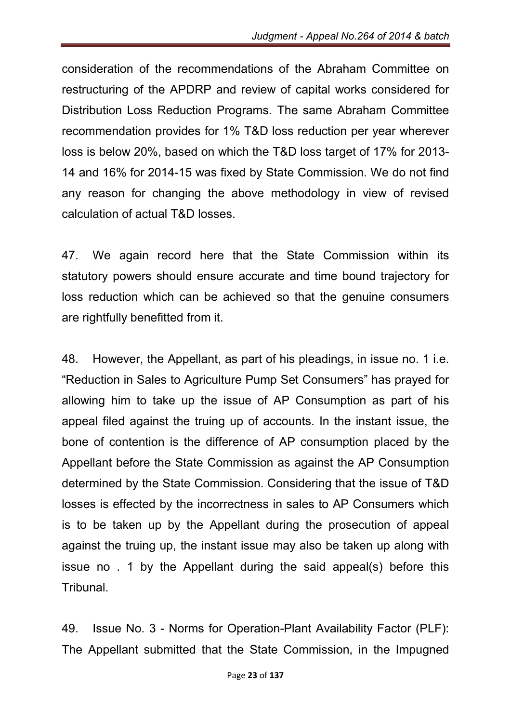consideration of the recommendations of the Abraham Committee on restructuring of the APDRP and review of capital works considered for Distribution Loss Reduction Programs. The same Abraham Committee recommendation provides for 1% T&D loss reduction per year wherever loss is below 20%, based on which the T&D loss target of 17% for 2013- 14 and 16% for 2014-15 was fixed by State Commission. We do not find any reason for changing the above methodology in view of revised calculation of actual T&D losses.

47. We again record here that the State Commission within its statutory powers should ensure accurate and time bound trajectory for loss reduction which can be achieved so that the genuine consumers are rightfully benefitted from it.

48. However, the Appellant, as part of his pleadings, in issue no. 1 i.e. "Reduction in Sales to Agriculture Pump Set Consumers" has prayed for allowing him to take up the issue of AP Consumption as part of his appeal filed against the truing up of accounts. In the instant issue, the bone of contention is the difference of AP consumption placed by the Appellant before the State Commission as against the AP Consumption determined by the State Commission. Considering that the issue of T&D losses is effected by the incorrectness in sales to AP Consumers which is to be taken up by the Appellant during the prosecution of appeal against the truing up, the instant issue may also be taken up along with issue no . 1 by the Appellant during the said appeal(s) before this Tribunal.

49. Issue No. 3 - Norms for Operation-Plant Availability Factor (PLF): The Appellant submitted that the State Commission, in the Impugned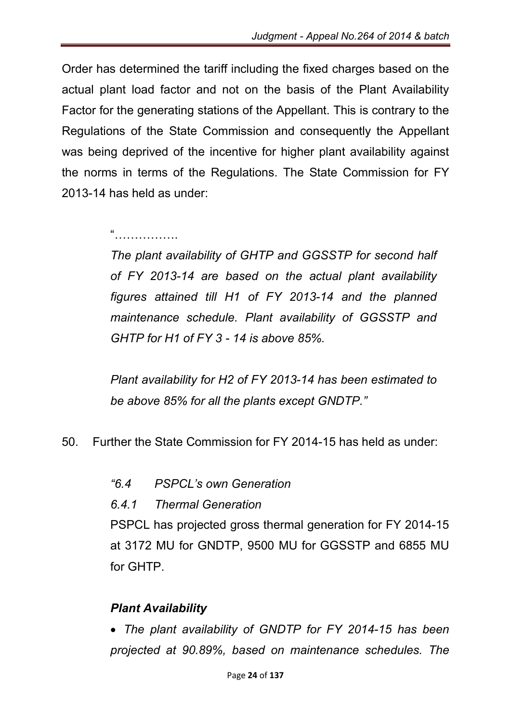Order has determined the tariff including the fixed charges based on the actual plant load factor and not on the basis of the Plant Availability Factor for the generating stations of the Appellant. This is contrary to the Regulations of the State Commission and consequently the Appellant was being deprived of the incentive for higher plant availability against the norms in terms of the Regulations. The State Commission for FY 2013-14 has held as under:

#### "…………………

*The plant availability of GHTP and GGSSTP for second half of FY 2013-14 are based on the actual plant availability figures attained till H1 of FY 2013-14 and the planned maintenance schedule. Plant availability of GGSSTP and GHTP for H1 of FY 3 - 14 is above 85%.*

*Plant availability for H2 of FY 2013-14 has been estimated to be above 85% for all the plants except GNDTP."*

- 50. Further the State Commission for FY 2014-15 has held as under:
	- *"6.4 PSPCL's own Generation*
	- *6.4.1 Thermal Generation*

PSPCL has projected gross thermal generation for FY 2014-15 at 3172 MU for GNDTP, 9500 MU for GGSSTP and 6855 MU for GHTP.

### *Plant Availability*

 *The plant availability of GNDTP for FY 2014-15 has been projected at 90.89%, based on maintenance schedules. The*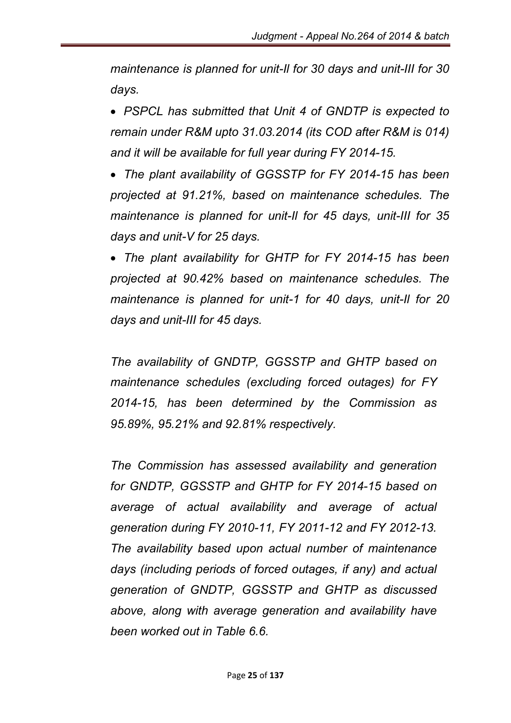*maintenance is planned for unit-Il for 30 days and unit-III for 30 days.*

 *PSPCL has submitted that Unit 4 of GNDTP is expected to remain under R&M upto 31.03.2014 (its COD after R&M is 014) and it will be available for full year during FY 2014-15.*

 *The plant availability of GGSSTP for FY 2014-15 has been projected at 91.21%, based on maintenance schedules. The maintenance is planned for unit-Il for 45 days, unit-III for 35 days and unit-V for 25 days.*

 *The plant availability for GHTP for FY 2014-15 has been projected at 90.42% based on maintenance schedules. The maintenance is planned for unit-1 for 40 days, unit-Il for 20 days and unit-III for 45 days.*

*The availability of GNDTP, GGSSTP and GHTP based on maintenance schedules (excluding forced outages) for FY 2014-15, has been determined by the Commission as 95.89%, 95.21% and 92.81% respectively.*

*The Commission has assessed availability and generation for GNDTP, GGSSTP and GHTP for FY 2014-15 based on average of actual availability and average of actual generation during FY 2010-11, FY 2011-12 and FY 2012-13. The availability based upon actual number of maintenance days (including periods of forced outages, if any) and actual generation of GNDTP, GGSSTP and GHTP as discussed above, along with average generation and availability have been worked out in Table 6.6.*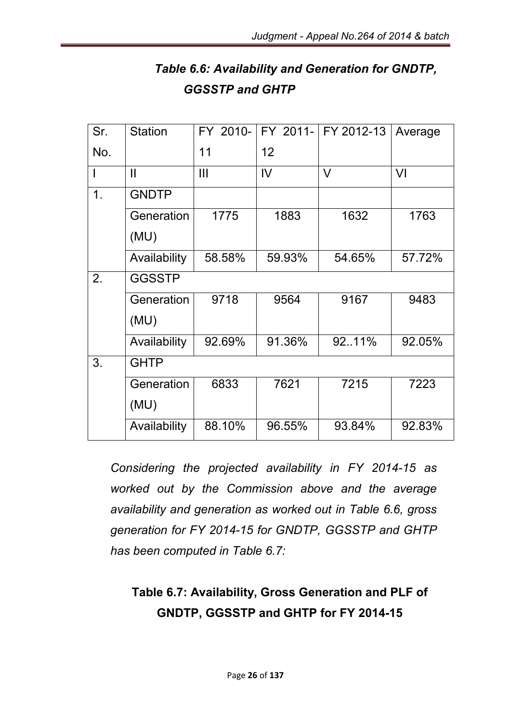| Table 6.6: Availability and Generation for GNDTP, |  |
|---------------------------------------------------|--|
| <b>GGSSTP and GHTP</b>                            |  |

| Sr. | <b>Station</b> | FY 2010- | FY 2011-       | FY 2012-13 | Average |  |
|-----|----------------|----------|----------------|------------|---------|--|
| No. |                | 11       | 12             |            |         |  |
|     | $\mathbf{II}$  | III      | $\overline{V}$ | $\vee$     | VI      |  |
| 1.  | <b>GNDTP</b>   |          |                |            |         |  |
|     | Generation     | 1775     | 1883           | 1632       | 1763    |  |
|     | (MU)           |          |                |            |         |  |
|     | Availability   | 58.58%   | 59.93%         | 54.65%     | 57.72%  |  |
| 2.  | <b>GGSSTP</b>  |          |                |            |         |  |
|     | Generation     | 9718     | 9564           | 9167       | 9483    |  |
|     | (MU)           |          |                |            |         |  |
|     | Availability   | 92.69%   | 91.36%         | 9211%      | 92.05%  |  |
| 3.  | <b>GHTP</b>    |          |                |            |         |  |
|     | Generation     | 6833     | 7621           | 7215       | 7223    |  |
|     | (MU)           |          |                |            |         |  |
|     | Availability   | 88.10%   | 96.55%         | 93.84%     | 92.83%  |  |

*Considering the projected availability in FY 2014-15 as worked out by the Commission above and the average availability and generation as worked out in Table 6.6, gross generation for FY 2014-15 for GNDTP, GGSSTP and GHTP has been computed in Table 6.7:*

# Table 6.7: Availability, Gross Generation and PLF of GNDTP, GGSSTP and GHTP for FY 2014-15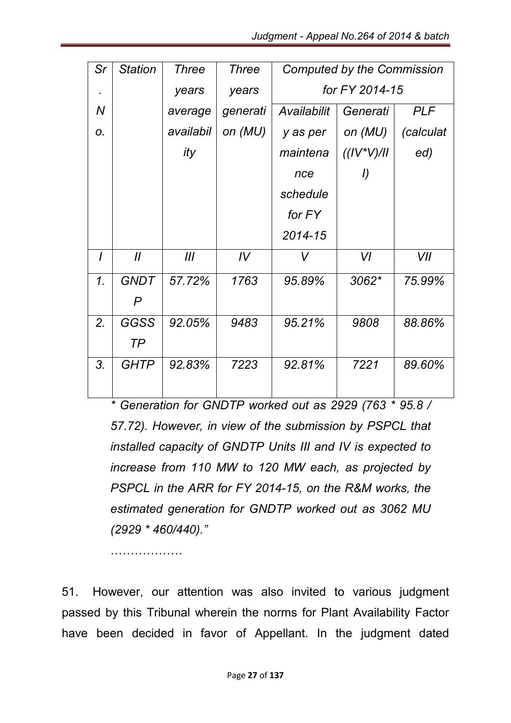| Sr       | <b>Station</b> | <b>Three</b> | <b>Three</b> | <b>Computed by the Commission</b> |                |            |  |
|----------|----------------|--------------|--------------|-----------------------------------|----------------|------------|--|
|          |                | years        | years        | for FY 2014-15                    |                |            |  |
| N        |                | average      | generati     | Availabilit<br>Generati           |                | <b>PLF</b> |  |
| 0.       |                | availabil    | on (MU)      | y as per                          | on (MU)        | (calculat  |  |
|          |                | ity          |              | maintena                          | $((IV^*V)/II)$ | ed)        |  |
|          |                |              |              | nce                               | I)             |            |  |
|          |                |              |              | schedule                          |                |            |  |
|          |                |              |              | for FY                            |                |            |  |
|          |                |              |              | 2014-15                           |                |            |  |
| $\prime$ | $\mathcal{U}$  | III          | IV           | V                                 | VI             | VII        |  |
| 1.       | <b>GNDT</b>    | 57.72%       | 1763         | 95.89%                            | 3062*          | 75.99%     |  |
|          | P              |              |              |                                   |                |            |  |
| 2.       | GGSS           | 92.05%       | 9483         | 95.21%                            | 9808           | 88.86%     |  |
|          | TP             |              |              |                                   |                |            |  |
| 3.       | <b>GHTP</b>    | 92.83%       | 7223         | 92.81%                            | 7221           | 89.60%     |  |
|          |                |              |              |                                   |                |            |  |

*\* Generation for GNDTP worked out as 2929 (763 \* 95.8 / 57.72). However, in view of the submission by PSPCL that installed capacity of GNDTP Units III and IV is expected to increase from 110 MW to 120 MW each, as projected by PSPCL in the ARR for FY 2014-15, on the R&M works, the estimated generation for GNDTP worked out as 3062 MU (2929 \* 460/440)."*

………………

51. However, our attention was also invited to various judgment passed by this Tribunal wherein the norms for Plant Availability Factor have been decided in favor of Appellant. In the judgment dated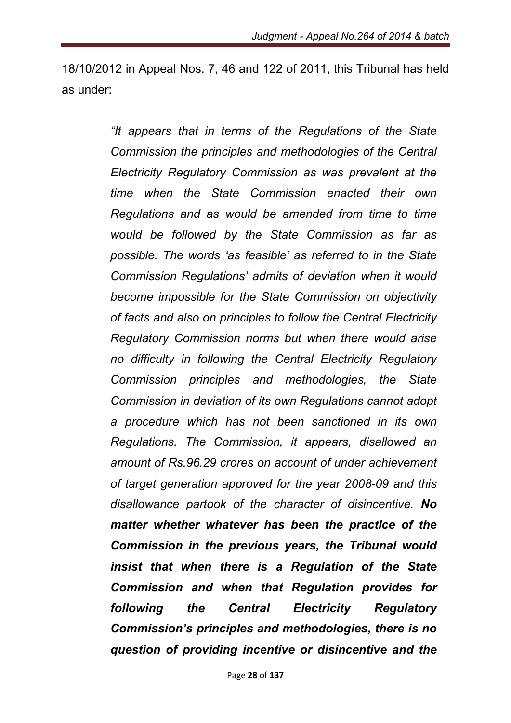18/10/2012 in Appeal Nos. 7, 46 and 122 of 2011, this Tribunal has held as under:

> *"It appears that in terms of the Regulations of the State Commission the principles and methodologies of the Central Electricity Regulatory Commission as was prevalent at the time when the State Commission enacted their own Regulations and as would be amended from time to time would be followed by the State Commission as far as possible. The words 'as feasible' as referred to in the State Commission Regulations' admits of deviation when it would become impossible for the State Commission on objectivity of facts and also on principles to follow the Central Electricity Regulatory Commission norms but when there would arise no difficulty in following the Central Electricity Regulatory Commission principles and methodologies, the State Commission in deviation of its own Regulations cannot adopt a procedure which has not been sanctioned in its own Regulations. The Commission, it appears, disallowed an amount of Rs.96.29 crores on account of under achievement of target generation approved for the year 2008-09 and this disallowance partook of the character of disincentive. No matter whether whatever has been the practice of the Commission in the previous years, the Tribunal would insist that when there is a Regulation of the State Commission and when that Regulation provides for following the Central Electricity Regulatory Commission's principles and methodologies, there is no question of providing incentive or disincentive and the*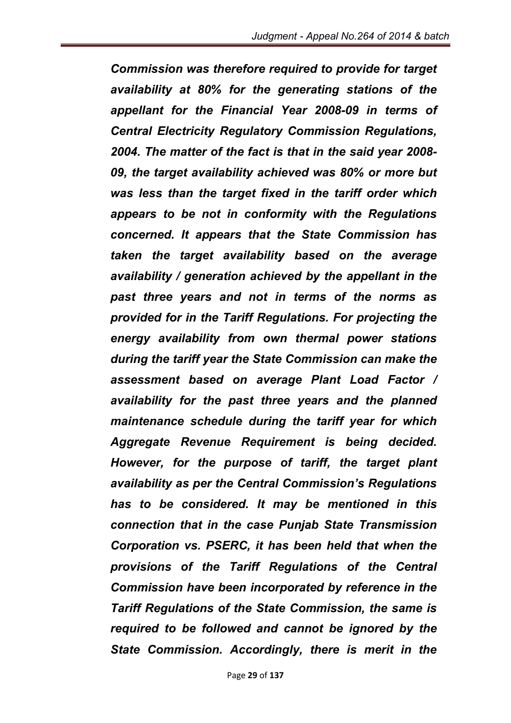*Commission was therefore required to provide for target availability at 80% for the generating stations of the appellant for the Financial Year 2008-09 in terms of Central Electricity Regulatory Commission Regulations, 2004. The matter of the fact is that in the said year 2008- 09, the target availability achieved was 80% or more but was less than the target fixed in the tariff order which appears to be not in conformity with the Regulations concerned. It appears that the State Commission has taken the target availability based on the average availability / generation achieved by the appellant in the past three years and not in terms of the norms as provided for in the Tariff Regulations. For projecting the energy availability from own thermal power stations during the tariff year the State Commission can make the assessment based on average Plant Load Factor / availability for the past three years and the planned maintenance schedule during the tariff year for which Aggregate Revenue Requirement is being decided. However, for the purpose of tariff, the target plant availability as per the Central Commission's Regulations has to be considered. It may be mentioned in this connection that in the case Punjab State Transmission Corporation vs. PSERC, it has been held that when the provisions of the Tariff Regulations of the Central Commission have been incorporated by reference in the Tariff Regulations of the State Commission, the same is required to be followed and cannot be ignored by the State Commission. Accordingly, there is merit in the*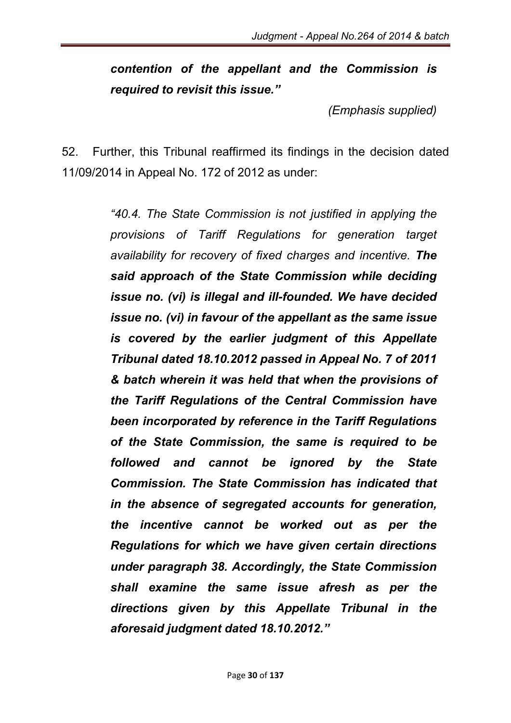*contention of the appellant and the Commission is required to revisit this issue."*

*(Emphasis supplied)*

52. Further, this Tribunal reaffirmed its findings in the decision dated 11/09/2014 in Appeal No. 172 of 2012 as under:

> *"40.4. The State Commission is not justified in applying the provisions of Tariff Regulations for generation target availability for recovery of fixed charges and incentive. The said approach of the State Commission while deciding issue no. (vi) is illegal and ill-founded. We have decided issue no. (vi) in favour of the appellant as the same issue is covered by the earlier judgment of this Appellate Tribunal dated 18.10.2012 passed in Appeal No. 7 of 2011 & batch wherein it was held that when the provisions of the Tariff Regulations of the Central Commission have been incorporated by reference in the Tariff Regulations of the State Commission, the same is required to be followed and cannot be ignored by the State Commission. The State Commission has indicated that in the absence of segregated accounts for generation, the incentive cannot be worked out as per the Regulations for which we have given certain directions under paragraph 38. Accordingly, the State Commission shall examine the same issue afresh as per the directions given by this Appellate Tribunal in the aforesaid judgment dated 18.10.2012."*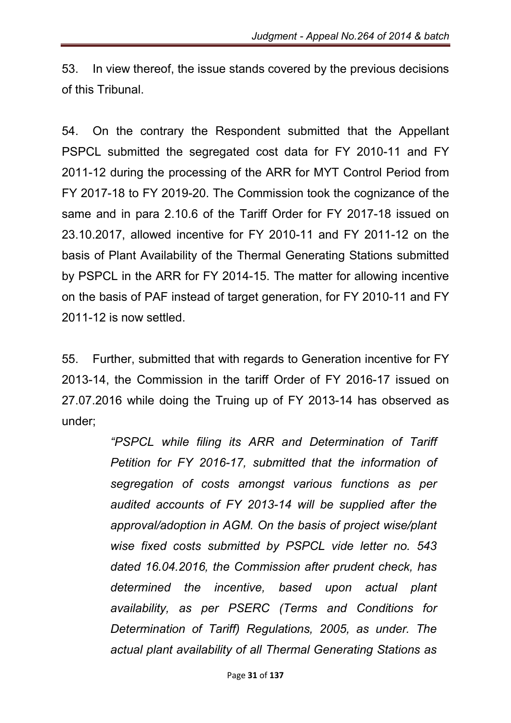53. In view thereof, the issue stands covered by the previous decisions of this Tribunal.

54. On the contrary the Respondent submitted that the Appellant PSPCL submitted the segregated cost data for FY 2010-11 and FY 2011-12 during the processing of the ARR for MYT Control Period from FY 2017-18 to FY 2019-20. The Commission took the cognizance of the same and in para 2.10.6 of the Tariff Order for FY 2017-18 issued on 23.10.2017, allowed incentive for FY 2010-11 and FY 2011-12 on the basis of Plant Availability of the Thermal Generating Stations submitted by PSPCL in the ARR for FY 2014-15. The matter for allowing incentive on the basis of PAF instead of target generation, for FY 2010-11 and FY 2011-12 is now settled.

55. Further, submitted that with regards to Generation incentive for FY 2013-14, the Commission in the tariff Order of FY 2016-17 issued on 27.07.2016 while doing the Truing up of FY 2013-14 has observed as under;

> *"PSPCL while filing its ARR and Determination of Tariff Petition for FY 2016-17, submitted that the information of segregation of costs amongst various functions as per audited accounts of FY 2013-14 will be supplied after the approval/adoption in AGM. On the basis of project wise/plant wise fixed costs submitted by PSPCL vide letter no. 543 dated 16.04.2016, the Commission after prudent check, has determined the incentive, based upon actual plant availability, as per PSERC (Terms and Conditions for Determination of Tariff) Regulations, 2005, as under. The actual plant availability of all Thermal Generating Stations as*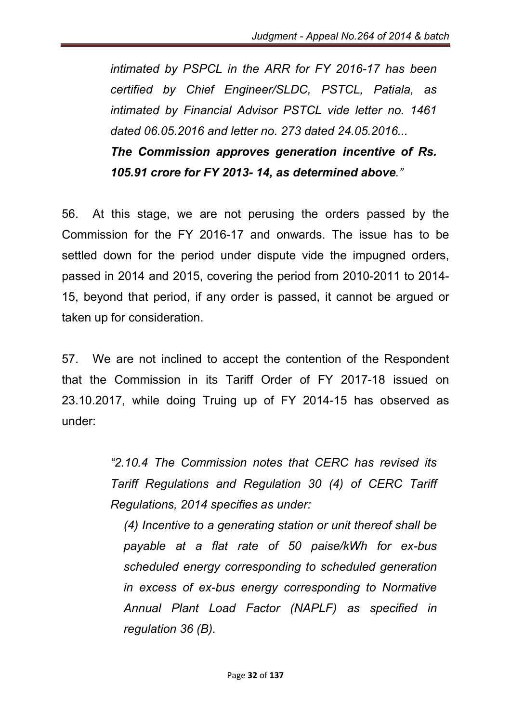*intimated by PSPCL in the ARR for FY 2016-17 has been certified by Chief Engineer/SLDC, PSTCL, Patiala, as intimated by Financial Advisor PSTCL vide letter no. 1461 dated 06.05.2016 and letter no. 273 dated 24.05.2016... The Commission approves generation incentive of Rs. 105.91 crore for FY 2013- 14, as determined above."*

56. At this stage, we are not perusing the orders passed by the Commission for the FY 2016-17 and onwards. The issue has to be settled down for the period under dispute vide the impugned orders, passed in 2014 and 2015, covering the period from 2010-2011 to 2014- 15, beyond that period, if any order is passed, it cannot be argued or taken up for consideration.

57. We are not inclined to accept the contention of the Respondent that the Commission in its Tariff Order of FY 2017-18 issued on 23.10.2017, while doing Truing up of FY 2014-15 has observed as under:

> *"2.10.4 The Commission notes that CERC has revised its Tariff Regulations and Regulation 30 (4) of CERC Tariff Regulations, 2014 specifies as under:*

*(4) Incentive to a generating station or unit thereof shall be payable at a flat rate of 50 paise/kWh for ex-bus scheduled energy corresponding to scheduled generation in excess of ex-bus energy corresponding to Normative Annual Plant Load Factor (NAPLF) as specified in regulation 36 (B).*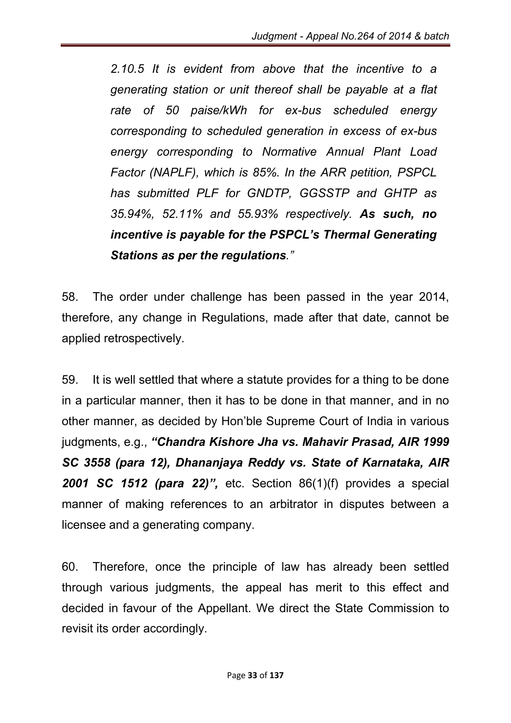*2.10.5 It is evident from above that the incentive to a generating station or unit thereof shall be payable at a flat rate of 50 paise/kWh for ex-bus scheduled energy corresponding to scheduled generation in excess of ex-bus energy corresponding to Normative Annual Plant Load Factor (NAPLF), which is 85%. In the ARR petition, PSPCL has submitted PLF for GNDTP, GGSSTP and GHTP as 35.94%, 52.11% and 55.93% respectively. As such, no incentive is payable for the PSPCL's Thermal Generating Stations as per the regulations."*

58. The order under challenge has been passed in the year 2014, therefore, any change in Regulations, made after that date, cannot be applied retrospectively.

59. It is well settled that where a statute provides for a thing to be done in a particular manner, then it has to be done in that manner, and in no other manner, as decided by Hon'ble Supreme Court of India in various judgments, e.g., *"Chandra Kishore Jha vs. Mahavir Prasad, AIR 1999 SC 3558 (para 12), Dhananjaya Reddy vs. State of Karnataka, AIR 2001 SC 1512 (para 22)",* etc. Section 86(1)(f) provides a special manner of making references to an arbitrator in disputes between a licensee and a generating company.

60. Therefore, once the principle of law has already been settled through various judgments, the appeal has merit to this effect and decided in favour of the Appellant. We direct the State Commission to revisit its order accordingly.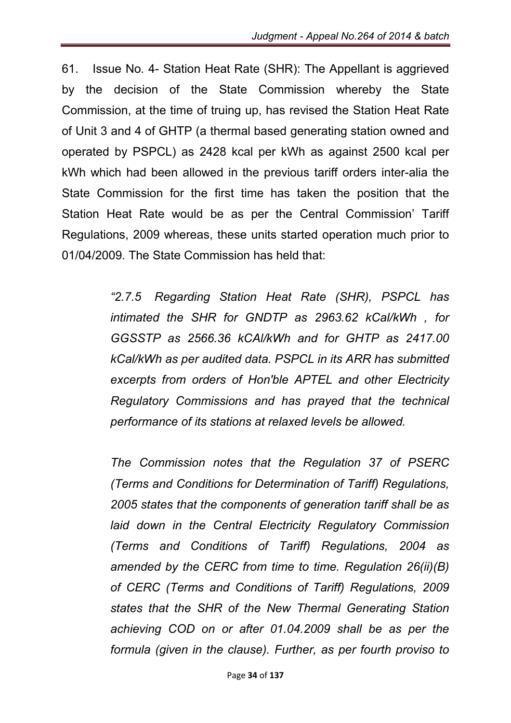61. Issue No. 4- Station Heat Rate (SHR): The Appellant is aggrieved by the decision of the State Commission whereby the State Commission, at the time of truing up, has revised the Station Heat Rate of Unit 3 and 4 of GHTP (a thermal based generating station owned and operated by PSPCL) as 2428 kcal per kWh as against 2500 kcal per kWh which had been allowed in the previous tariff orders inter-alia the State Commission for the first time has taken the position that the Station Heat Rate would be as per the Central Commission' Tariff Regulations, 2009 whereas, these units started operation much prior to 01/04/2009. The State Commission has held that:

> *"2.7.5 Regarding Station Heat Rate (SHR), PSPCL has intimated the SHR for GNDTP as 2963.62 kCal/kWh , for GGSSTP as 2566.36 kCAl/kWh and for GHTP as 2417.00 kCal/kWh as per audited data. PSPCL in its ARR has submitted excerpts from orders of Hon'ble APTEL and other Electricity Regulatory Commissions and has prayed that the technical performance of its stations at relaxed levels be allowed.*

> *The Commission notes that the Regulation 37 of PSERC (Terms and Conditions for Determination of Tariff) Regulations, 2005 states that the components of generation tariff shall be as laid down in the Central Electricity Regulatory Commission (Terms and Conditions of Tariff) Regulations, 2004 as amended by the CERC from time to time. Regulation 26(ii)(B) of CERC (Terms and Conditions of Tariff) Regulations, 2009 states that the SHR of the New Thermal Generating Station achieving COD on or after 01.04.2009 shall be as per the formula (given in the clause). Further, as per fourth proviso to*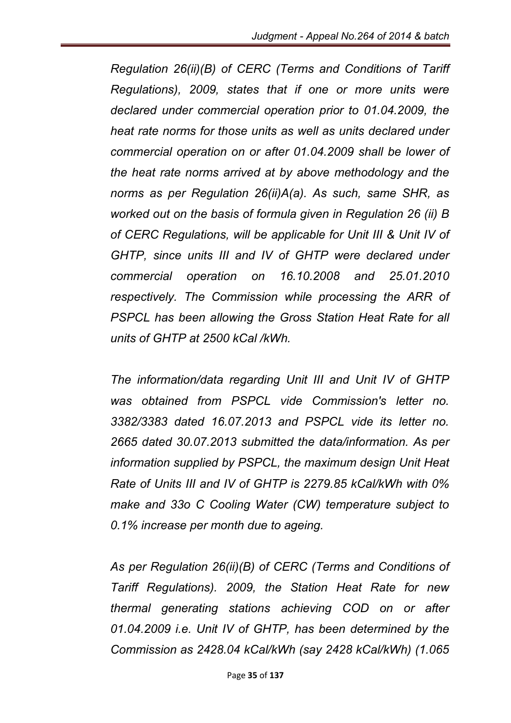*Regulation 26(ii)(B) of CERC (Terms and Conditions of Tariff Regulations), 2009, states that if one or more units were declared under commercial operation prior to 01.04.2009, the heat rate norms for those units as well as units declared under commercial operation on or after 01.04.2009 shall be lower of the heat rate norms arrived at by above methodology and the norms as per Regulation 26(ii)A(a). As such, same SHR, as worked out on the basis of formula given in Regulation 26 (ii) B of CERC Regulations, will be applicable for Unit III & Unit IV of GHTP, since units III and IV of GHTP were declared under commercial operation on 16.10.2008 and 25.01.2010 respectively. The Commission while processing the ARR of*  **PSPCL has been allowing the Gross Station Heat Rate for all** *units of GHTP at 2500 kCal /kWh.*

*The information/data regarding Unit III and Unit IV of GHTP was obtained from PSPCL vide Commission's letter no. 3382/3383 dated 16.07.2013 and PSPCL vide its letter no. 2665 dated 30.07.2013 submitted the data/information. As per information supplied by PSPCL, the maximum design Unit Heat Rate of Units III and IV of GHTP is 2279.85 kCal/kWh with 0% make and 33o C Cooling Water (CW) temperature subject to 0.1% increase per month due to ageing.*

*As per Regulation 26(ii)(B) of CERC (Terms and Conditions of Tariff Regulations). 2009, the Station Heat Rate for new thermal generating stations achieving COD on or after 01.04.2009 i.e. Unit IV of GHTP, has been determined by the Commission as 2428.04 kCal/kWh (say 2428 kCal/kWh) (1.065*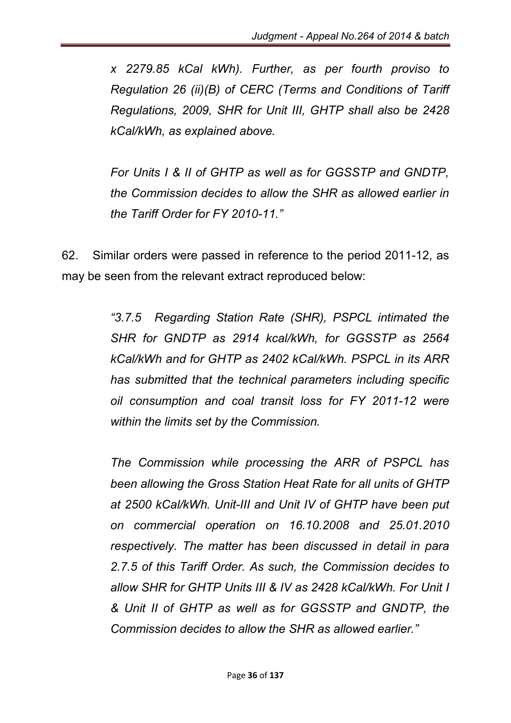*x 2279.85 kCal kWh). Further, as per fourth proviso to Regulation 26 (ii)(B) of CERC (Terms and Conditions of Tariff Regulations, 2009, SHR for Unit III, GHTP shall also be 2428 kCal/kWh, as explained above.*

*For Units I & II of GHTP as well as for GGSSTP and GNDTP, the Commission decides to allow the SHR as allowed earlier in the Tariff Order for FY 2010-11."*

62. Similar orders were passed in reference to the period 2011-12, as may be seen from the relevant extract reproduced below:

> *"3.7.5 Regarding Station Rate (SHR), PSPCL intimated the SHR for GNDTP as 2914 kcal/kWh, for GGSSTP as 2564 kCal/kWh and for GHTP as 2402 kCal/kWh. PSPCL in its ARR has submitted that the technical parameters including specific oil consumption and coal transit loss for FY 2011-12 were within the limits set by the Commission.*

> *The Commission while processing the ARR of PSPCL has been allowing the Gross Station Heat Rate for all units of GHTP at 2500 kCal/kWh. Unit-III and Unit IV of GHTP have been put on commercial operation on 16.10.2008 and 25.01.2010 respectively. The matter has been discussed in detail in para 2.7.5 of this Tariff Order. As such, the Commission decides to allow SHR for GHTP Units III & IV as 2428 kCal/kWh. For Unit I & Unit II of GHTP as well as for GGSSTP and GNDTP, the Commission decides to allow the SHR as allowed earlier."*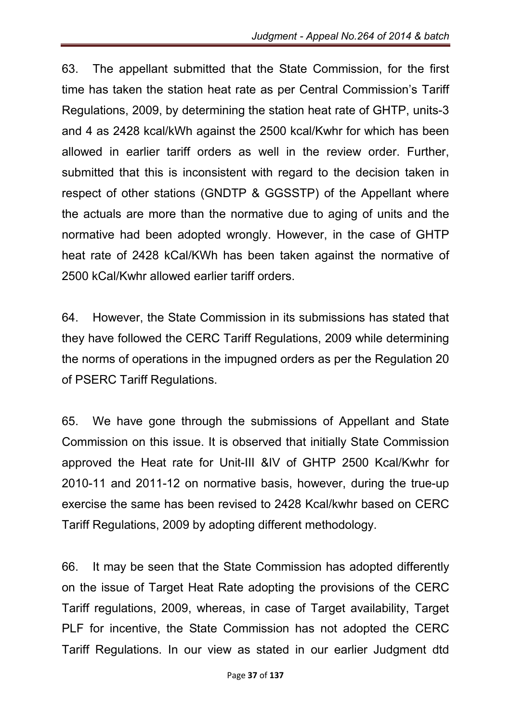63. The appellant submitted that the State Commission, for the first time has taken the station heat rate as per Central Commission's Tariff Regulations, 2009, by determining the station heat rate of GHTP, units-3 and 4 as 2428 kcal/kWh against the 2500 kcal/Kwhr for which has been allowed in earlier tariff orders as well in the review order. Further, submitted that this is inconsistent with regard to the decision taken in respect of other stations (GNDTP & GGSSTP) of the Appellant where the actuals are more than the normative due to aging of units and the normative had been adopted wrongly. However, in the case of GHTP heat rate of 2428 kCal/KWh has been taken against the normative of 2500 kCal/Kwhr allowed earlier tariff orders.

64. However, the State Commission in its submissions has stated that they have followed the CERC Tariff Regulations, 2009 while determining the norms of operations in the impugned orders as per the Regulation 20 of PSERC Tariff Regulations.

65. We have gone through the submissions of Appellant and State Commission on this issue. It is observed that initially State Commission approved the Heat rate for Unit-III &IV of GHTP 2500 Kcal/Kwhr for 2010-11 and 2011-12 on normative basis, however, during the true-up exercise the same has been revised to 2428 Kcal/kwhr based on CERC Tariff Regulations, 2009 by adopting different methodology.

66. It may be seen that the State Commission has adopted differently on the issue of Target Heat Rate adopting the provisions of the CERC Tariff regulations, 2009, whereas, in case of Target availability, Target PLF for incentive, the State Commission has not adopted the CERC Tariff Regulations. In our view as stated in our earlier Judgment dtd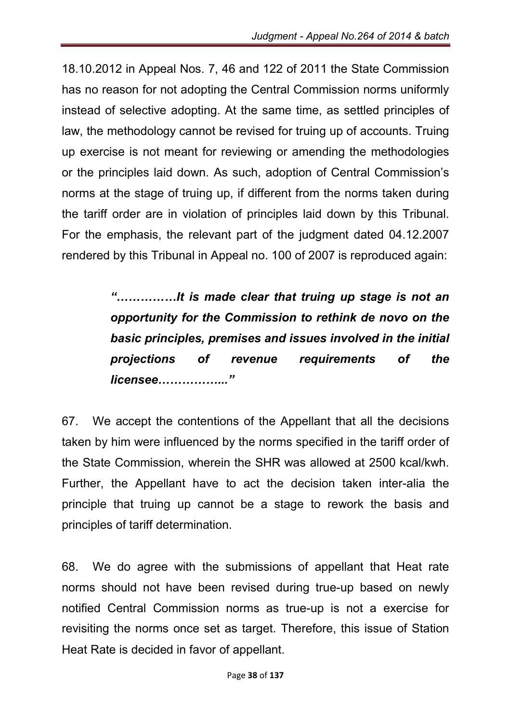18.10.2012 in Appeal Nos. 7, 46 and 122 of 2011 the State Commission has no reason for not adopting the Central Commission norms uniformly instead of selective adopting. At the same time, as settled principles of law, the methodology cannot be revised for truing up of accounts. Truing up exercise is not meant for reviewing or amending the methodologies or the principles laid down. As such, adoption of Central Commission's norms at the stage of truing up, if different from the norms taken during the tariff order are in violation of principles laid down by this Tribunal. For the emphasis, the relevant part of the judgment dated 04.12.2007 rendered by this Tribunal in Appeal no. 100 of 2007 is reproduced again:

> *"……………It is made clear that truing up stage is not an opportunity for the Commission to rethink de novo on the basic principles, premises and issues involved in the initial projections of revenue requirements of the licensee……………..."*

67. We accept the contentions of the Appellant that all the decisions taken by him were influenced by the norms specified in the tariff order of the State Commission, wherein the SHR was allowed at 2500 kcal/kwh. Further, the Appellant have to act the decision taken inter-alia the principle that truing up cannot be a stage to rework the basis and principles of tariff determination.

68. We do agree with the submissions of appellant that Heat rate norms should not have been revised during true-up based on newly notified Central Commission norms as true-up is not a exercise for revisiting the norms once set as target. Therefore, this issue of Station Heat Rate is decided in favor of appellant.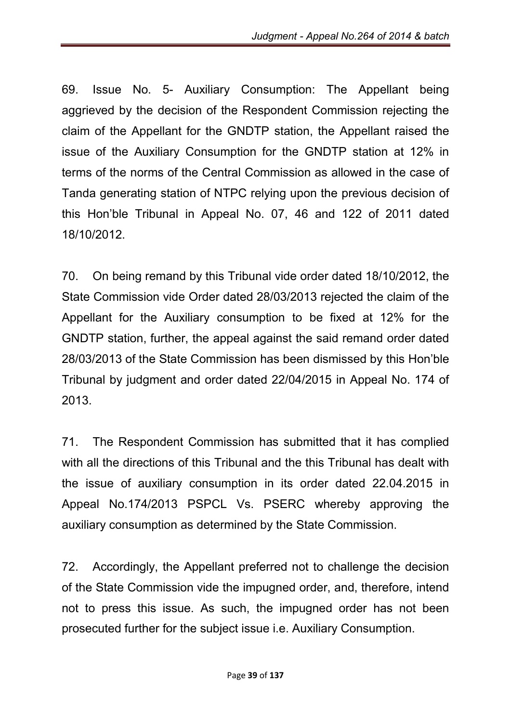69. Issue No. 5- Auxiliary Consumption: The Appellant being aggrieved by the decision of the Respondent Commission rejecting the claim of the Appellant for the GNDTP station, the Appellant raised the issue of the Auxiliary Consumption for the GNDTP station at 12% in terms of the norms of the Central Commission as allowed in the case of Tanda generating station of NTPC relying upon the previous decision of this Hon'ble Tribunal in Appeal No. 07, 46 and 122 of 2011 dated 18/10/2012.

70. On being remand by this Tribunal vide order dated 18/10/2012, the State Commission vide Order dated 28/03/2013 rejected the claim of the Appellant for the Auxiliary consumption to be fixed at 12% for the GNDTP station, further, the appeal against the said remand order dated 28/03/2013 of the State Commission has been dismissed by this Hon'ble Tribunal by judgment and order dated 22/04/2015 in Appeal No. 174 of 2013.

71. The Respondent Commission has submitted that it has complied with all the directions of this Tribunal and the this Tribunal has dealt with the issue of auxiliary consumption in its order dated 22.04.2015 in Appeal No.174/2013 PSPCL Vs. PSERC whereby approving the auxiliary consumption as determined by the State Commission.

72. Accordingly, the Appellant preferred not to challenge the decision of the State Commission vide the impugned order, and, therefore, intend not to press this issue. As such, the impugned order has not been prosecuted further for the subject issue i.e. Auxiliary Consumption.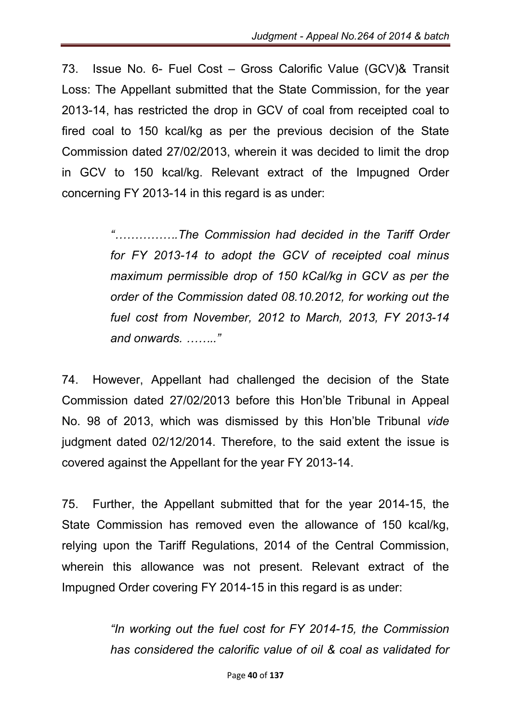73. Issue No. 6- Fuel Cost – Gross Calorific Value (GCV)& Transit Loss: The Appellant submitted that the State Commission, for the year 2013-14, has restricted the drop in GCV of coal from receipted coal to fired coal to 150 kcal/kg as per the previous decision of the State Commission dated 27/02/2013, wherein it was decided to limit the drop in GCV to 150 kcal/kg. Relevant extract of the Impugned Order concerning FY 2013-14 in this regard is as under:

> *"…………….The Commission had decided in the Tariff Order for FY 2013-14 to adopt the GCV of receipted coal minus maximum permissible drop of 150 kCal/kg in GCV as per the order of the Commission dated 08.10.2012, for working out the fuel cost from November, 2012 to March, 2013, FY 2013-14 and onwards. …….."*

74. However, Appellant had challenged the decision of the State Commission dated 27/02/2013 before this Hon'ble Tribunal in Appeal No. 98 of 2013, which was dismissed by this Hon'ble Tribunal *vide* judgment dated 02/12/2014. Therefore, to the said extent the issue is covered against the Appellant for the year FY 2013-14.

75. Further, the Appellant submitted that for the year 2014-15, the State Commission has removed even the allowance of 150 kcal/kg, relying upon the Tariff Regulations, 2014 of the Central Commission, wherein this allowance was not present. Relevant extract of the Impugned Order covering FY 2014-15 in this regard is as under:

> *"In working out the fuel cost for FY 2014-15, the Commission has considered the calorific value of oil & coal as validated for*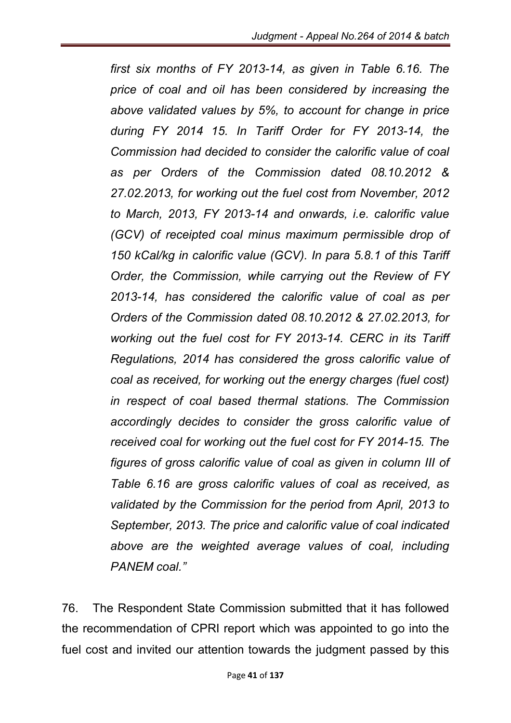*first six months of FY 2013-14, as given in Table 6.16. The price of coal and oil has been considered by increasing the above validated values by 5%, to account for change in price during FY 2014 15. In Tariff Order for FY 2013-14, the Commission had decided to consider the calorific value of coal as per Orders of the Commission dated 08.10.2012 & 27.02.2013, for working out the fuel cost from November, 2012 to March, 2013, FY 2013-14 and onwards, i.e. calorific value (GCV) of receipted coal minus maximum permissible drop of 150 kCal/kg in calorific value (GCV). In para 5.8.1 of this Tariff Order, the Commission, while carrying out the Review of FY 2013-14, has considered the calorific value of coal as per Orders of the Commission dated 08.10.2012 & 27.02.2013, for working out the fuel cost for FY 2013-14. CERC in its Tariff Regulations, 2014 has considered the gross calorific value of coal as received, for working out the energy charges (fuel cost) in respect of coal based thermal stations. The Commission accordingly decides to consider the gross calorific value of received coal for working out the fuel cost for FY 2014-15. The figures of gross calorific value of coal as given in column III of Table 6.16 are gross calorific values of coal as received, as validated by the Commission for the period from April, 2013 to September, 2013. The price and calorific value of coal indicated above are the weighted average values of coal, including PANEM coal."*

76. The Respondent State Commission submitted that it has followed the recommendation of CPRI report which was appointed to go into the fuel cost and invited our attention towards the judgment passed by this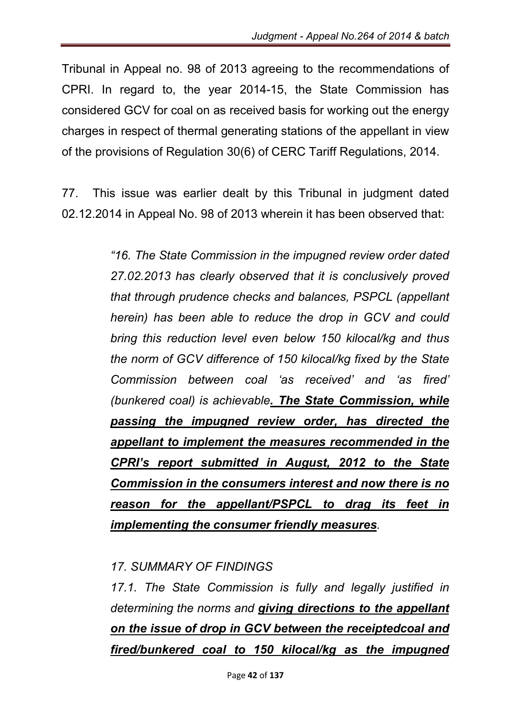Tribunal in Appeal no. 98 of 2013 agreeing to the recommendations of CPRI. In regard to, the year 2014-15, the State Commission has considered GCV for coal on as received basis for working out the energy charges in respect of thermal generating stations of the appellant in view of the provisions of Regulation 30(6) of CERC Tariff Regulations, 2014.

77. This issue was earlier dealt by this Tribunal in judgment dated 02.12.2014 in Appeal No. 98 of 2013 wherein it has been observed that:

> *"16. The State Commission in the impugned review order dated 27.02.2013 has clearly observed that it is conclusively proved that through prudence checks and balances, PSPCL (appellant herein) has been able to reduce the drop in GCV and could bring this reduction level even below 150 kilocal/kg and thus the norm of GCV difference of 150 kilocal/kg fixed by the State Commission between coal 'as received' and 'as fired' (bunkered coal) is achievable. The State Commission, while passing the impugned review order, has directed the appellant to implement the measures recommended in the CPRI's report submitted in August, 2012 to the State Commission in the consumers interest and now there is no reason for the appellant/PSPCL to drag its feet in implementing the consumer friendly measures.*

# *17. SUMMARY OF FINDINGS*

*17.1. The State Commission is fully and legally justified in determining the norms and giving directions to the appellant on the issue of drop in GCV between the receiptedcoal and fired/bunkered coal to 150 kilocal/kg as the impugned*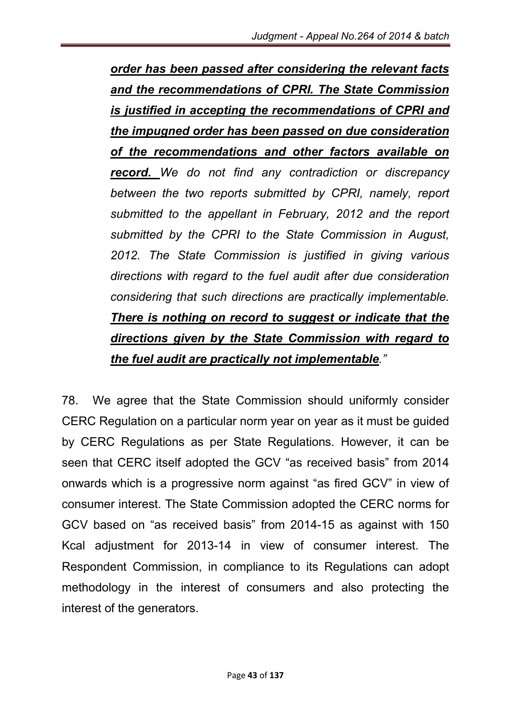*order has been passed after considering the relevant facts and the recommendations of CPRI. The State Commission is justified in accepting the recommendations of CPRI and the impugned order has been passed on due consideration of the recommendations and other factors available on record. We do not find any contradiction or discrepancy between the two reports submitted by CPRI, namely, report submitted to the appellant in February, 2012 and the report submitted by the CPRI to the State Commission in August, 2012. The State Commission is justified in giving various directions with regard to the fuel audit after due consideration considering that such directions are practically implementable. There is nothing on record to suggest or indicate that the directions given by the State Commission with regard to the fuel audit are practically not implementable."*

78. We agree that the State Commission should uniformly consider CERC Regulation on a particular norm year on year as it must be guided by CERC Regulations as per State Regulations. However, it can be seen that CERC itself adopted the GCV "as received basis" from 2014 onwards which is a progressive norm against "as fired GCV" in view of consumer interest. The State Commission adopted the CERC norms for GCV based on "as received basis" from 2014-15 as against with 150 Kcal adjustment for 2013-14 in view of consumer interest. The Respondent Commission, in compliance to its Regulations can adopt methodology in the interest of consumers and also protecting the interest of the generators.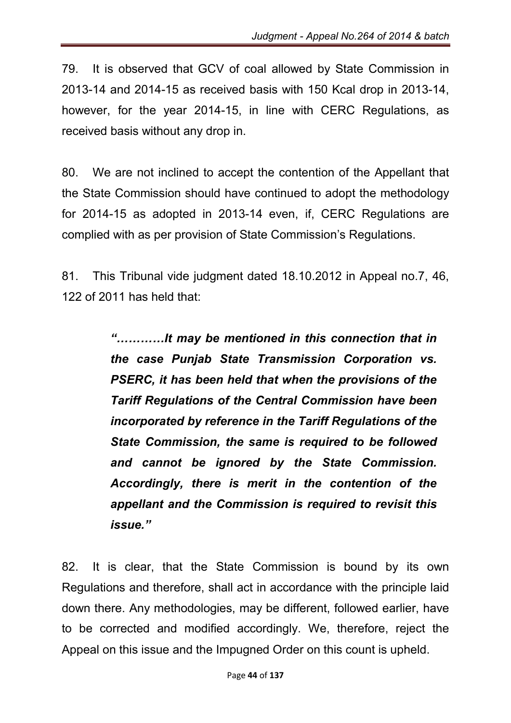79. It is observed that GCV of coal allowed by State Commission in 2013-14 and 2014-15 as received basis with 150 Kcal drop in 2013-14, however, for the year 2014-15, in line with CERC Regulations, as received basis without any drop in.

80. We are not inclined to accept the contention of the Appellant that the State Commission should have continued to adopt the methodology for 2014-15 as adopted in 2013-14 even, if, CERC Regulations are complied with as per provision of State Commission's Regulations.

81. This Tribunal vide judgment dated 18.10.2012 in Appeal no.7, 46, 122 of 2011 has held that:

> *"…………It may be mentioned in this connection that in the case Punjab State Transmission Corporation vs. PSERC, it has been held that when the provisions of the Tariff Regulations of the Central Commission have been incorporated by reference in the Tariff Regulations of the State Commission, the same is required to be followed and cannot be ignored by the State Commission. Accordingly, there is merit in the contention of the appellant and the Commission is required to revisit this issue."*

82. It is clear, that the State Commission is bound by its own Regulations and therefore, shall act in accordance with the principle laid down there. Any methodologies, may be different, followed earlier, have to be corrected and modified accordingly. We, therefore, reject the Appeal on this issue and the Impugned Order on this count is upheld.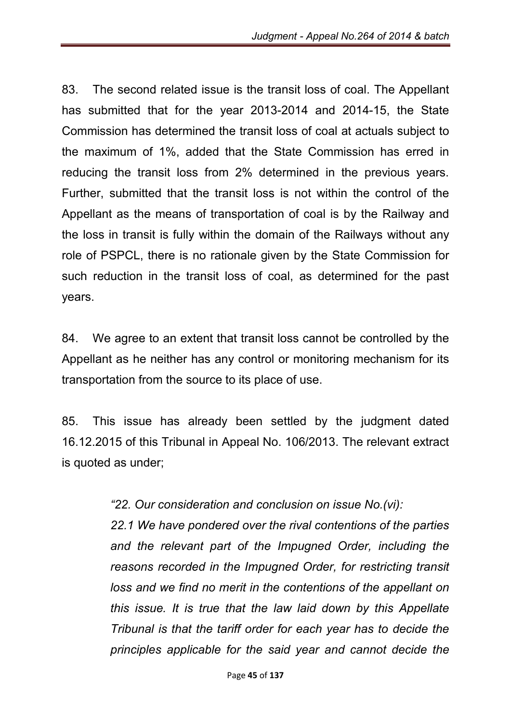83. The second related issue is the transit loss of coal. The Appellant has submitted that for the year 2013-2014 and 2014-15, the State Commission has determined the transit loss of coal at actuals subject to the maximum of 1%, added that the State Commission has erred in reducing the transit loss from 2% determined in the previous years. Further, submitted that the transit loss is not within the control of the Appellant as the means of transportation of coal is by the Railway and the loss in transit is fully within the domain of the Railways without any role of PSPCL, there is no rationale given by the State Commission for such reduction in the transit loss of coal, as determined for the past years.

84. We agree to an extent that transit loss cannot be controlled by the Appellant as he neither has any control or monitoring mechanism for its transportation from the source to its place of use.

85. This issue has already been settled by the judgment dated 16.12.2015 of this Tribunal in Appeal No. 106/2013. The relevant extract is quoted as under;

*"22. Our consideration and conclusion on issue No.(vi):* 

*22.1 We have pondered over the rival contentions of the parties and the relevant part of the Impugned Order, including the reasons recorded in the Impugned Order, for restricting transit*  loss and we find no merit in the contentions of the appellant on *this issue. It is true that the law laid down by this Appellate Tribunal is that the tariff order for each year has to decide the principles applicable for the said year and cannot decide the*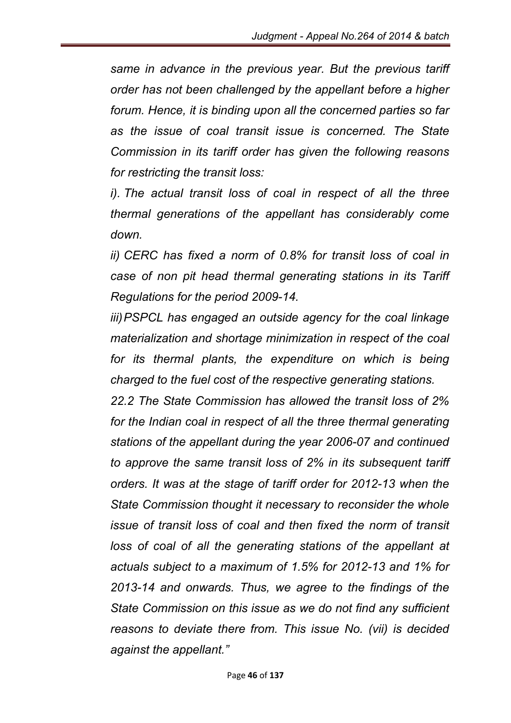*same in advance in the previous year. But the previous tariff order has not been challenged by the appellant before a higher forum. Hence, it is binding upon all the concerned parties so far as the issue of coal transit issue is concerned. The State Commission in its tariff order has given the following reasons for restricting the transit loss:*

*i). The actual transit loss of coal in respect of all the three thermal generations of the appellant has considerably come down.* 

*ii) CERC has fixed a norm of 0.8% for transit loss of coal in case of non pit head thermal generating stations in its Tariff Regulations for the period 2009-14.* 

*iii)PSPCL has engaged an outside agency for the coal linkage materialization and shortage minimization in respect of the coal*  for its thermal plants, the expenditure on which is being *charged to the fuel cost of the respective generating stations.* 

*22.2 The State Commission has allowed the transit loss of 2%*  for the Indian coal in respect of all the three thermal generating *stations of the appellant during the year 2006-07 and continued to approve the same transit loss of 2% in its subsequent tariff orders. It was at the stage of tariff order for 2012-13 when the State Commission thought it necessary to reconsider the whole issue of transit loss of coal and then fixed the norm of transit* loss of coal of all the generating stations of the appellant at *actuals subject to a maximum of 1.5% for 2012-13 and 1% for 2013-14 and onwards. Thus, we agree to the findings of the State Commission on this issue as we do not find any sufficient reasons to deviate there from. This issue No. (vii) is decided against the appellant."*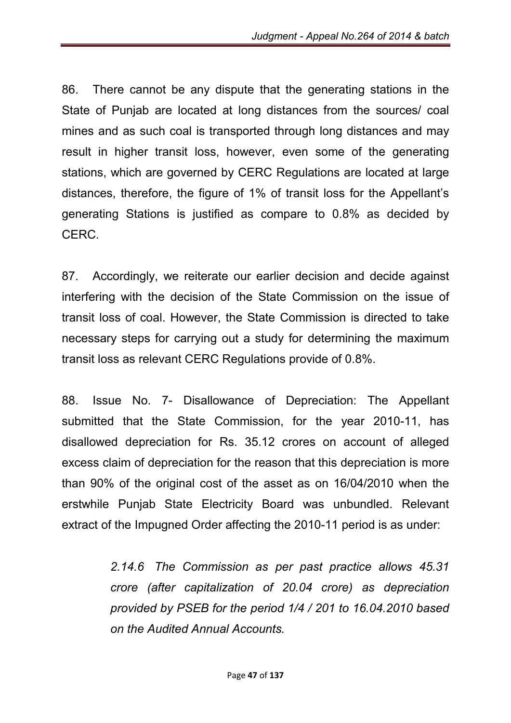86. There cannot be any dispute that the generating stations in the State of Punjab are located at long distances from the sources/ coal mines and as such coal is transported through long distances and may result in higher transit loss, however, even some of the generating stations, which are governed by CERC Regulations are located at large distances, therefore, the figure of 1% of transit loss for the Appellant's generating Stations is justified as compare to 0.8% as decided by CERC.

87. Accordingly, we reiterate our earlier decision and decide against interfering with the decision of the State Commission on the issue of transit loss of coal. However, the State Commission is directed to take necessary steps for carrying out a study for determining the maximum transit loss as relevant CERC Regulations provide of 0.8%.

88. Issue No. 7- Disallowance of Depreciation: The Appellant submitted that the State Commission, for the year 2010-11, has disallowed depreciation for Rs. 35.12 crores on account of alleged excess claim of depreciation for the reason that this depreciation is more than 90% of the original cost of the asset as on 16/04/2010 when the erstwhile Punjab State Electricity Board was unbundled. Relevant extract of the Impugned Order affecting the 2010-11 period is as under:

> *2.14.6 The Commission as per past practice allows 45.31 crore (after capitalization of 20.04 crore) as depreciation provided by PSEB for the period 1/4 / 201 to 16.04.2010 based on the Audited Annual Accounts.*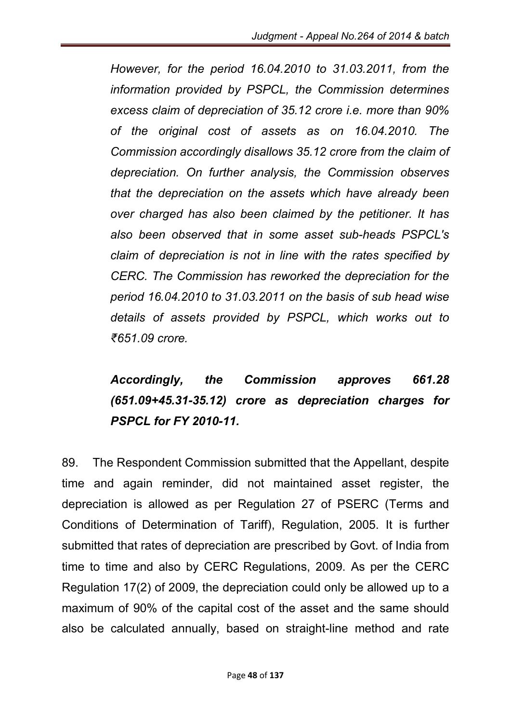*However, for the period 16.04.2010 to 31.03.2011, from the information provided by PSPCL, the Commission determines excess claim of depreciation of 35.12 crore i.e. more than 90% of the original cost of assets as on 16.04.2010. The Commission accordingly disallows 35.12 crore from the claim of depreciation. On further analysis, the Commission observes that the depreciation on the assets which have already been over charged has also been claimed by the petitioner. It has also been observed that in some asset sub-heads PSPCL's claim of depreciation is not in line with the rates specified by CERC. The Commission has reworked the depreciation for the period 16.04.2010 to 31.03.2011 on the basis of sub head wise details of assets provided by PSPCL, which works out to ₹651.09 crore.*

*Accordingly, the Commission approves 661.28 (651.09+45.31-35.12) crore as depreciation charges for PSPCL for FY 2010-11.*

89. The Respondent Commission submitted that the Appellant, despite time and again reminder, did not maintained asset register, the depreciation is allowed as per Regulation 27 of PSERC (Terms and Conditions of Determination of Tariff), Regulation, 2005. It is further submitted that rates of depreciation are prescribed by Govt. of India from time to time and also by CERC Regulations, 2009. As per the CERC Regulation 17(2) of 2009, the depreciation could only be allowed up to a maximum of 90% of the capital cost of the asset and the same should also be calculated annually, based on straight-line method and rate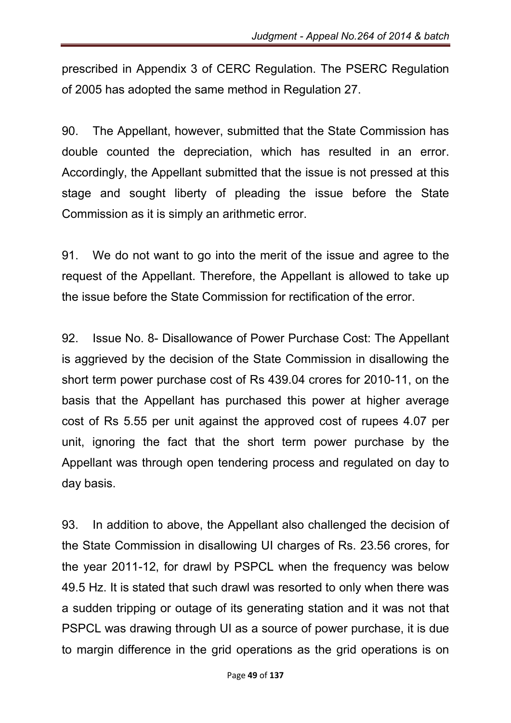prescribed in Appendix 3 of CERC Regulation. The PSERC Regulation of 2005 has adopted the same method in Regulation 27.

90. The Appellant, however, submitted that the State Commission has double counted the depreciation, which has resulted in an error. Accordingly, the Appellant submitted that the issue is not pressed at this stage and sought liberty of pleading the issue before the State Commission as it is simply an arithmetic error.

91. We do not want to go into the merit of the issue and agree to the request of the Appellant. Therefore, the Appellant is allowed to take up the issue before the State Commission for rectification of the error.

92. Issue No. 8- Disallowance of Power Purchase Cost: The Appellant is aggrieved by the decision of the State Commission in disallowing the short term power purchase cost of Rs 439.04 crores for 2010-11, on the basis that the Appellant has purchased this power at higher average cost of Rs 5.55 per unit against the approved cost of rupees 4.07 per unit, ignoring the fact that the short term power purchase by the Appellant was through open tendering process and regulated on day to day basis.

93. In addition to above, the Appellant also challenged the decision of the State Commission in disallowing UI charges of Rs. 23.56 crores, for the year 2011-12, for drawl by PSPCL when the frequency was below 49.5 Hz. It is stated that such drawl was resorted to only when there was a sudden tripping or outage of its generating station and it was not that PSPCL was drawing through UI as a source of power purchase, it is due to margin difference in the grid operations as the grid operations is on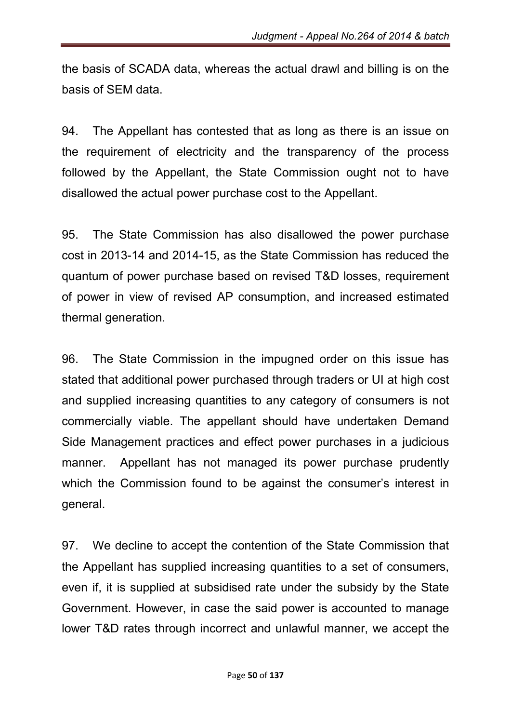the basis of SCADA data, whereas the actual drawl and billing is on the basis of SEM data.

94. The Appellant has contested that as long as there is an issue on the requirement of electricity and the transparency of the process followed by the Appellant, the State Commission ought not to have disallowed the actual power purchase cost to the Appellant.

95. The State Commission has also disallowed the power purchase cost in 2013-14 and 2014-15, as the State Commission has reduced the quantum of power purchase based on revised T&D losses, requirement of power in view of revised AP consumption, and increased estimated thermal generation.

96. The State Commission in the impugned order on this issue has stated that additional power purchased through traders or UI at high cost and supplied increasing quantities to any category of consumers is not commercially viable. The appellant should have undertaken Demand Side Management practices and effect power purchases in a judicious manner. Appellant has not managed its power purchase prudently which the Commission found to be against the consumer's interest in general.

97. We decline to accept the contention of the State Commission that the Appellant has supplied increasing quantities to a set of consumers, even if, it is supplied at subsidised rate under the subsidy by the State Government. However, in case the said power is accounted to manage lower T&D rates through incorrect and unlawful manner, we accept the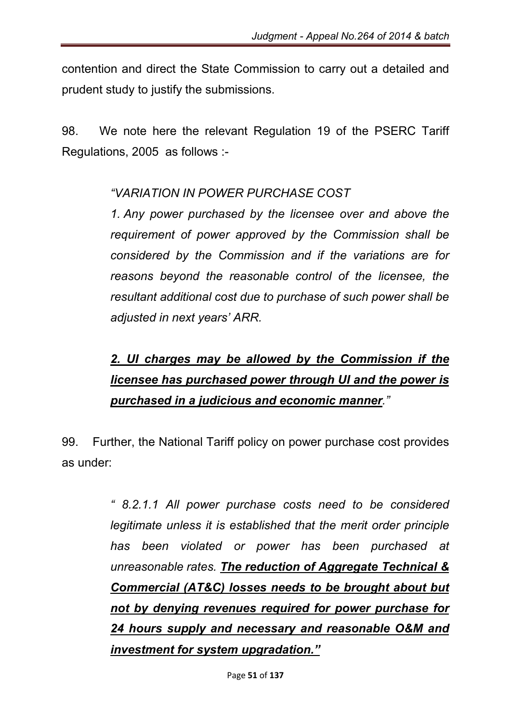contention and direct the State Commission to carry out a detailed and prudent study to justify the submissions.

98. We note here the relevant Regulation 19 of the PSERC Tariff Regulations, 2005 as follows :-

# *"VARIATION IN POWER PURCHASE COST*

*1. Any power purchased by the licensee over and above the requirement of power approved by the Commission shall be considered by the Commission and if the variations are for reasons beyond the reasonable control of the licensee, the resultant additional cost due to purchase of such power shall be adjusted in next years' ARR.*

# *2. UI charges may be allowed by the Commission if the licensee has purchased power through UI and the power is purchased in a judicious and economic manner."*

99. Further, the National Tariff policy on power purchase cost provides as under:

> *" 8.2.1.1 All power purchase costs need to be considered legitimate unless it is established that the merit order principle has been violated or power has been purchased at unreasonable rates. The reduction of Aggregate Technical & Commercial (AT&C) losses needs to be brought about but not by denying revenues required for power purchase for 24 hours supply and necessary and reasonable O&M and investment for system upgradation."*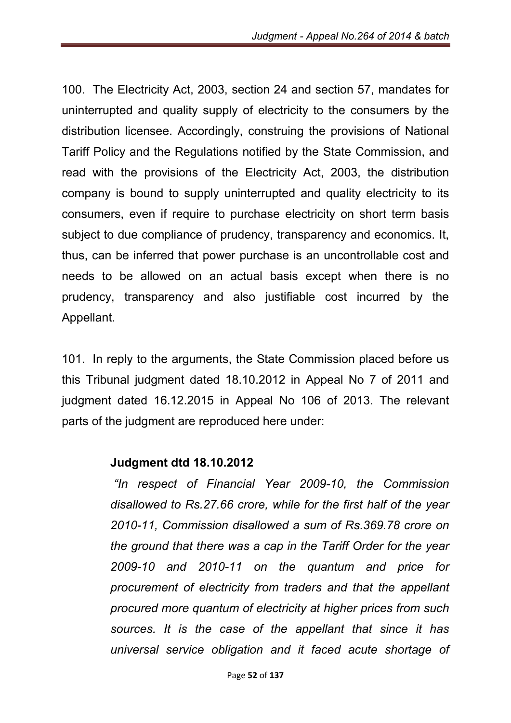100. The Electricity Act, 2003, section 24 and section 57, mandates for uninterrupted and quality supply of electricity to the consumers by the distribution licensee. Accordingly, construing the provisions of National Tariff Policy and the Regulations notified by the State Commission, and read with the provisions of the Electricity Act, 2003, the distribution company is bound to supply uninterrupted and quality electricity to its consumers, even if require to purchase electricity on short term basis subject to due compliance of prudency, transparency and economics. It, thus, can be inferred that power purchase is an uncontrollable cost and needs to be allowed on an actual basis except when there is no prudency, transparency and also justifiable cost incurred by the Appellant.

101. In reply to the arguments, the State Commission placed before us this Tribunal judgment dated 18.10.2012 in Appeal No 7 of 2011 and judgment dated 16.12.2015 in Appeal No 106 of 2013. The relevant parts of the judgment are reproduced here under:

#### Judgment dtd 18.10.2012

*"In respect of Financial Year 2009-10, the Commission disallowed to Rs.27.66 crore, while for the first half of the year 2010-11, Commission disallowed a sum of Rs.369.78 crore on the ground that there was a cap in the Tariff Order for the year 2009-10 and 2010-11 on the quantum and price for procurement of electricity from traders and that the appellant procured more quantum of electricity at higher prices from such sources. It is the case of the appellant that since it has universal service obligation and it faced acute shortage of*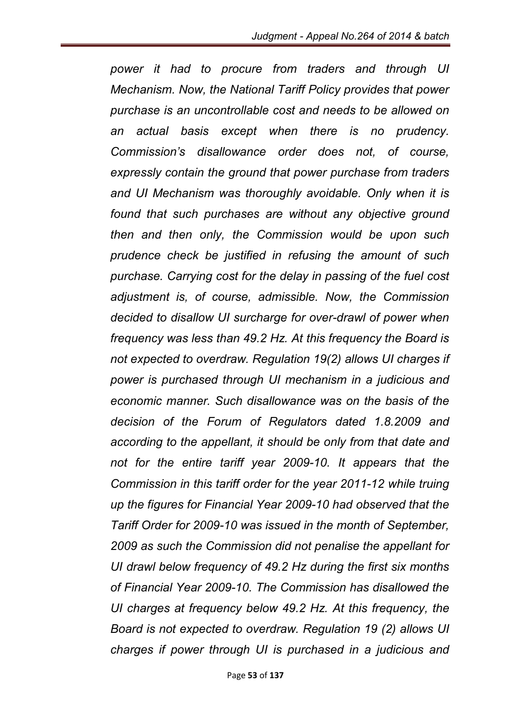*power it had to procure from traders and through UI Mechanism. Now, the National Tariff Policy provides that power purchase is an uncontrollable cost and needs to be allowed on an actual basis except when there is no prudency. Commission's disallowance order does not, of course, expressly contain the ground that power purchase from traders and UI Mechanism was thoroughly avoidable. Only when it is found that such purchases are without any objective ground then and then only, the Commission would be upon such prudence check be justified in refusing the amount of such purchase. Carrying cost for the delay in passing of the fuel cost adjustment is, of course, admissible. Now, the Commission decided to disallow UI surcharge for over-drawl of power when frequency was less than 49.2 Hz. At this frequency the Board is not expected to overdraw. Regulation 19(2) allows UI charges if power is purchased through UI mechanism in a judicious and economic manner. Such disallowance was on the basis of the decision of the Forum of Regulators dated 1.8.2009 and according to the appellant, it should be only from that date and not for the entire tariff year 2009-10. It appears that the Commission in this tariff order for the year 2011-12 while truing up the figures for Financial Year 2009-10 had observed that the Tariff Order for 2009-10 was issued in the month of September, 2009 as such the Commission did not penalise the appellant for UI drawl below frequency of 49.2 Hz during the first six months of Financial Year 2009-10. The Commission has disallowed the UI charges at frequency below 49.2 Hz. At this frequency, the Board is not expected to overdraw. Regulation 19 (2) allows UI charges if power through UI is purchased in a judicious and*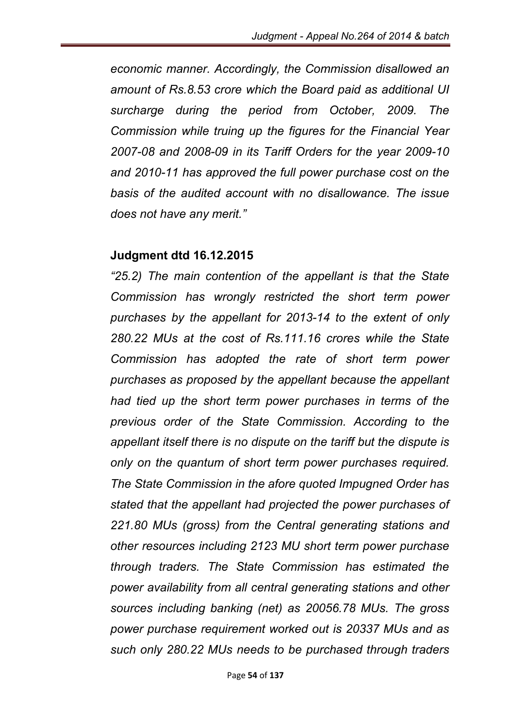*economic manner. Accordingly, the Commission disallowed an amount of Rs.8.53 crore which the Board paid as additional UI surcharge during the period from October, 2009. The Commission while truing up the figures for the Financial Year 2007-08 and 2008-09 in its Tariff Orders for the year 2009-10 and 2010-11 has approved the full power purchase cost on the basis of the audited account with no disallowance. The issue does not have any merit."*

#### Judgment dtd 16.12.2015

*"25.2) The main contention of the appellant is that the State Commission has wrongly restricted the short term power purchases by the appellant for 2013-14 to the extent of only 280.22 MUs at the cost of Rs.111.16 crores while the State Commission has adopted the rate of short term power purchases as proposed by the appellant because the appellant had tied up the short term power purchases in terms of the previous order of the State Commission. According to the appellant itself there is no dispute on the tariff but the dispute is only on the quantum of short term power purchases required. The State Commission in the afore quoted Impugned Order has stated that the appellant had projected the power purchases of 221.80 MUs (gross) from the Central generating stations and other resources including 2123 MU short term power purchase through traders. The State Commission has estimated the power availability from all central generating stations and other sources including banking (net) as 20056.78 MUs. The gross power purchase requirement worked out is 20337 MUs and as such only 280.22 MUs needs to be purchased through traders*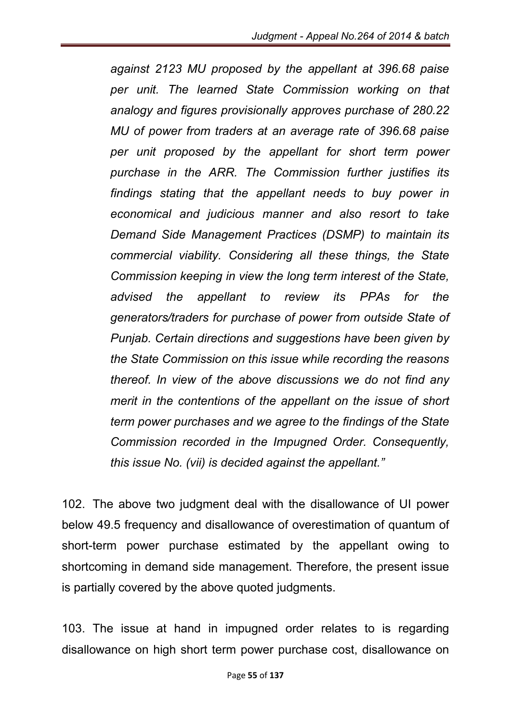*against 2123 MU proposed by the appellant at 396.68 paise per unit. The learned State Commission working on that analogy and figures provisionally approves purchase of 280.22 MU of power from traders at an average rate of 396.68 paise per unit proposed by the appellant for short term power purchase in the ARR. The Commission further justifies its findings stating that the appellant needs to buy power in economical and judicious manner and also resort to take Demand Side Management Practices (DSMP) to maintain its commercial viability. Considering all these things, the State Commission keeping in view the long term interest of the State, advised the appellant to review its PPAs for the generators/traders for purchase of power from outside State of Punjab. Certain directions and suggestions have been given by the State Commission on this issue while recording the reasons thereof. In view of the above discussions we do not find any merit in the contentions of the appellant on the issue of short term power purchases and we agree to the findings of the State Commission recorded in the Impugned Order. Consequently, this issue No. (vii) is decided against the appellant."*

102. The above two judgment deal with the disallowance of UI power below 49.5 frequency and disallowance of overestimation of quantum of short-term power purchase estimated by the appellant owing to shortcoming in demand side management. Therefore, the present issue is partially covered by the above quoted judgments.

103. The issue at hand in impugned order relates to is regarding disallowance on high short term power purchase cost, disallowance on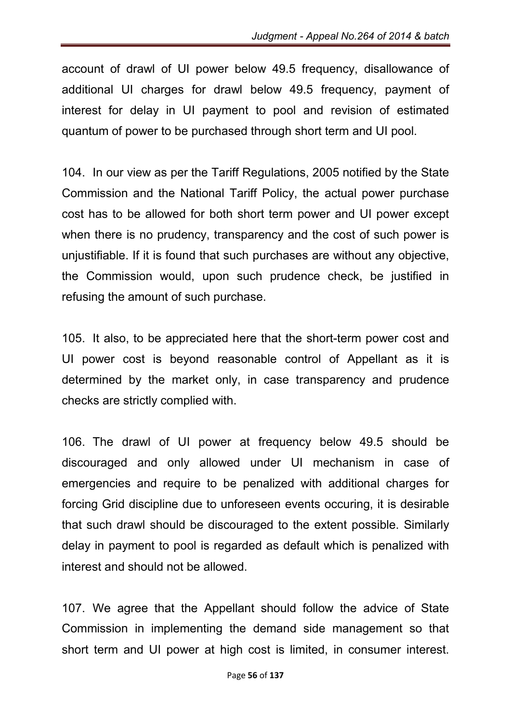account of drawl of UI power below 49.5 frequency, disallowance of additional UI charges for drawl below 49.5 frequency, payment of interest for delay in UI payment to pool and revision of estimated quantum of power to be purchased through short term and UI pool.

104. In our view as per the Tariff Regulations, 2005 notified by the State Commission and the National Tariff Policy, the actual power purchase cost has to be allowed for both short term power and UI power except when there is no prudency, transparency and the cost of such power is unjustifiable. If it is found that such purchases are without any objective, the Commission would, upon such prudence check, be justified in refusing the amount of such purchase.

105. It also, to be appreciated here that the short-term power cost and UI power cost is beyond reasonable control of Appellant as it is determined by the market only, in case transparency and prudence checks are strictly complied with.

106. The drawl of UI power at frequency below 49.5 should be discouraged and only allowed under UI mechanism in case of emergencies and require to be penalized with additional charges for forcing Grid discipline due to unforeseen events occuring, it is desirable that such drawl should be discouraged to the extent possible. Similarly delay in payment to pool is regarded as default which is penalized with interest and should not be allowed.

107. We agree that the Appellant should follow the advice of State Commission in implementing the demand side management so that short term and UI power at high cost is limited, in consumer interest.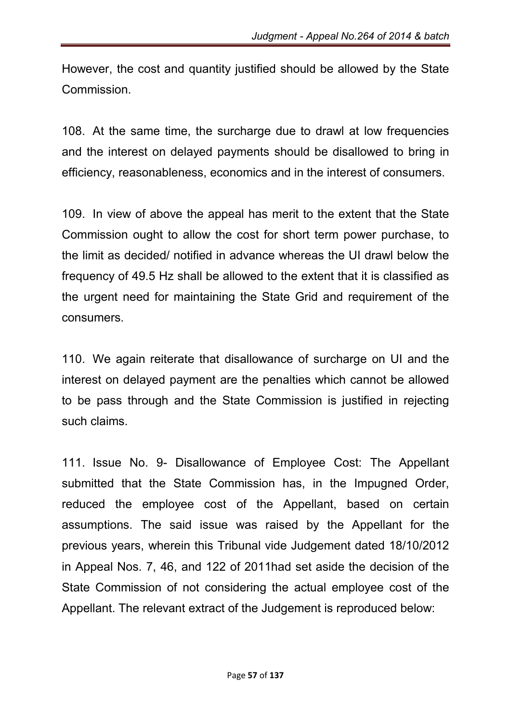However, the cost and quantity justified should be allowed by the State Commission.

108. At the same time, the surcharge due to drawl at low frequencies and the interest on delayed payments should be disallowed to bring in efficiency, reasonableness, economics and in the interest of consumers.

109. In view of above the appeal has merit to the extent that the State Commission ought to allow the cost for short term power purchase, to the limit as decided/ notified in advance whereas the UI drawl below the frequency of 49.5 Hz shall be allowed to the extent that it is classified as the urgent need for maintaining the State Grid and requirement of the consumers.

110. We again reiterate that disallowance of surcharge on UI and the interest on delayed payment are the penalties which cannot be allowed to be pass through and the State Commission is justified in rejecting such claims.

111. Issue No. 9- Disallowance of Employee Cost: The Appellant submitted that the State Commission has, in the Impugned Order, reduced the employee cost of the Appellant, based on certain assumptions. The said issue was raised by the Appellant for the previous years, wherein this Tribunal vide Judgement dated 18/10/2012 in Appeal Nos. 7, 46, and 122 of 2011had set aside the decision of the State Commission of not considering the actual employee cost of the Appellant. The relevant extract of the Judgement is reproduced below: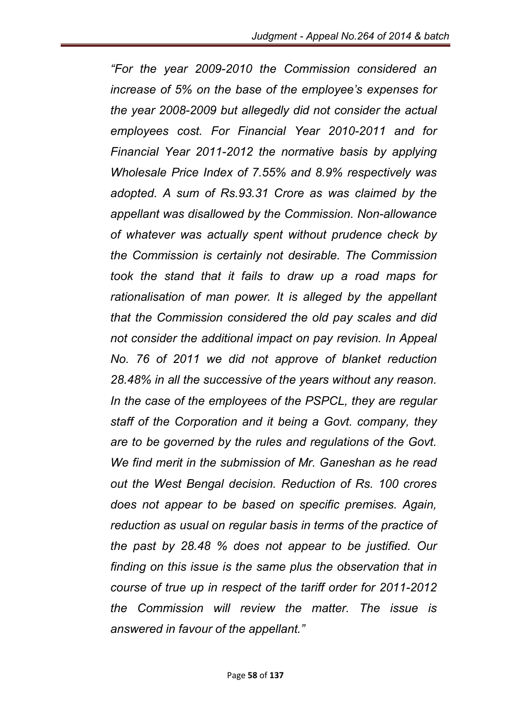*"For the year 2009-2010 the Commission considered an increase of 5% on the base of the employee's expenses for the year 2008-2009 but allegedly did not consider the actual employees cost. For Financial Year 2010-2011 and for Financial Year 2011-2012 the normative basis by applying Wholesale Price Index of 7.55% and 8.9% respectively was adopted. A sum of Rs.93.31 Crore as was claimed by the appellant was disallowed by the Commission. Non-allowance of whatever was actually spent without prudence check by the Commission is certainly not desirable. The Commission took the stand that it fails to draw up a road maps for rationalisation of man power. It is alleged by the appellant that the Commission considered the old pay scales and did not consider the additional impact on pay revision. In Appeal No. 76 of 2011 we did not approve of blanket reduction 28.48% in all the successive of the years without any reason. In the case of the employees of the PSPCL, they are regular staff of the Corporation and it being a Govt. company, they are to be governed by the rules and regulations of the Govt. We find merit in the submission of Mr. Ganeshan as he read out the West Bengal decision. Reduction of Rs. 100 crores does not appear to be based on specific premises. Again, reduction as usual on regular basis in terms of the practice of the past by 28.48 % does not appear to be justified. Our finding on this issue is the same plus the observation that in course of true up in respect of the tariff order for 2011-2012 the Commission will review the matter. The issue is answered in favour of the appellant."*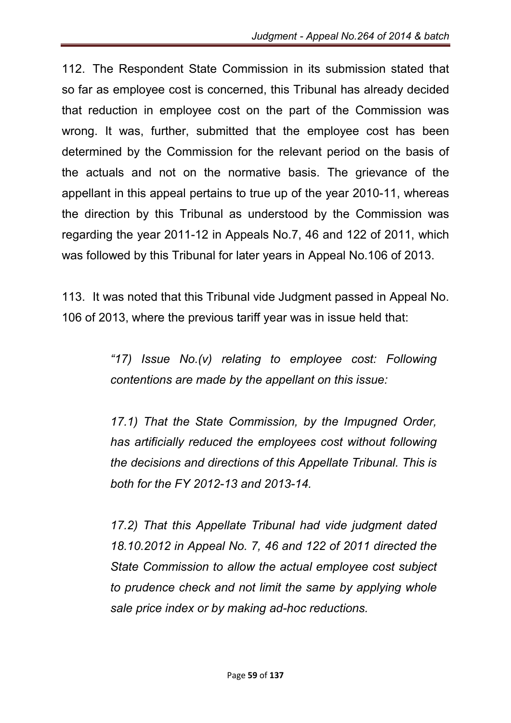112. The Respondent State Commission in its submission stated that so far as employee cost is concerned, this Tribunal has already decided that reduction in employee cost on the part of the Commission was wrong. It was, further, submitted that the employee cost has been determined by the Commission for the relevant period on the basis of the actuals and not on the normative basis. The grievance of the appellant in this appeal pertains to true up of the year 2010-11, whereas the direction by this Tribunal as understood by the Commission was regarding the year 2011-12 in Appeals No.7, 46 and 122 of 2011, which was followed by this Tribunal for later years in Appeal No.106 of 2013.

113. It was noted that this Tribunal vide Judgment passed in Appeal No. 106 of 2013, where the previous tariff year was in issue held that:

> *"17) Issue No.(v) relating to employee cost: Following contentions are made by the appellant on this issue:*

> *17.1) That the State Commission, by the Impugned Order, has artificially reduced the employees cost without following the decisions and directions of this Appellate Tribunal. This is both for the FY 2012-13 and 2013-14.*

> *17.2) That this Appellate Tribunal had vide judgment dated 18.10.2012 in Appeal No. 7, 46 and 122 of 2011 directed the State Commission to allow the actual employee cost subject to prudence check and not limit the same by applying whole sale price index or by making ad-hoc reductions.*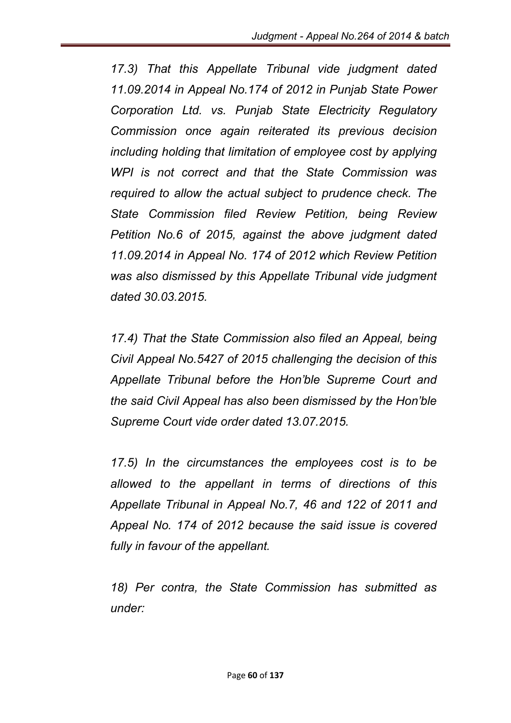*17.3) That this Appellate Tribunal vide judgment dated 11.09.2014 in Appeal No.174 of 2012 in Punjab State Power Corporation Ltd. vs. Punjab State Electricity Regulatory Commission once again reiterated its previous decision including holding that limitation of employee cost by applying WPI is not correct and that the State Commission was required to allow the actual subject to prudence check. The State Commission filed Review Petition, being Review Petition No.6 of 2015, against the above judgment dated 11.09.2014 in Appeal No. 174 of 2012 which Review Petition was also dismissed by this Appellate Tribunal vide judgment dated 30.03.2015.*

*17.4) That the State Commission also filed an Appeal, being Civil Appeal No.5427 of 2015 challenging the decision of this Appellate Tribunal before the Hon'ble Supreme Court and the said Civil Appeal has also been dismissed by the Hon'ble Supreme Court vide order dated 13.07.2015.*

*17.5) In the circumstances the employees cost is to be allowed to the appellant in terms of directions of this Appellate Tribunal in Appeal No.7, 46 and 122 of 2011 and Appeal No. 174 of 2012 because the said issue is covered fully in favour of the appellant.* 

*18) Per contra, the State Commission has submitted as under:*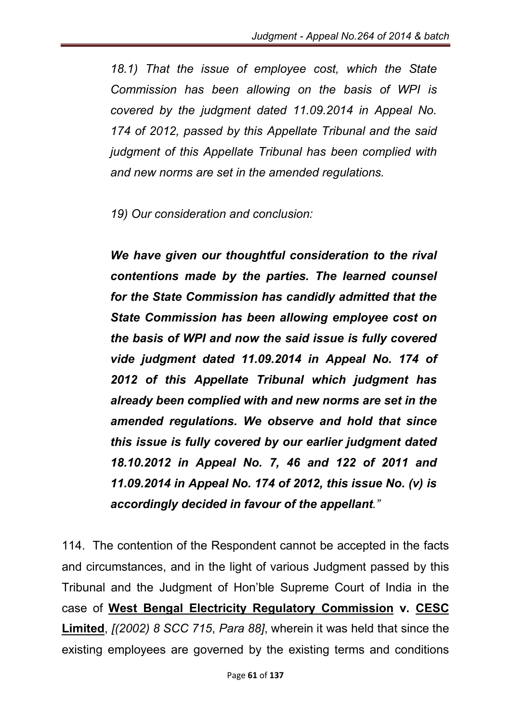*18.1) That the issue of employee cost, which the State Commission has been allowing on the basis of WPI is covered by the judgment dated 11.09.2014 in Appeal No. 174 of 2012, passed by this Appellate Tribunal and the said judgment of this Appellate Tribunal has been complied with and new norms are set in the amended regulations.* 

*19) Our consideration and conclusion:* 

*We have given our thoughtful consideration to the rival contentions made by the parties. The learned counsel for the State Commission has candidly admitted that the State Commission has been allowing employee cost on the basis of WPI and now the said issue is fully covered vide judgment dated 11.09.2014 in Appeal No. 174 of 2012 of this Appellate Tribunal which judgment has already been complied with and new norms are set in the amended regulations. We observe and hold that since this issue is fully covered by our earlier judgment dated 18.10.2012 in Appeal No. 7, 46 and 122 of 2011 and 11.09.2014 in Appeal No. 174 of 2012, this issue No. (v) is accordingly decided in favour of the appellant."*

114. The contention of the Respondent cannot be accepted in the facts and circumstances, and in the light of various Judgment passed by this Tribunal and the Judgment of Hon'ble Supreme Court of India in the case of West Bengal Electricity Regulatory Commission v. CESC Limited, *[(2002) 8 SCC 715*, *Para 88]*, wherein it was held that since the existing employees are governed by the existing terms and conditions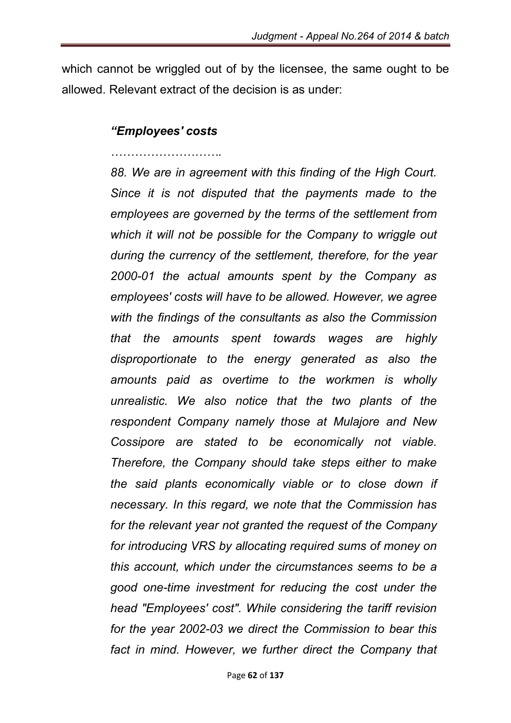which cannot be wriggled out of by the licensee, the same ought to be allowed. Relevant extract of the decision is as under:

#### *"Employees' costs*

*……………………….*

*88. We are in agreement with this finding of the High Court. Since it is not disputed that the payments made to the employees are governed by the terms of the settlement from which it will not be possible for the Company to wriggle out during the currency of the settlement, therefore, for the year 2000-01 the actual amounts spent by the Company as employees' costs will have to be allowed. However, we agree with the findings of the consultants as also the Commission that the amounts spent towards wages are highly disproportionate to the energy generated as also the amounts paid as overtime to the workmen is wholly unrealistic. We also notice that the two plants of the respondent Company namely those at Mulajore and New Cossipore are stated to be economically not viable. Therefore, the Company should take steps either to make the said plants economically viable or to close down if necessary. In this regard, we note that the Commission has for the relevant year not granted the request of the Company for introducing VRS by allocating required sums of money on this account, which under the circumstances seems to be a good one-time investment for reducing the cost under the head "Employees' cost". While considering the tariff revision for the year 2002-03 we direct the Commission to bear this*  fact in mind. However, we further direct the Company that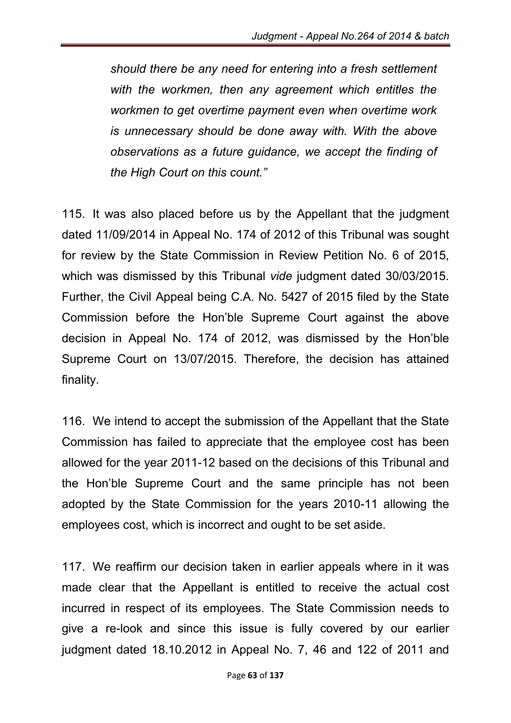*should there be any need for entering into a fresh settlement with the workmen, then any agreement which entitles the workmen to get overtime payment even when overtime work is unnecessary should be done away with. With the above observations as a future guidance, we accept the finding of the High Court on this count."*

115. It was also placed before us by the Appellant that the judgment dated 11/09/2014 in Appeal No. 174 of 2012 of this Tribunal was sought for review by the State Commission in Review Petition No. 6 of 2015, which was dismissed by this Tribunal *vide* judgment dated 30/03/2015. Further, the Civil Appeal being C.A. No. 5427 of 2015 filed by the State Commission before the Hon'ble Supreme Court against the above decision in Appeal No. 174 of 2012, was dismissed by the Hon'ble Supreme Court on 13/07/2015. Therefore, the decision has attained finality.

116. We intend to accept the submission of the Appellant that the State Commission has failed to appreciate that the employee cost has been allowed for the year 2011-12 based on the decisions of this Tribunal and the Hon'ble Supreme Court and the same principle has not been adopted by the State Commission for the years 2010-11 allowing the employees cost, which is incorrect and ought to be set aside.

117. We reaffirm our decision taken in earlier appeals where in it was made clear that the Appellant is entitled to receive the actual cost incurred in respect of its employees. The State Commission needs to give a re-look and since this issue is fully covered by our earlier judgment dated 18.10.2012 in Appeal No. 7, 46 and 122 of 2011 and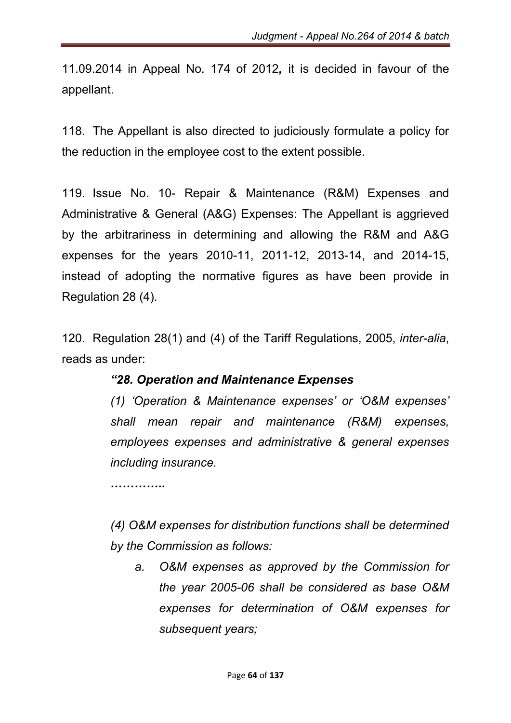11.09.2014 in Appeal No. 174 of 2012*,* it is decided in favour of the appellant.

118. The Appellant is also directed to judiciously formulate a policy for the reduction in the employee cost to the extent possible.

119. Issue No. 10- Repair & Maintenance (R&M) Expenses and Administrative & General (A&G) Expenses: The Appellant is aggrieved by the arbitrariness in determining and allowing the R&M and A&G expenses for the years 2010-11, 2011-12, 2013-14, and 2014-15, instead of adopting the normative figures as have been provide in Regulation 28 (4).

120. Regulation 28(1) and (4) of the Tariff Regulations, 2005, *inter-alia*, reads as under:

# *"28. Operation and Maintenance Expenses*

*(1) 'Operation & Maintenance expenses' or 'O&M expenses' shall mean repair and maintenance (R&M) expenses, employees expenses and administrative & general expenses including insurance.*

*…………..*

*(4) O&M expenses for distribution functions shall be determined by the Commission as follows:*

*a. O&M expenses as approved by the Commission for the year 2005-06 shall be considered as base O&M expenses for determination of O&M expenses for subsequent years;*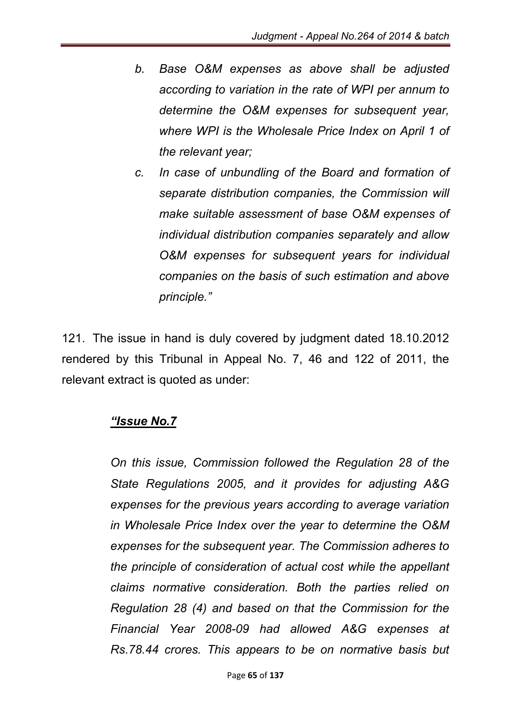- *b. Base O&M expenses as above shall be adjusted according to variation in the rate of WPI per annum to determine the O&M expenses for subsequent year, where WPI is the Wholesale Price Index on April 1 of the relevant year;*
- *c. In case of unbundling of the Board and formation of separate distribution companies, the Commission will make suitable assessment of base O&M expenses of individual distribution companies separately and allow O&M expenses for subsequent years for individual companies on the basis of such estimation and above principle."*

121. The issue in hand is duly covered by judgment dated 18.10.2012 rendered by this Tribunal in Appeal No. 7, 46 and 122 of 2011, the relevant extract is quoted as under:

# *"Issue No.7*

*On this issue, Commission followed the Regulation 28 of the State Regulations 2005, and it provides for adjusting A&G expenses for the previous years according to average variation in Wholesale Price Index over the year to determine the O&M expenses for the subsequent year. The Commission adheres to the principle of consideration of actual cost while the appellant claims normative consideration. Both the parties relied on Regulation 28 (4) and based on that the Commission for the Financial Year 2008-09 had allowed A&G expenses at Rs.78.44 crores. This appears to be on normative basis but*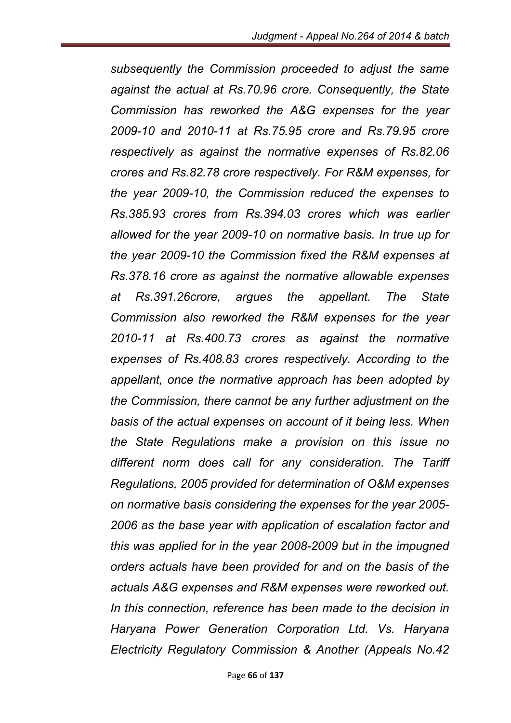*subsequently the Commission proceeded to adjust the same against the actual at Rs.70.96 crore. Consequently, the State Commission has reworked the A&G expenses for the year 2009-10 and 2010-11 at Rs.75.95 crore and Rs.79.95 crore respectively as against the normative expenses of Rs.82.06 crores and Rs.82.78 crore respectively. For R&M expenses, for the year 2009-10, the Commission reduced the expenses to Rs.385.93 crores from Rs.394.03 crores which was earlier allowed for the year 2009-10 on normative basis. In true up for the year 2009-10 the Commission fixed the R&M expenses at Rs.378.16 crore as against the normative allowable expenses at Rs.391.26crore, argues the appellant. The State Commission also reworked the R&M expenses for the year 2010-11 at Rs.400.73 crores as against the normative expenses of Rs.408.83 crores respectively. According to the appellant, once the normative approach has been adopted by the Commission, there cannot be any further adjustment on the basis of the actual expenses on account of it being less. When the State Regulations make a provision on this issue no different norm does call for any consideration. The Tariff Regulations, 2005 provided for determination of O&M expenses on normative basis considering the expenses for the year 2005- 2006 as the base year with application of escalation factor and this was applied for in the year 2008-2009 but in the impugned orders actuals have been provided for and on the basis of the actuals A&G expenses and R&M expenses were reworked out. In this connection, reference has been made to the decision in Haryana Power Generation Corporation Ltd. Vs. Haryana Electricity Regulatory Commission & Another (Appeals No.42*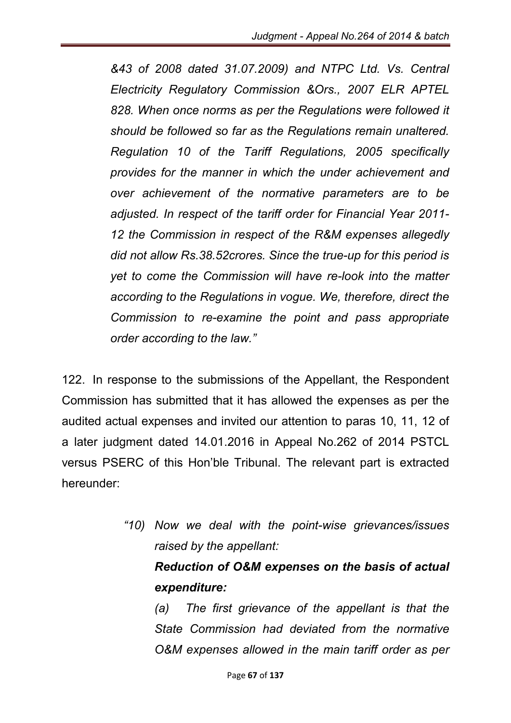*&43 of 2008 dated 31.07.2009) and NTPC Ltd. Vs. Central Electricity Regulatory Commission &Ors., 2007 ELR APTEL 828. When once norms as per the Regulations were followed it should be followed so far as the Regulations remain unaltered. Regulation 10 of the Tariff Regulations, 2005 specifically provides for the manner in which the under achievement and over achievement of the normative parameters are to be adjusted. In respect of the tariff order for Financial Year 2011- 12 the Commission in respect of the R&M expenses allegedly did not allow Rs.38.52crores. Since the true-up for this period is yet to come the Commission will have re-look into the matter according to the Regulations in vogue. We, therefore, direct the Commission to re-examine the point and pass appropriate order according to the law."*

122. In response to the submissions of the Appellant, the Respondent Commission has submitted that it has allowed the expenses as per the audited actual expenses and invited our attention to paras 10, 11, 12 of a later judgment dated 14.01.2016 in Appeal No.262 of 2014 PSTCL versus PSERC of this Hon'ble Tribunal. The relevant part is extracted hereunder:

> *"10) Now we deal with the point-wise grievances/issues raised by the appellant: Reduction of O&M expenses on the basis of actual expenditure: (a) The first grievance of the appellant is that the*

*State Commission had deviated from the normative O&M expenses allowed in the main tariff order as per*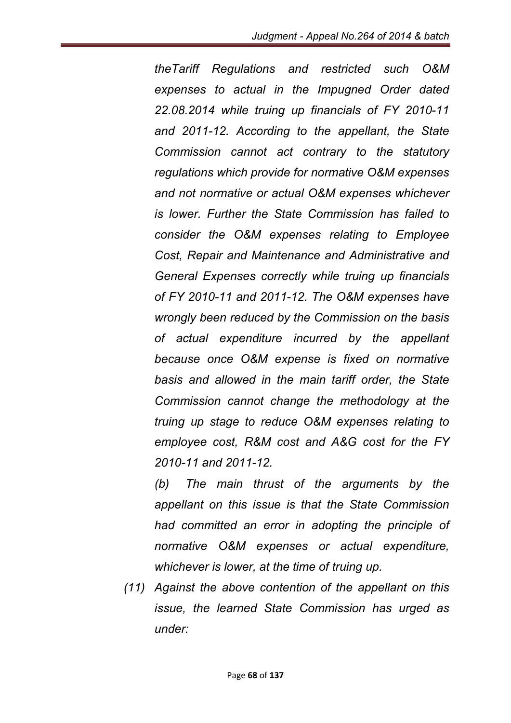*theTariff Regulations and restricted such O&M expenses to actual in the Impugned Order dated 22.08.2014 while truing up financials of FY 2010-11 and 2011-12. According to the appellant, the State Commission cannot act contrary to the statutory regulations which provide for normative O&M expenses and not normative or actual O&M expenses whichever is lower. Further the State Commission has failed to consider the O&M expenses relating to Employee Cost, Repair and Maintenance and Administrative and General Expenses correctly while truing up financials of FY 2010-11 and 2011-12. The O&M expenses have wrongly been reduced by the Commission on the basis of actual expenditure incurred by the appellant because once O&M expense is fixed on normative basis and allowed in the main tariff order, the State Commission cannot change the methodology at the truing up stage to reduce O&M expenses relating to employee cost, R&M cost and A&G cost for the FY 2010-11 and 2011-12.*

*(b) The main thrust of the arguments by the appellant on this issue is that the State Commission had committed an error in adopting the principle of normative O&M expenses or actual expenditure, whichever is lower, at the time of truing up.*

*(11) Against the above contention of the appellant on this issue, the learned State Commission has urged as under:*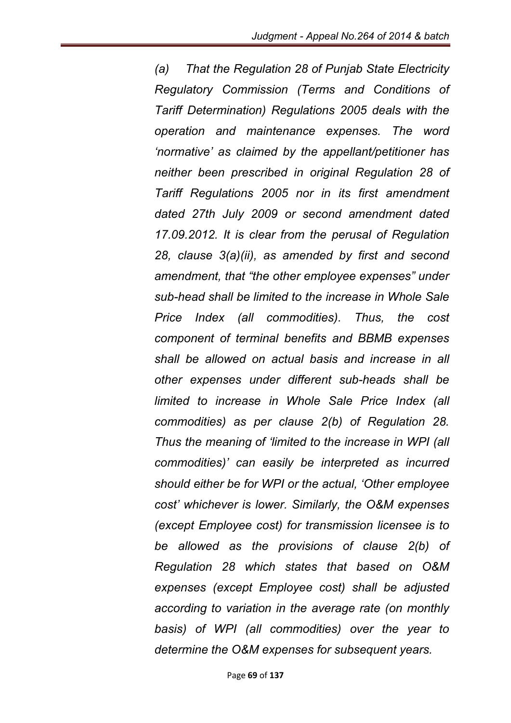*(a) That the Regulation 28 of Punjab State Electricity Regulatory Commission (Terms and Conditions of Tariff Determination) Regulations 2005 deals with the operation and maintenance expenses. The word 'normative' as claimed by the appellant/petitioner has neither been prescribed in original Regulation 28 of Tariff Regulations 2005 nor in its first amendment dated 27th July 2009 or second amendment dated 17.09.2012. It is clear from the perusal of Regulation 28, clause 3(a)(ii), as amended by first and second amendment, that "the other employee expenses" under sub-head shall be limited to the increase in Whole Sale Price Index (all commodities). Thus, the cost component of terminal benefits and BBMB expenses shall be allowed on actual basis and increase in all other expenses under different sub-heads shall be limited to increase in Whole Sale Price Index (all commodities) as per clause 2(b) of Regulation 28. Thus the meaning of 'limited to the increase in WPI (all commodities)' can easily be interpreted as incurred should either be for WPI or the actual, 'Other employee cost' whichever is lower. Similarly, the O&M expenses (except Employee cost) for transmission licensee is to be allowed as the provisions of clause 2(b) of Regulation 28 which states that based on O&M expenses (except Employee cost) shall be adjusted according to variation in the average rate (on monthly basis) of WPI (all commodities) over the year to determine the O&M expenses for subsequent years.*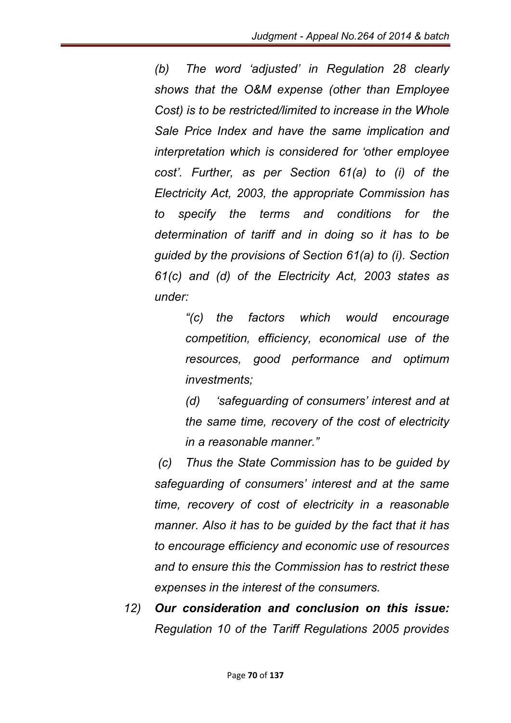*(b) The word 'adjusted' in Regulation 28 clearly shows that the O&M expense (other than Employee Cost) is to be restricted/limited to increase in the Whole Sale Price Index and have the same implication and interpretation which is considered for 'other employee cost'. Further, as per Section 61(a) to (i) of the Electricity Act, 2003, the appropriate Commission has to specify the terms and conditions for the determination of tariff and in doing so it has to be guided by the provisions of Section 61(a) to (i). Section 61(c) and (d) of the Electricity Act, 2003 states as under:*

> *"(c) the factors which would encourage competition, efficiency, economical use of the resources, good performance and optimum investments;*

> *(d) 'safeguarding of consumers' interest and at the same time, recovery of the cost of electricity in a reasonable manner."*

*(c) Thus the State Commission has to be guided by safeguarding of consumers' interest and at the same time, recovery of cost of electricity in a reasonable manner. Also it has to be guided by the fact that it has to encourage efficiency and economic use of resources and to ensure this the Commission has to restrict these expenses in the interest of the consumers.*

*12) Our consideration and conclusion on this issue: Regulation 10 of the Tariff Regulations 2005 provides*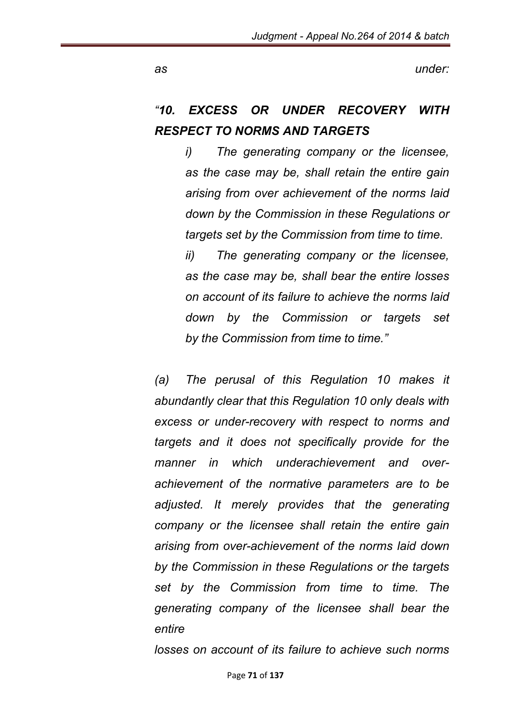*as under:*

# *"10. EXCESS OR UNDER RECOVERY WITH RESPECT TO NORMS AND TARGETS*

*i) The generating company or the licensee, as the case may be, shall retain the entire gain arising from over achievement of the norms laid down by the Commission in these Regulations or targets set by the Commission from time to time.*

*ii) The generating company or the licensee, as the case may be, shall bear the entire losses on account of its failure to achieve the norms laid down by the Commission or targets set by the Commission from time to time."*

*(a) The perusal of this Regulation 10 makes it abundantly clear that this Regulation 10 only deals with excess or under-recovery with respect to norms and targets and it does not specifically provide for the manner in which underachievement and overachievement of the normative parameters are to be adjusted. It merely provides that the generating company or the licensee shall retain the entire gain arising from over-achievement of the norms laid down by the Commission in these Regulations or the targets set by the Commission from time to time. The generating company of the licensee shall bear the entire*

*losses on account of its failure to achieve such norms*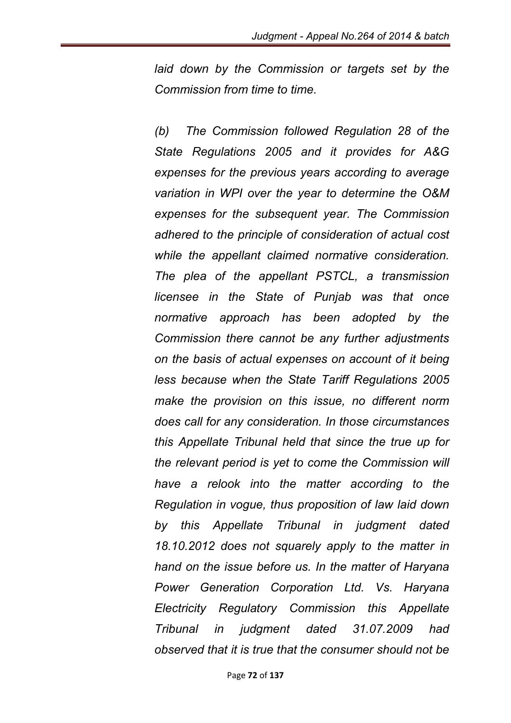*laid down by the Commission or targets set by the Commission from time to time.*

*(b) The Commission followed Regulation 28 of the State Regulations 2005 and it provides for A&G expenses for the previous years according to average variation in WPI over the year to determine the O&M expenses for the subsequent year. The Commission adhered to the principle of consideration of actual cost while the appellant claimed normative consideration. The plea of the appellant PSTCL, a transmission licensee in the State of Punjab was that once normative approach has been adopted by the Commission there cannot be any further adjustments on the basis of actual expenses on account of it being less because when the State Tariff Regulations 2005 make the provision on this issue, no different norm does call for any consideration. In those circumstances this Appellate Tribunal held that since the true up for the relevant period is yet to come the Commission will have a relook into the matter according to the Regulation in vogue, thus proposition of law laid down by this Appellate Tribunal in judgment dated 18.10.2012 does not squarely apply to the matter in hand on the issue before us. In the matter of Haryana Power Generation Corporation Ltd. Vs. Haryana Electricity Regulatory Commission this Appellate Tribunal in judgment dated 31.07.2009 had observed that it is true that the consumer should not be*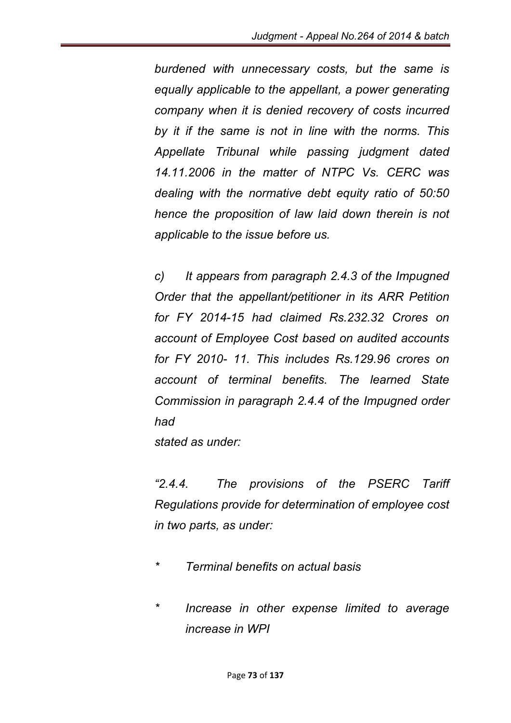*burdened with unnecessary costs, but the same is equally applicable to the appellant, a power generating company when it is denied recovery of costs incurred by it if the same is not in line with the norms. This Appellate Tribunal while passing judgment dated 14.11.2006 in the matter of NTPC Vs. CERC was dealing with the normative debt equity ratio of 50:50 hence the proposition of law laid down therein is not applicable to the issue before us.* 

*c) It appears from paragraph 2.4.3 of the Impugned Order that the appellant/petitioner in its ARR Petition for FY 2014-15 had claimed Rs.232.32 Crores on account of Employee Cost based on audited accounts for FY 2010- 11. This includes Rs.129.96 crores on account of terminal benefits. The learned State Commission in paragraph 2.4.4 of the Impugned order had*

*stated as under:*

*"2.4.4. The provisions of the PSERC Tariff Regulations provide for determination of employee cost in two parts, as under:* 

- *\* Terminal benefits on actual basis*
- *\* Increase in other expense limited to average increase in WPI*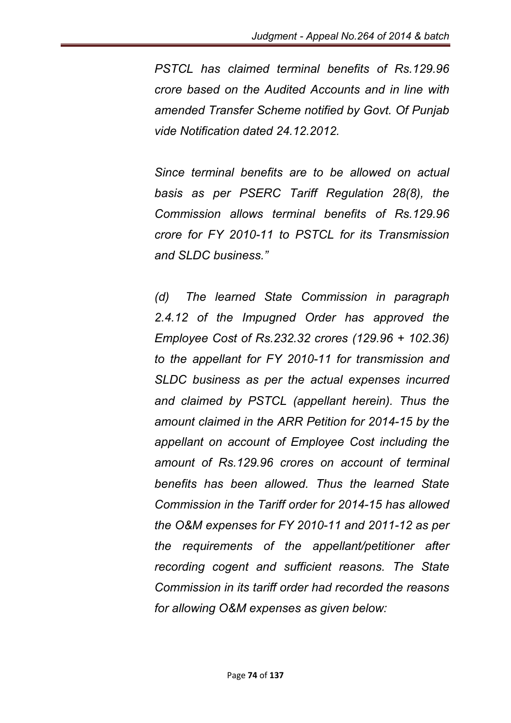*PSTCL has claimed terminal benefits of Rs.129.96 crore based on the Audited Accounts and in line with amended Transfer Scheme notified by Govt. Of Punjab vide Notification dated 24.12.2012.* 

*Since terminal benefits are to be allowed on actual basis as per PSERC Tariff Regulation 28(8), the Commission allows terminal benefits of Rs.129.96 crore for FY 2010-11 to PSTCL for its Transmission and SLDC business."*

*(d) The learned State Commission in paragraph*  2.4.12 of the Impugned Order has approved the *Employee Cost of Rs.232.32 crores (129.96 + 102.36) to the appellant for FY 2010-11 for transmission and SLDC business as per the actual expenses incurred and claimed by PSTCL (appellant herein). Thus the amount claimed in the ARR Petition for 2014-15 by the appellant on account of Employee Cost including the amount of Rs.129.96 crores on account of terminal benefits has been allowed. Thus the learned State Commission in the Tariff order for 2014-15 has allowed the O&M expenses for FY 2010-11 and 2011-12 as per the requirements of the appellant/petitioner after recording cogent and sufficient reasons. The State Commission in its tariff order had recorded the reasons for allowing O&M expenses as given below:*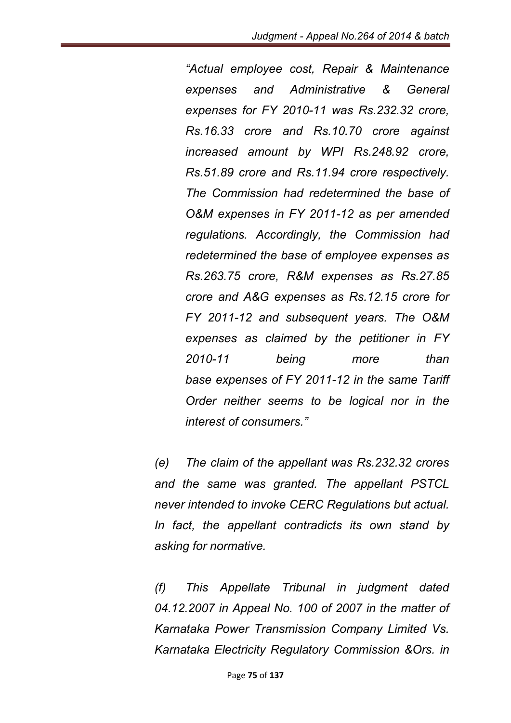*"Actual employee cost, Repair & Maintenance expenses and Administrative & General expenses for FY 2010-11 was Rs.232.32 crore, Rs.16.33 crore and Rs.10.70 crore against increased amount by WPI Rs.248.92 crore, Rs.51.89 crore and Rs.11.94 crore respectively. The Commission had redetermined the base of O&M expenses in FY 2011-12 as per amended regulations. Accordingly, the Commission had redetermined the base of employee expenses as Rs.263.75 crore, R&M expenses as Rs.27.85 crore and A&G expenses as Rs.12.15 crore for FY 2011-12 and subsequent years. The O&M expenses as claimed by the petitioner in FY 2010-11 being more than base expenses of FY 2011-12 in the same Tariff Order neither seems to be logical nor in the interest of consumers."* 

*(e) The claim of the appellant was Rs.232.32 crores and the same was granted. The appellant PSTCL never intended to invoke CERC Regulations but actual. In fact, the appellant contradicts its own stand by asking for normative.*

*(f) This Appellate Tribunal in judgment dated 04.12.2007 in Appeal No. 100 of 2007 in the matter of Karnataka Power Transmission Company Limited Vs. Karnataka Electricity Regulatory Commission &Ors. in*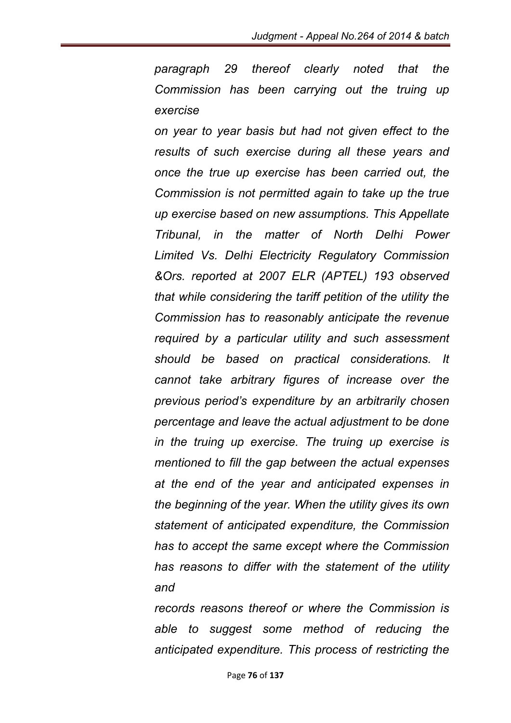*paragraph 29 thereof clearly noted that the Commission has been carrying out the truing up exercise*

*on year to year basis but had not given effect to the results of such exercise during all these years and once the true up exercise has been carried out, the Commission is not permitted again to take up the true up exercise based on new assumptions. This Appellate Tribunal, in the matter of North Delhi Power Limited Vs. Delhi Electricity Regulatory Commission &Ors. reported at 2007 ELR (APTEL) 193 observed that while considering the tariff petition of the utility the Commission has to reasonably anticipate the revenue required by a particular utility and such assessment should be based on practical considerations. It cannot take arbitrary figures of increase over the previous period's expenditure by an arbitrarily chosen percentage and leave the actual adjustment to be done in the truing up exercise. The truing up exercise is mentioned to fill the gap between the actual expenses at the end of the year and anticipated expenses in the beginning of the year. When the utility gives its own statement of anticipated expenditure, the Commission has to accept the same except where the Commission has reasons to differ with the statement of the utility and*

*records reasons thereof or where the Commission is able to suggest some method of reducing the anticipated expenditure. This process of restricting the*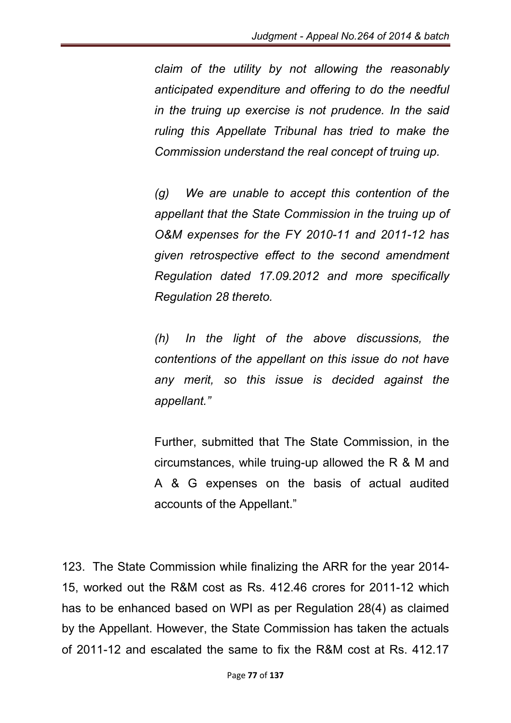*claim of the utility by not allowing the reasonably anticipated expenditure and offering to do the needful in the truing up exercise is not prudence. In the said ruling this Appellate Tribunal has tried to make the Commission understand the real concept of truing up.*

*(g) We are unable to accept this contention of the appellant that the State Commission in the truing up of O&M expenses for the FY 2010-11 and 2011-12 has given retrospective effect to the second amendment Regulation dated 17.09.2012 and more specifically Regulation 28 thereto.*

*(h) In the light of the above discussions, the contentions of the appellant on this issue do not have any merit, so this issue is decided against the appellant."*

Further, submitted that The State Commission, in the circumstances, while truing-up allowed the R & M and A & G expenses on the basis of actual audited accounts of the Appellant."

123. The State Commission while finalizing the ARR for the year 2014- 15, worked out the R&M cost as Rs. 412.46 crores for 2011-12 which has to be enhanced based on WPI as per Regulation 28(4) as claimed by the Appellant. However, the State Commission has taken the actuals of 2011-12 and escalated the same to fix the R&M cost at Rs. 412.17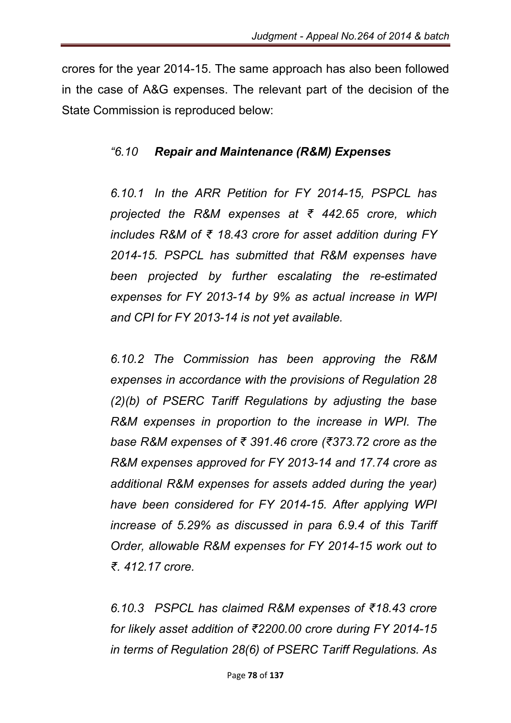crores for the year 2014-15. The same approach has also been followed in the case of A&G expenses. The relevant part of the decision of the State Commission is reproduced below:

### *"6.10 Repair and Maintenance (R&M) Expenses*

*6.10.1 In the ARR Petition for FY 2014-15, PSPCL has projected the R&M expenses at ₹ 442.65 crore, which includes R&M of ₹ 18.43 crore for asset addition during FY 2014-15. PSPCL has submitted that R&M expenses have been projected by further escalating the re-estimated expenses for FY 2013-14 by 9% as actual increase in WPI and CPI for FY 2013-14 is not yet available.*

*6.10.2 The Commission has been approving the R&M expenses in accordance with the provisions of Regulation 28 (2)(b) of PSERC Tariff Regulations by adjusting the base R&M expenses in proportion to the increase in WPI. The base R&M expenses of ₹ 391.46 crore (₹373.72 crore as the R&M expenses approved for FY 2013-14 and 17.74 crore as additional R&M expenses for assets added during the year) have been considered for FY 2014-15. After applying WPI increase of 5.29% as discussed in para 6.9.4 of this Tariff Order, allowable R&M expenses for FY 2014-15 work out to ₹. 412.17 crore.*

*6.10.3 PSPCL has claimed R&M expenses of ₹18.43 crore for likely asset addition of ₹2200.00 crore during FY 2014-15 in terms of Regulation 28(6) of PSERC Tariff Regulations. As*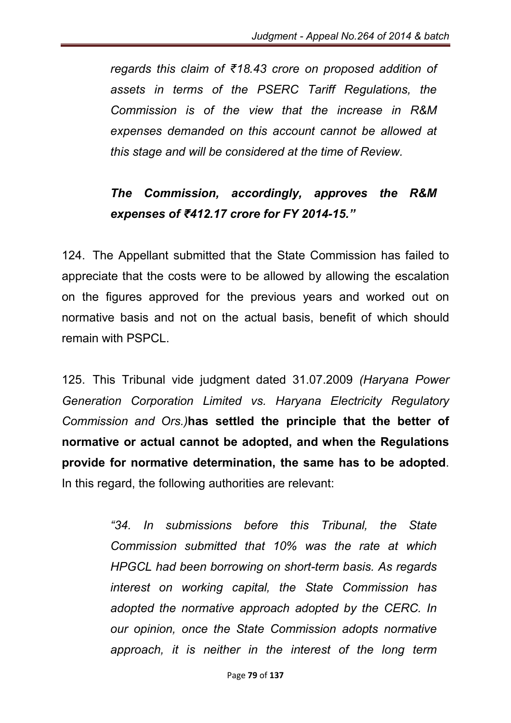*regards this claim of ₹18.43 crore on proposed addition of assets in terms of the PSERC Tariff Regulations, the Commission is of the view that the increase in R&M expenses demanded on this account cannot be allowed at this stage and will be considered at the time of Review.*

### *The Commission, accordingly, approves the R&M expenses of ₹412.17 crore for FY 2014-15."*

124. The Appellant submitted that the State Commission has failed to appreciate that the costs were to be allowed by allowing the escalation on the figures approved for the previous years and worked out on normative basis and not on the actual basis, benefit of which should remain with PSPCL.

125. This Tribunal vide judgment dated 31.07.2009 *(Haryana Power Generation Corporation Limited vs. Haryana Electricity Regulatory Commission and Ors.)*has settled the principle that the better of normative or actual cannot be adopted, and when the Regulations provide for normative determination, the same has to be adopted. In this regard, the following authorities are relevant:

> *"34. In submissions before this Tribunal, the State Commission submitted that 10% was the rate at which HPGCL had been borrowing on short-term basis. As regards interest on working capital, the State Commission has adopted the normative approach adopted by the CERC. In our opinion, once the State Commission adopts normative approach, it is neither in the interest of the long term*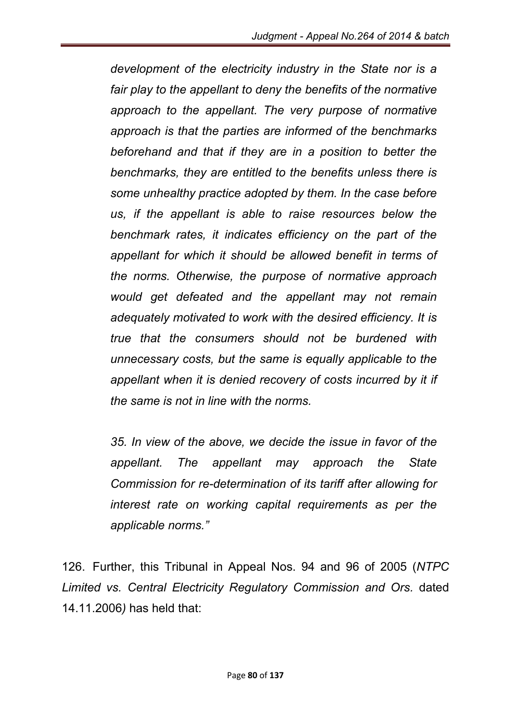*development of the electricity industry in the State nor is a fair play to the appellant to deny the benefits of the normative approach to the appellant. The very purpose of normative approach is that the parties are informed of the benchmarks beforehand and that if they are in a position to better the benchmarks, they are entitled to the benefits unless there is some unhealthy practice adopted by them. In the case before us, if the appellant is able to raise resources below the benchmark rates, it indicates efficiency on the part of the appellant for which it should be allowed benefit in terms of the norms. Otherwise, the purpose of normative approach would get defeated and the appellant may not remain adequately motivated to work with the desired efficiency. It is true that the consumers should not be burdened with unnecessary costs, but the same is equally applicable to the*  appellant when it is denied recovery of costs incurred by it if *the same is not in line with the norms.* 

*35. In view of the above, we decide the issue in favor of the appellant. The appellant may approach the State Commission for re-determination of its tariff after allowing for interest rate on working capital requirements as per the applicable norms."*

126. Further, this Tribunal in Appeal Nos. 94 and 96 of 2005 (*NTPC Limited vs. Central Electricity Regulatory Commission and Ors.* dated 14.11.2006*)* has held that: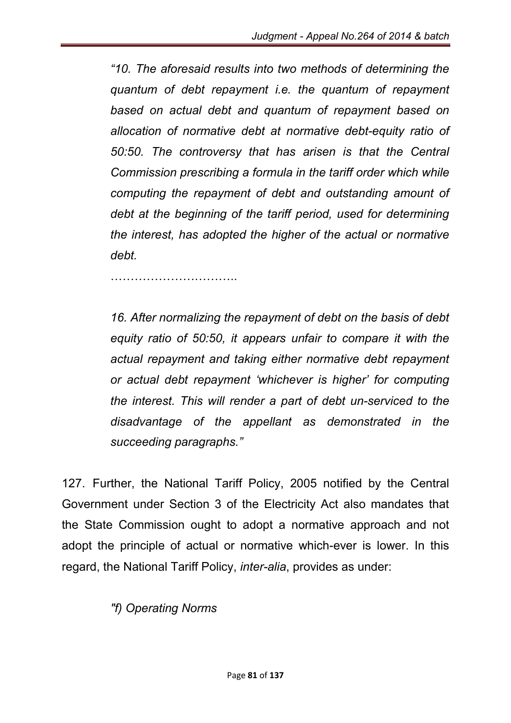*"10. The aforesaid results into two methods of determining the quantum of debt repayment i.e. the quantum of repayment based on actual debt and quantum of repayment based on allocation of normative debt at normative debt-equity ratio of 50:50. The controversy that has arisen is that the Central Commission prescribing a formula in the tariff order which while computing the repayment of debt and outstanding amount of debt at the beginning of the tariff period, used for determining the interest, has adopted the higher of the actual or normative debt.*

…………………………..

*16. After normalizing the repayment of debt on the basis of debt equity ratio of 50:50, it appears unfair to compare it with the actual repayment and taking either normative debt repayment or actual debt repayment 'whichever is higher' for computing the interest. This will render a part of debt un-serviced to the disadvantage of the appellant as demonstrated in the succeeding paragraphs."*

127. Further, the National Tariff Policy, 2005 notified by the Central Government under Section 3 of the Electricity Act also mandates that the State Commission ought to adopt a normative approach and not adopt the principle of actual or normative which-ever is lower. In this regard, the National Tariff Policy, *inter-alia*, provides as under:

*"f) Operating Norms*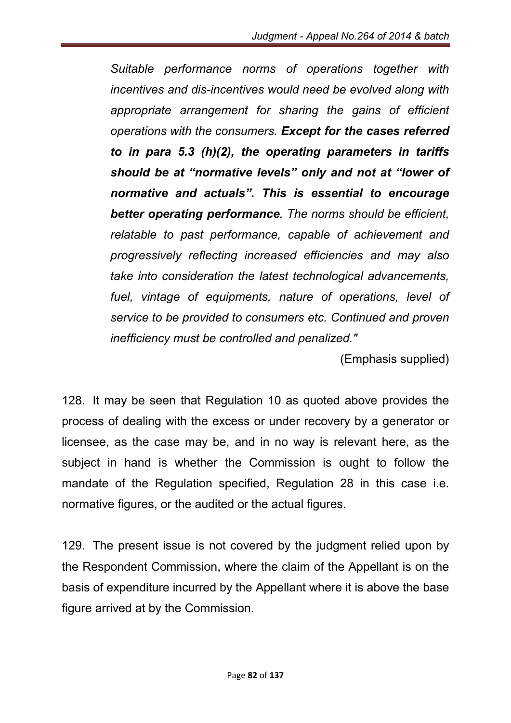*Suitable performance norms of operations together with incentives and dis-incentives would need be evolved along with appropriate arrangement for sharing the gains of efficient operations with the consumers. Except for the cases referred to in para 5.3 (h)(2), the operating parameters in tariffs should be at "normative levels" only and not at "lower of normative and actuals". This is essential to encourage better operating performance. The norms should be efficient, relatable to past performance, capable of achievement and progressively reflecting increased efficiencies and may also take into consideration the latest technological advancements, fuel, vintage of equipments, nature of operations, level of service to be provided to consumers etc. Continued and proven inefficiency must be controlled and penalized."*

(Emphasis supplied)

128. It may be seen that Regulation 10 as quoted above provides the process of dealing with the excess or under recovery by a generator or licensee, as the case may be, and in no way is relevant here, as the subject in hand is whether the Commission is ought to follow the mandate of the Regulation specified, Regulation 28 in this case i.e. normative figures, or the audited or the actual figures.

129. The present issue is not covered by the judgment relied upon by the Respondent Commission, where the claim of the Appellant is on the basis of expenditure incurred by the Appellant where it is above the base figure arrived at by the Commission.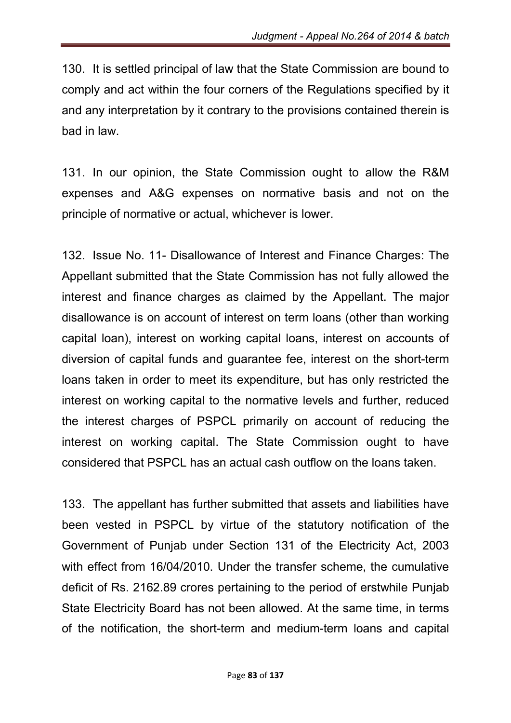130. It is settled principal of law that the State Commission are bound to comply and act within the four corners of the Regulations specified by it and any interpretation by it contrary to the provisions contained therein is bad in law.

131. In our opinion, the State Commission ought to allow the R&M expenses and A&G expenses on normative basis and not on the principle of normative or actual, whichever is lower.

132. Issue No. 11- Disallowance of Interest and Finance Charges: The Appellant submitted that the State Commission has not fully allowed the interest and finance charges as claimed by the Appellant. The major disallowance is on account of interest on term loans (other than working capital loan), interest on working capital loans, interest on accounts of diversion of capital funds and guarantee fee, interest on the short-term loans taken in order to meet its expenditure, but has only restricted the interest on working capital to the normative levels and further, reduced the interest charges of PSPCL primarily on account of reducing the interest on working capital. The State Commission ought to have considered that PSPCL has an actual cash outflow on the loans taken.

133. The appellant has further submitted that assets and liabilities have been vested in PSPCL by virtue of the statutory notification of the Government of Punjab under Section 131 of the Electricity Act, 2003 with effect from 16/04/2010. Under the transfer scheme, the cumulative deficit of Rs. 2162.89 crores pertaining to the period of erstwhile Punjab State Electricity Board has not been allowed. At the same time, in terms of the notification, the short-term and medium-term loans and capital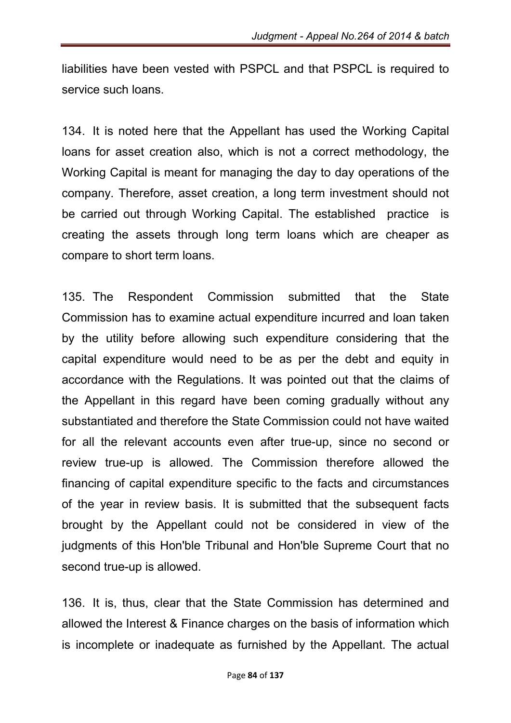liabilities have been vested with PSPCL and that PSPCL is required to service such loans.

134. It is noted here that the Appellant has used the Working Capital loans for asset creation also, which is not a correct methodology, the Working Capital is meant for managing the day to day operations of the company. Therefore, asset creation, a long term investment should not be carried out through Working Capital. The established practice is creating the assets through long term loans which are cheaper as compare to short term loans.

135. The Respondent Commission submitted that the State Commission has to examine actual expenditure incurred and loan taken by the utility before allowing such expenditure considering that the capital expenditure would need to be as per the debt and equity in accordance with the Regulations. It was pointed out that the claims of the Appellant in this regard have been coming gradually without any substantiated and therefore the State Commission could not have waited for all the relevant accounts even after true-up, since no second or review true-up is allowed. The Commission therefore allowed the financing of capital expenditure specific to the facts and circumstances of the year in review basis. It is submitted that the subsequent facts brought by the Appellant could not be considered in view of the judgments of this Hon'ble Tribunal and Hon'ble Supreme Court that no second true-up is allowed.

136. It is, thus, clear that the State Commission has determined and allowed the Interest & Finance charges on the basis of information which is incomplete or inadequate as furnished by the Appellant. The actual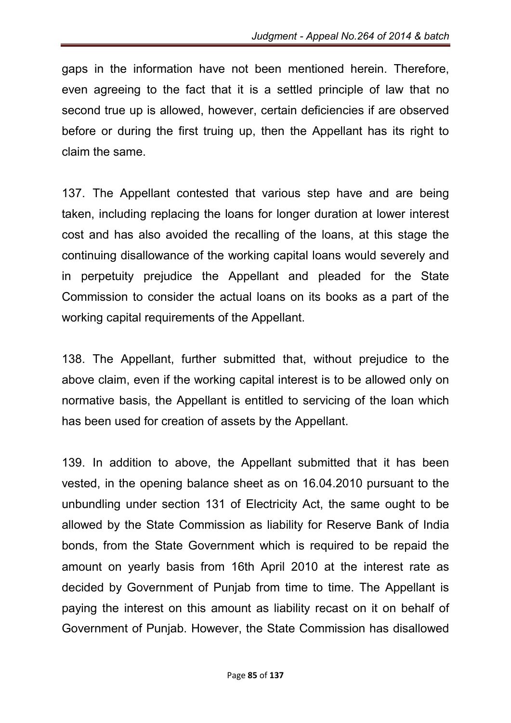gaps in the information have not been mentioned herein. Therefore, even agreeing to the fact that it is a settled principle of law that no second true up is allowed, however, certain deficiencies if are observed before or during the first truing up, then the Appellant has its right to claim the same.

137. The Appellant contested that various step have and are being taken, including replacing the loans for longer duration at lower interest cost and has also avoided the recalling of the loans, at this stage the continuing disallowance of the working capital loans would severely and in perpetuity prejudice the Appellant and pleaded for the State Commission to consider the actual loans on its books as a part of the working capital requirements of the Appellant.

138. The Appellant, further submitted that, without prejudice to the above claim, even if the working capital interest is to be allowed only on normative basis, the Appellant is entitled to servicing of the loan which has been used for creation of assets by the Appellant.

139. In addition to above, the Appellant submitted that it has been vested, in the opening balance sheet as on 16.04.2010 pursuant to the unbundling under section 131 of Electricity Act, the same ought to be allowed by the State Commission as liability for Reserve Bank of India bonds, from the State Government which is required to be repaid the amount on yearly basis from 16th April 2010 at the interest rate as decided by Government of Punjab from time to time. The Appellant is paying the interest on this amount as liability recast on it on behalf of Government of Punjab. However, the State Commission has disallowed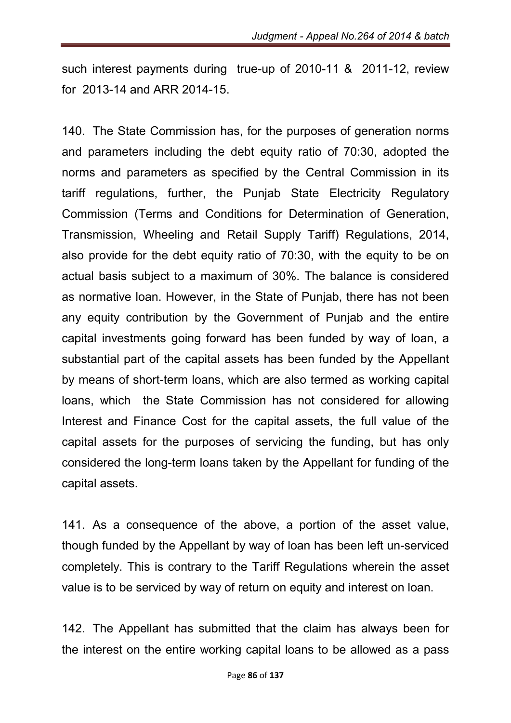such interest payments during true-up of 2010-11 & 2011-12, review for 2013-14 and ARR 2014-15.

140. The State Commission has, for the purposes of generation norms and parameters including the debt equity ratio of 70:30, adopted the norms and parameters as specified by the Central Commission in its tariff regulations, further, the Punjab State Electricity Regulatory Commission (Terms and Conditions for Determination of Generation, Transmission, Wheeling and Retail Supply Tariff) Regulations, 2014, also provide for the debt equity ratio of 70:30, with the equity to be on actual basis subject to a maximum of 30%. The balance is considered as normative loan. However, in the State of Punjab, there has not been any equity contribution by the Government of Punjab and the entire capital investments going forward has been funded by way of loan, a substantial part of the capital assets has been funded by the Appellant by means of short-term loans, which are also termed as working capital loans, which the State Commission has not considered for allowing Interest and Finance Cost for the capital assets, the full value of the capital assets for the purposes of servicing the funding, but has only considered the long-term loans taken by the Appellant for funding of the capital assets.

141. As a consequence of the above, a portion of the asset value, though funded by the Appellant by way of loan has been left un-serviced completely. This is contrary to the Tariff Regulations wherein the asset value is to be serviced by way of return on equity and interest on loan.

142. The Appellant has submitted that the claim has always been for the interest on the entire working capital loans to be allowed as a pass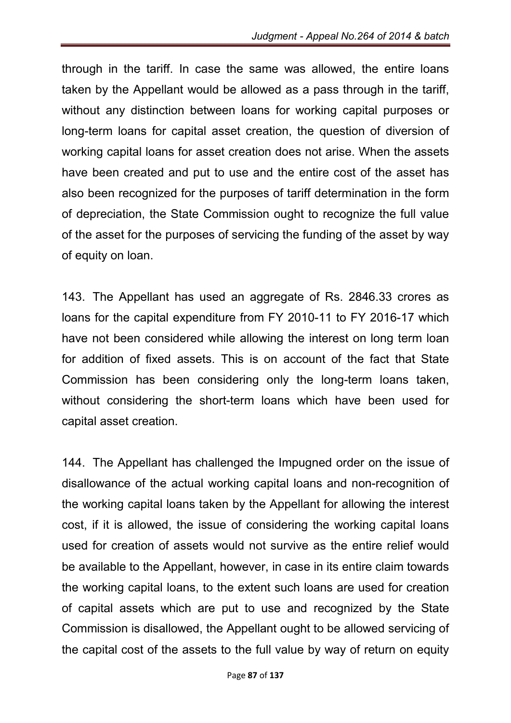through in the tariff. In case the same was allowed, the entire loans taken by the Appellant would be allowed as a pass through in the tariff, without any distinction between loans for working capital purposes or long-term loans for capital asset creation, the question of diversion of working capital loans for asset creation does not arise. When the assets have been created and put to use and the entire cost of the asset has also been recognized for the purposes of tariff determination in the form of depreciation, the State Commission ought to recognize the full value of the asset for the purposes of servicing the funding of the asset by way of equity on loan.

143. The Appellant has used an aggregate of Rs. 2846.33 crores as loans for the capital expenditure from FY 2010-11 to FY 2016-17 which have not been considered while allowing the interest on long term loan for addition of fixed assets. This is on account of the fact that State Commission has been considering only the long-term loans taken, without considering the short-term loans which have been used for capital asset creation.

144. The Appellant has challenged the Impugned order on the issue of disallowance of the actual working capital loans and non-recognition of the working capital loans taken by the Appellant for allowing the interest cost, if it is allowed, the issue of considering the working capital loans used for creation of assets would not survive as the entire relief would be available to the Appellant, however, in case in its entire claim towards the working capital loans, to the extent such loans are used for creation of capital assets which are put to use and recognized by the State Commission is disallowed, the Appellant ought to be allowed servicing of the capital cost of the assets to the full value by way of return on equity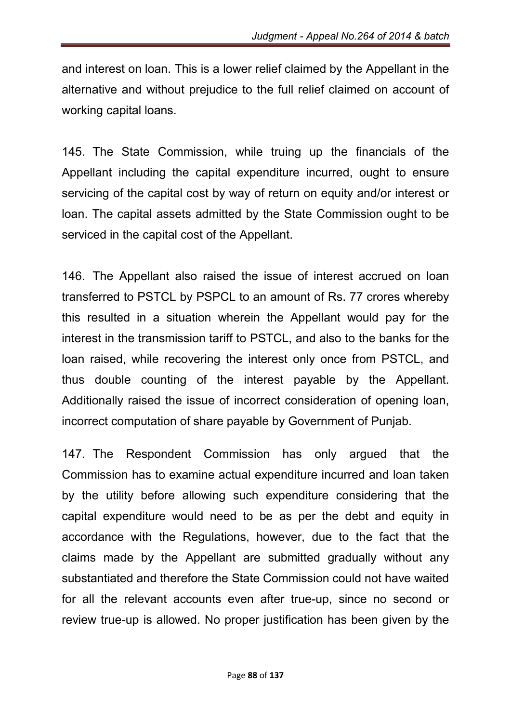and interest on loan. This is a lower relief claimed by the Appellant in the alternative and without prejudice to the full relief claimed on account of working capital loans.

145. The State Commission, while truing up the financials of the Appellant including the capital expenditure incurred, ought to ensure servicing of the capital cost by way of return on equity and/or interest or loan. The capital assets admitted by the State Commission ought to be serviced in the capital cost of the Appellant.

146. The Appellant also raised the issue of interest accrued on loan transferred to PSTCL by PSPCL to an amount of Rs. 77 crores whereby this resulted in a situation wherein the Appellant would pay for the interest in the transmission tariff to PSTCL, and also to the banks for the loan raised, while recovering the interest only once from PSTCL, and thus double counting of the interest payable by the Appellant. Additionally raised the issue of incorrect consideration of opening loan, incorrect computation of share payable by Government of Punjab.

147. The Respondent Commission has only argued that the Commission has to examine actual expenditure incurred and loan taken by the utility before allowing such expenditure considering that the capital expenditure would need to be as per the debt and equity in accordance with the Regulations, however, due to the fact that the claims made by the Appellant are submitted gradually without any substantiated and therefore the State Commission could not have waited for all the relevant accounts even after true-up, since no second or review true-up is allowed. No proper justification has been given by the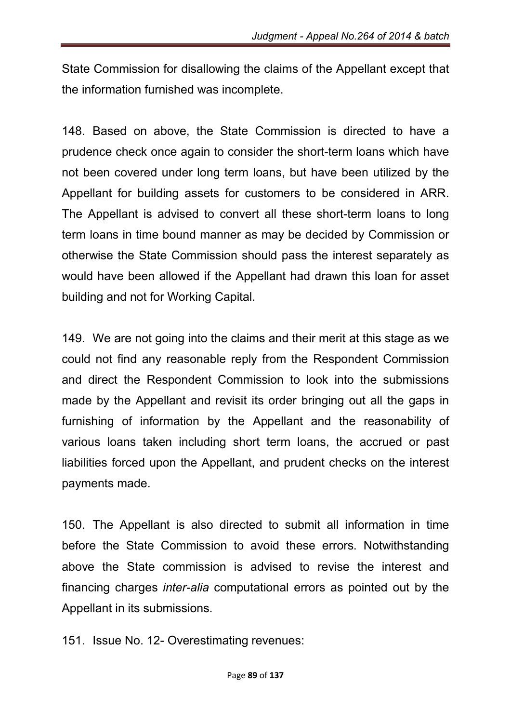State Commission for disallowing the claims of the Appellant except that the information furnished was incomplete.

148. Based on above, the State Commission is directed to have a prudence check once again to consider the short-term loans which have not been covered under long term loans, but have been utilized by the Appellant for building assets for customers to be considered in ARR. The Appellant is advised to convert all these short-term loans to long term loans in time bound manner as may be decided by Commission or otherwise the State Commission should pass the interest separately as would have been allowed if the Appellant had drawn this loan for asset building and not for Working Capital.

149. We are not going into the claims and their merit at this stage as we could not find any reasonable reply from the Respondent Commission and direct the Respondent Commission to look into the submissions made by the Appellant and revisit its order bringing out all the gaps in furnishing of information by the Appellant and the reasonability of various loans taken including short term loans, the accrued or past liabilities forced upon the Appellant, and prudent checks on the interest payments made.

150. The Appellant is also directed to submit all information in time before the State Commission to avoid these errors. Notwithstanding above the State commission is advised to revise the interest and financing charges *inter-alia* computational errors as pointed out by the Appellant in its submissions.

151. Issue No. 12- Overestimating revenues: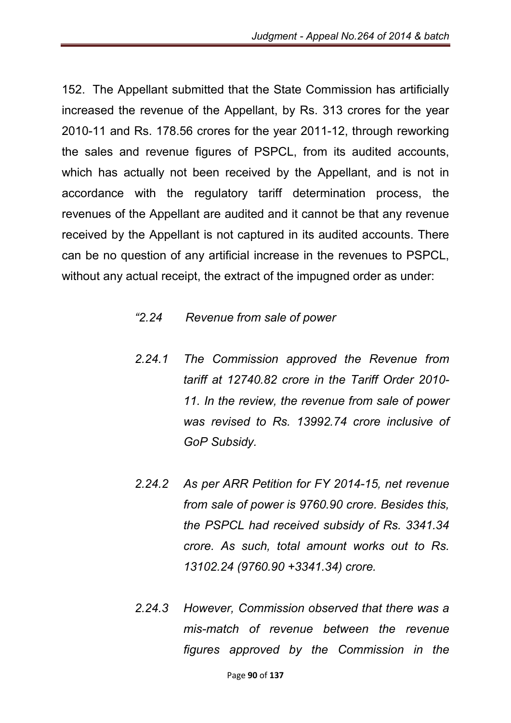152. The Appellant submitted that the State Commission has artificially increased the revenue of the Appellant, by Rs. 313 crores for the year 2010-11 and Rs. 178.56 crores for the year 2011-12, through reworking the sales and revenue figures of PSPCL, from its audited accounts, which has actually not been received by the Appellant, and is not in accordance with the regulatory tariff determination process, the revenues of the Appellant are audited and it cannot be that any revenue received by the Appellant is not captured in its audited accounts. There can be no question of any artificial increase in the revenues to PSPCL, without any actual receipt, the extract of the impugned order as under:

### *"2.24 Revenue from sale of power*

- *2.24.1 The Commission approved the Revenue from tariff at 12740.82 crore in the Tariff Order 2010- 11. In the review, the revenue from sale of power was revised to Rs. 13992.74 crore inclusive of GoP Subsidy.*
- *2.24.2 As per ARR Petition for FY 2014-15, net revenue from sale of power is 9760.90 crore. Besides this, the PSPCL had received subsidy of Rs. 3341.34 crore. As such, total amount works out to Rs. 13102.24 (9760.90 +3341.34) crore.*
- *2.24.3 However, Commission observed that there was a mis-match of revenue between the revenue figures approved by the Commission in the*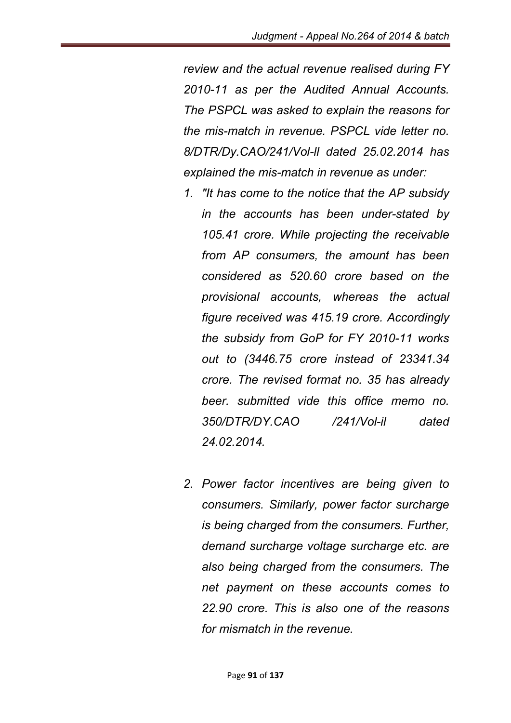*review and the actual revenue realised during FY 2010-11 as per the Audited Annual Accounts. The PSPCL was asked to explain the reasons for the mis-match in revenue. PSPCL vide letter no. 8/DTR/Dy.CAO/241/Vol-ll dated 25.02.2014 has explained the mis-match in revenue as under:*

- *1. "It has come to the notice that the AP subsidy in the accounts has been under-stated by 105.41 crore. While projecting the receivable from AP consumers, the amount has been considered as 520.60 crore based on the provisional accounts, whereas the actual figure received was 415.19 crore. Accordingly the subsidy from GoP for FY 2010-11 works out to (3446.75 crore instead of 23341.34 crore. The revised format no. 35 has already beer. submitted vide this office memo no. 350/DTR/DY.CAO /241/Vol-il dated 24.02.2014.*
- *2. Power factor incentives are being given to consumers. Similarly, power factor surcharge is being charged from the consumers. Further, demand surcharge voltage surcharge etc. are also being charged from the consumers. The net payment on these accounts comes to 22.90 crore. This is also one of the reasons for mismatch in the revenue.*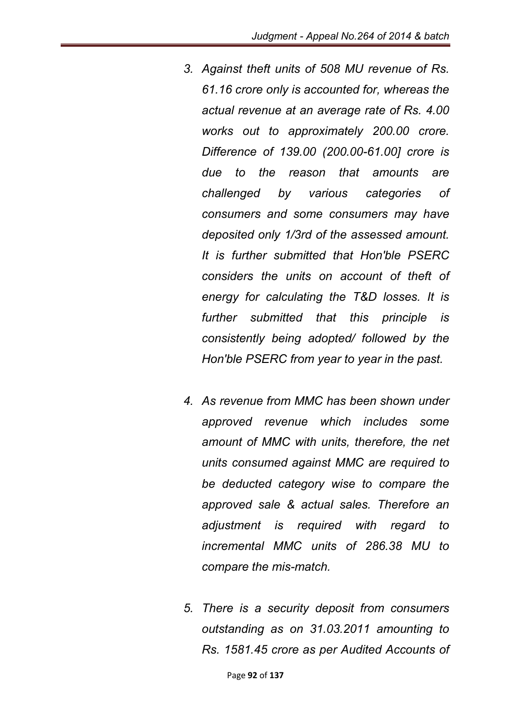- *3. Against theft units of 508 MU revenue of Rs. 61.16 crore only is accounted for, whereas the actual revenue at an average rate of Rs. 4.00 works out to approximately 200.00 crore. Difference of 139.00 (200.00-61.00] crore is due to the reason that amounts are challenged by various categories of consumers and some consumers may have deposited only 1/3rd of the assessed amount. It is further submitted that Hon'ble PSERC considers the units on account of theft of energy for calculating the T&D losses. It is further submitted that this principle is consistently being adopted/ followed by the Hon'ble PSERC from year to year in the past.*
- *4. As revenue from MMC has been shown under approved revenue which includes some amount of MMC with units, therefore, the net units consumed against MMC are required to be deducted category wise to compare the approved sale & actual sales. Therefore an adjustment is required with regard to incremental MMC units of 286.38 MU to compare the mis-match.*
- *5. There is a security deposit from consumers outstanding as on 31.03.2011 amounting to Rs. 1581.45 crore as per Audited Accounts of*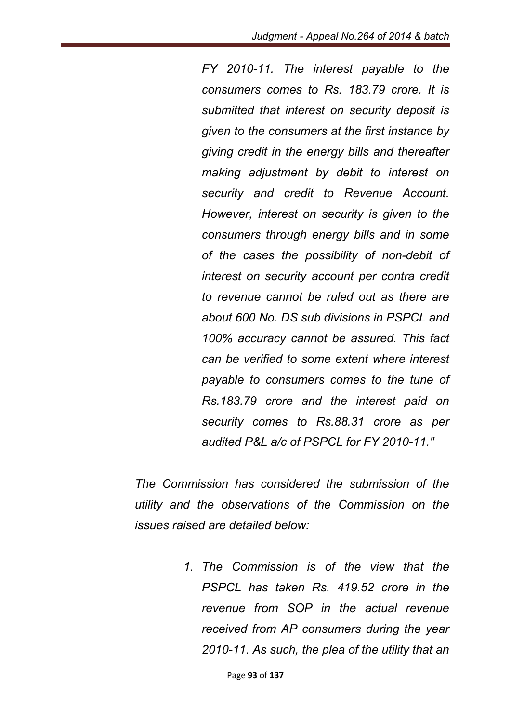*FY 2010-11. The interest payable to the consumers comes to Rs. 183.79 crore. It is submitted that interest on security deposit is given to the consumers at the first instance by giving credit in the energy bills and thereafter making adjustment by debit to interest on security and credit to Revenue Account. However, interest on security is given to the consumers through energy bills and in some of the cases the possibility of non-debit of interest on security account per contra credit to revenue cannot be ruled out as there are about 600 No. DS sub divisions in PSPCL and 100% accuracy cannot be assured. This fact can be verified to some extent where interest payable to consumers comes to the tune of Rs.183.79 crore and the interest paid on security comes to Rs.88.31 crore as per audited P&L a/c of PSPCL for FY 2010-11."*

*The Commission has considered the submission of the utility and the observations of the Commission on the issues raised are detailed below:*

> *1. The Commission is of the view that the PSPCL has taken Rs. 419.52 crore in the revenue from SOP in the actual revenue received from AP consumers during the year 2010-11. As such, the plea of the utility that an*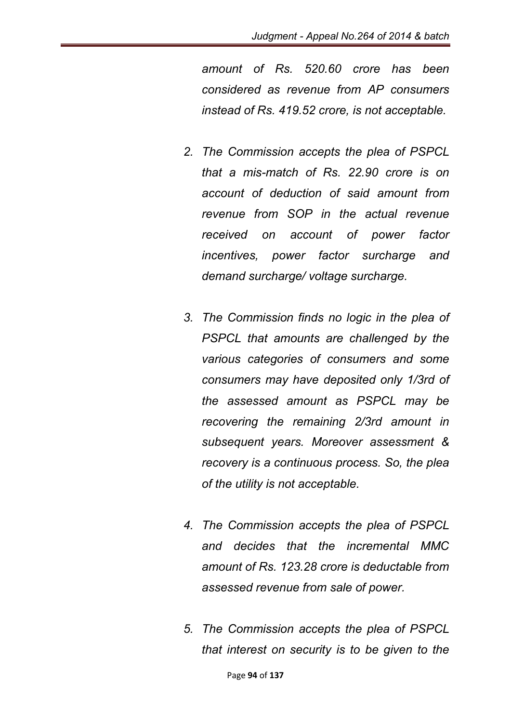*amount of Rs. 520.60 crore has been considered as revenue from AP consumers instead of Rs. 419.52 crore, is not acceptable.* 

- *2. The Commission accepts the plea of PSPCL that a mis-match of Rs. 22.90 crore is on account of deduction of said amount from revenue from SOP in the actual revenue received on account of power factor incentives, power factor surcharge and demand surcharge/ voltage surcharge.*
- *3. The Commission finds no logic in the plea of PSPCL that amounts are challenged by the various categories of consumers and some consumers may have deposited only 1/3rd of the assessed amount as PSPCL may be recovering the remaining 2/3rd amount in subsequent years. Moreover assessment & recovery is a continuous process. So, the plea of the utility is not acceptable.*
- *4. The Commission accepts the plea of PSPCL and decides that the incremental MMC amount of Rs. 123.28 crore is deductable from assessed revenue from sale of power.*
- *5. The Commission accepts the plea of PSPCL that interest on security is to be given to the*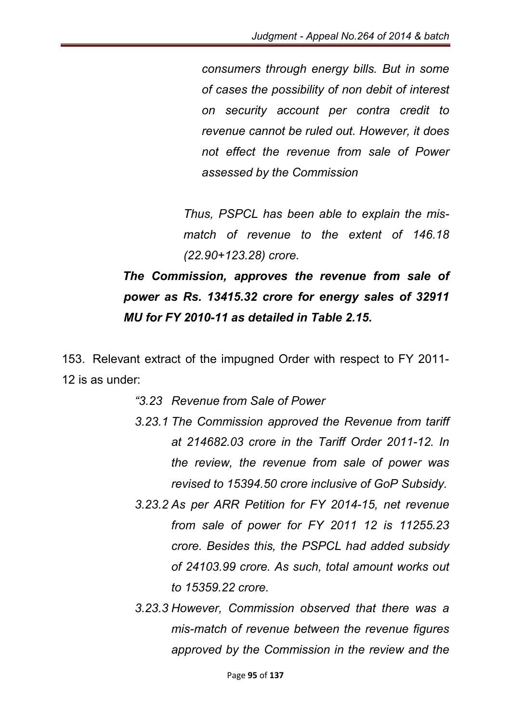*consumers through energy bills. But in some of cases the possibility of non debit of interest on security account per contra credit to revenue cannot be ruled out. However, it does not effect the revenue from sale of Power assessed by the Commission*

*Thus, PSPCL has been able to explain the mismatch of revenue to the extent of 146.18 (22.90+123.28) crore.*

# *The Commission, approves the revenue from sale of power as Rs. 13415.32 crore for energy sales of 32911 MU for FY 2010-11 as detailed in Table 2.15.*

153. Relevant extract of the impugned Order with respect to FY 2011- 12 is as under:

- *"3.23 Revenue from Sale of Power*
- *3.23.1 The Commission approved the Revenue from tariff at 214682.03 crore in the Tariff Order 2011-12. In the review, the revenue from sale of power was revised to 15394.50 crore inclusive of GoP Subsidy.*
- *3.23.2 As per ARR Petition for FY 2014-15, net revenue from sale of power for FY 2011 12 is 11255.23 crore. Besides this, the PSPCL had added subsidy of 24103.99 crore. As such, total amount works out to 15359.22 crore.*
- *3.23.3 However, Commission observed that there was a mis-match of revenue between the revenue figures approved by the Commission in the review and the*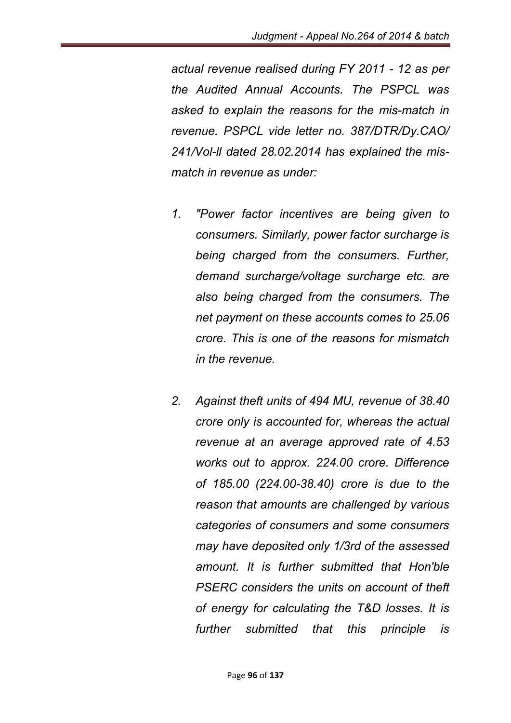*actual revenue realised during FY 2011 - 12 as per the Audited Annual Accounts. The PSPCL was asked to explain the reasons for the mis-match in revenue. PSPCL vide letter no. 387/DTR/Dy.CAO/ 241/Vol-ll dated 28.02.2014 has explained the mismatch in revenue as under:*

- *1. "Power factor incentives are being given to consumers. Similarly, power factor surcharge is being charged from the consumers. Further, demand surcharge/voltage surcharge etc. are also being charged from the consumers. The net payment on these accounts comes to 25.06 crore. This is one of the reasons for mismatch in the revenue.*
- *2. Against theft units of 494 MU, revenue of 38.40 crore only is accounted for, whereas the actual revenue at an average approved rate of 4.53 works out to approx. 224.00 crore. Difference of 185.00 (224.00-38.40) crore is due to the reason that amounts are challenged by various categories of consumers and some consumers may have deposited only 1/3rd of the assessed amount. It is further submitted that Hon'ble PSERC considers the units on account of theft of energy for calculating the T&D losses. It is further submitted that this principle is*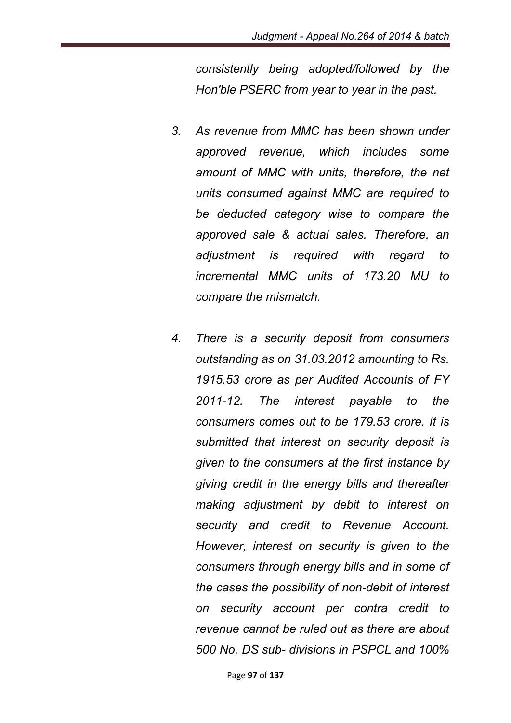*consistently being adopted/followed by the Hon'ble PSERC from year to year in the past.*

- *3. As revenue from MMC has been shown under approved revenue, which includes some amount of MMC with units, therefore, the net units consumed against MMC are required to be deducted category wise to compare the approved sale & actual sales. Therefore, an adjustment is required with regard to incremental MMC units of 173.20 MU to compare the mismatch.*
- *4. There is a security deposit from consumers outstanding as on 31.03.2012 amounting to Rs. 1915.53 crore as per Audited Accounts of FY 2011-12. The interest payable to the consumers comes out to be 179.53 crore. It is submitted that interest on security deposit is given to the consumers at the first instance by giving credit in the energy bills and thereafter making adjustment by debit to interest on security and credit to Revenue Account. However, interest on security is given to the consumers through energy bills and in some of the cases the possibility of non-debit of interest on security account per contra credit to revenue cannot be ruled out as there are about 500 No. DS sub- divisions in PSPCL and 100%*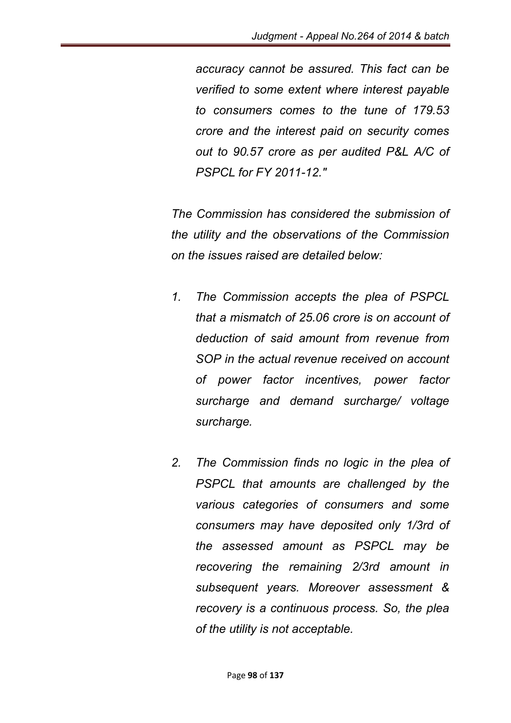*accuracy cannot be assured. This fact can be verified to some extent where interest payable to consumers comes to the tune of 179.53 crore and the interest paid on security comes out to 90.57 crore as per audited P&L A/C of PSPCL for FY 2011-12."*

*The Commission has considered the submission of the utility and the observations of the Commission on the issues raised are detailed below:*

- *1. The Commission accepts the plea of PSPCL that a mismatch of 25.06 crore is on account of deduction of said amount from revenue from SOP in the actual revenue received on account of power factor incentives, power factor surcharge and demand surcharge/ voltage surcharge.*
- *2. The Commission finds no logic in the plea of PSPCL that amounts are challenged by the various categories of consumers and some consumers may have deposited only 1/3rd of the assessed amount as PSPCL may be recovering the remaining 2/3rd amount in subsequent years. Moreover assessment & recovery is a continuous process. So, the plea of the utility is not acceptable.*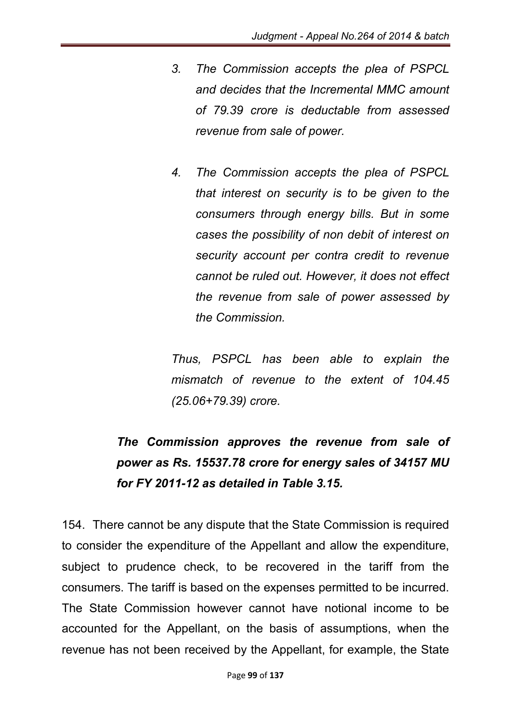- *3. The Commission accepts the plea of PSPCL and decides that the Incremental MMC amount of 79.39 crore is deductable from assessed revenue from sale of power.*
- *4. The Commission accepts the plea of PSPCL that interest on security is to be given to the consumers through energy bills. But in some cases the possibility of non debit of interest on security account per contra credit to revenue cannot be ruled out. However, it does not effect the revenue from sale of power assessed by the Commission.*

*Thus, PSPCL has been able to explain the mismatch of revenue to the extent of 104.45 (25.06+79.39) crore.*

# *The Commission approves the revenue from sale of power as Rs. 15537.78 crore for energy sales of 34157 MU for FY 2011-12 as detailed in Table 3.15.*

154. There cannot be any dispute that the State Commission is required to consider the expenditure of the Appellant and allow the expenditure, subject to prudence check, to be recovered in the tariff from the consumers. The tariff is based on the expenses permitted to be incurred. The State Commission however cannot have notional income to be accounted for the Appellant, on the basis of assumptions, when the revenue has not been received by the Appellant, for example, the State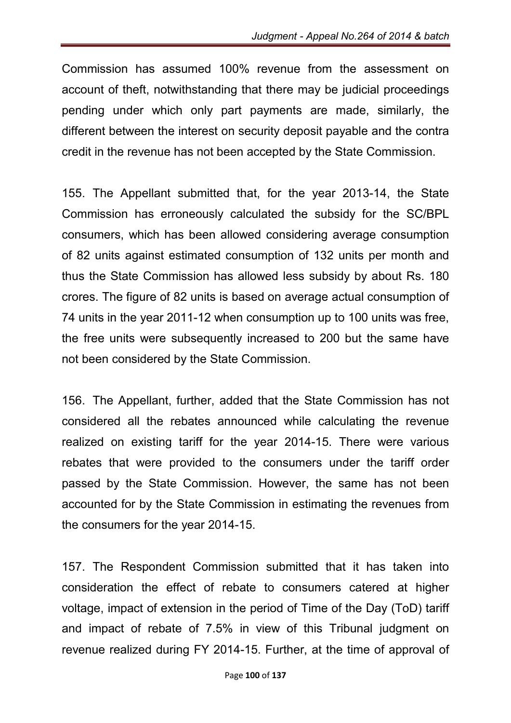Commission has assumed 100% revenue from the assessment on account of theft, notwithstanding that there may be judicial proceedings pending under which only part payments are made, similarly, the different between the interest on security deposit payable and the contra credit in the revenue has not been accepted by the State Commission.

155. The Appellant submitted that, for the year 2013-14, the State Commission has erroneously calculated the subsidy for the SC/BPL consumers, which has been allowed considering average consumption of 82 units against estimated consumption of 132 units per month and thus the State Commission has allowed less subsidy by about Rs. 180 crores. The figure of 82 units is based on average actual consumption of 74 units in the year 2011-12 when consumption up to 100 units was free, the free units were subsequently increased to 200 but the same have not been considered by the State Commission.

156. The Appellant, further, added that the State Commission has not considered all the rebates announced while calculating the revenue realized on existing tariff for the year 2014-15. There were various rebates that were provided to the consumers under the tariff order passed by the State Commission. However, the same has not been accounted for by the State Commission in estimating the revenues from the consumers for the year 2014-15.

157. The Respondent Commission submitted that it has taken into consideration the effect of rebate to consumers catered at higher voltage, impact of extension in the period of Time of the Day (ToD) tariff and impact of rebate of 7.5% in view of this Tribunal judgment on revenue realized during FY 2014-15. Further, at the time of approval of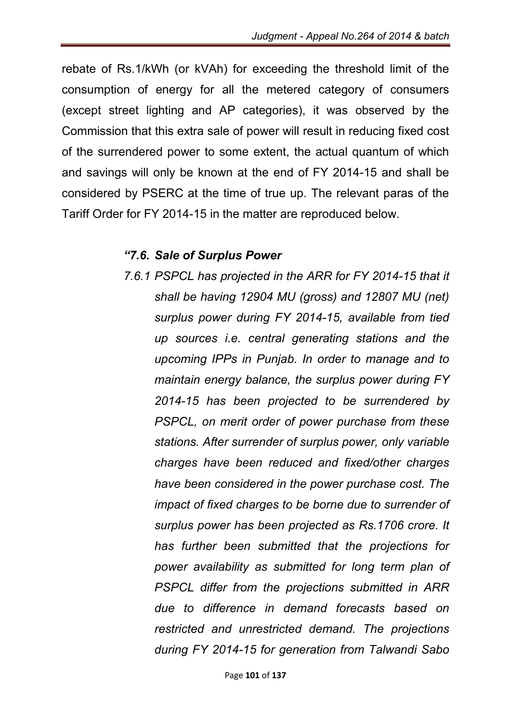rebate of Rs.1/kWh (or kVAh) for exceeding the threshold limit of the consumption of energy for all the metered category of consumers (except street lighting and AP categories), it was observed by the Commission that this extra sale of power will result in reducing fixed cost of the surrendered power to some extent, the actual quantum of which and savings will only be known at the end of FY 2014-15 and shall be considered by PSERC at the time of true up. The relevant paras of the Tariff Order for FY 2014-15 in the matter are reproduced below.

#### *"7.6. Sale of Surplus Power*

*7.6.1 PSPCL has projected in the ARR for FY 2014-15 that it shall be having 12904 MU (gross) and 12807 MU (net) surplus power during FY 2014-15, available from tied up sources i.e. central generating stations and the upcoming IPPs in Punjab. In order to manage and to maintain energy balance, the surplus power during FY 2014-15 has been projected to be surrendered by PSPCL, on merit order of power purchase from these stations. After surrender of surplus power, only variable charges have been reduced and fixed/other charges have been considered in the power purchase cost. The impact of fixed charges to be borne due to surrender of surplus power has been projected as Rs.1706 crore. It has further been submitted that the projections for power availability as submitted for long term plan of PSPCL differ from the projections submitted in ARR due to difference in demand forecasts based on restricted and unrestricted demand. The projections during FY 2014-15 for generation from Talwandi Sabo*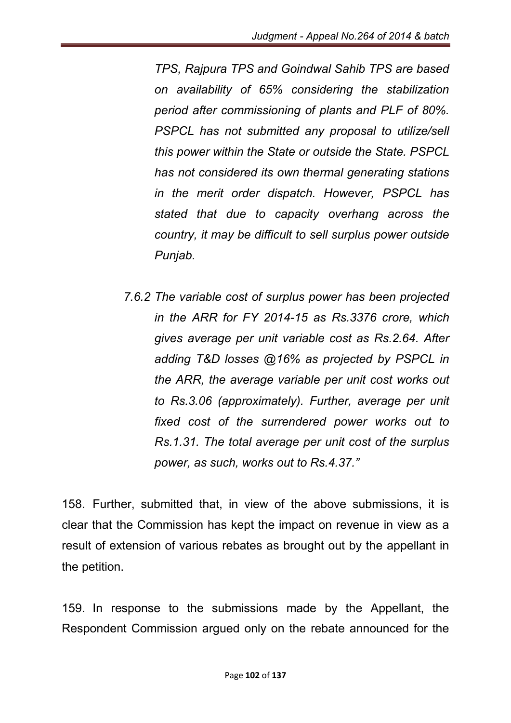*TPS, Rajpura TPS and Goindwal Sahib TPS are based on availability of 65% considering the stabilization period after commissioning of plants and PLF of 80%. PSPCL has not submitted any proposal to utilize/sell this power within the State or outside the State. PSPCL has not considered its own thermal generating stations in the merit order dispatch. However, PSPCL has stated that due to capacity overhang across the country, it may be difficult to sell surplus power outside Punjab.*

*7.6.2 The variable cost of surplus power has been projected in the ARR for FY 2014-15 as Rs.3376 crore, which gives average per unit variable cost as Rs.2.64. After adding T&D losses @16% as projected by PSPCL in the ARR, the average variable per unit cost works out to Rs.3.06 (approximately). Further, average per unit fixed cost of the surrendered power works out to Rs.1.31. The total average per unit cost of the surplus power, as such, works out to Rs.4.37."*

158. Further, submitted that, in view of the above submissions, it is clear that the Commission has kept the impact on revenue in view as a result of extension of various rebates as brought out by the appellant in the petition.

159. In response to the submissions made by the Appellant, the Respondent Commission argued only on the rebate announced for the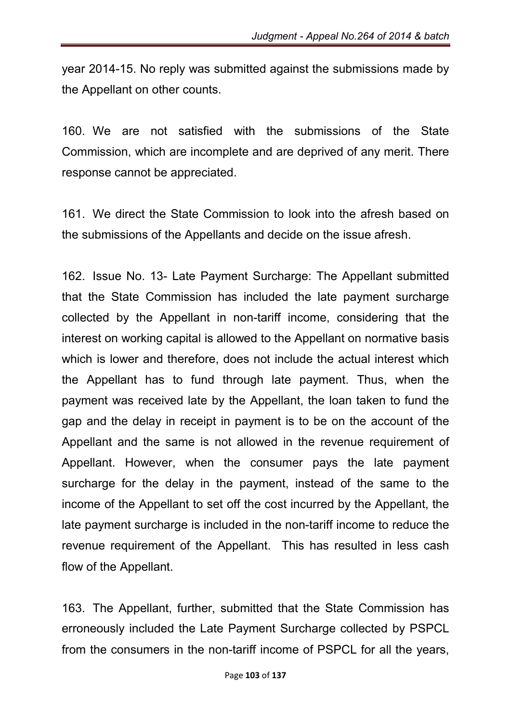year 2014-15. No reply was submitted against the submissions made by the Appellant on other counts.

160. We are not satisfied with the submissions of the State Commission, which are incomplete and are deprived of any merit. There response cannot be appreciated.

161. We direct the State Commission to look into the afresh based on the submissions of the Appellants and decide on the issue afresh.

162. Issue No. 13- Late Payment Surcharge: The Appellant submitted that the State Commission has included the late payment surcharge collected by the Appellant in non-tariff income, considering that the interest on working capital is allowed to the Appellant on normative basis which is lower and therefore, does not include the actual interest which the Appellant has to fund through late payment. Thus, when the payment was received late by the Appellant, the loan taken to fund the gap and the delay in receipt in payment is to be on the account of the Appellant and the same is not allowed in the revenue requirement of Appellant. However, when the consumer pays the late payment surcharge for the delay in the payment, instead of the same to the income of the Appellant to set off the cost incurred by the Appellant, the late payment surcharge is included in the non-tariff income to reduce the revenue requirement of the Appellant. This has resulted in less cash flow of the Appellant.

163. The Appellant, further, submitted that the State Commission has erroneously included the Late Payment Surcharge collected by PSPCL from the consumers in the non-tariff income of PSPCL for all the years,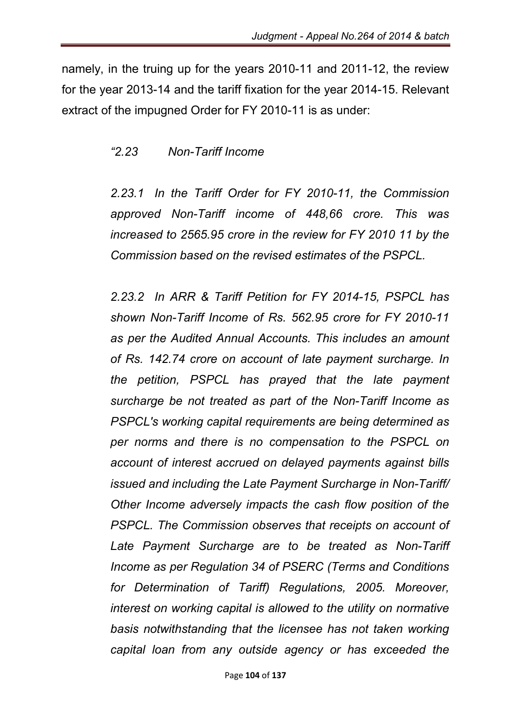namely, in the truing up for the years 2010-11 and 2011-12, the review for the year 2013-14 and the tariff fixation for the year 2014-15. Relevant extract of the impugned Order for FY 2010-11 is as under:

### *"2.23 Non-Tariff Income*

*2.23.1 In the Tariff Order for FY 2010-11, the Commission approved Non-Tariff income of 448,66 crore. This was increased to 2565.95 crore in the review for FY 2010 11 by the Commission based on the revised estimates of the PSPCL.*

*2.23.2 In ARR & Tariff Petition for FY 2014-15, PSPCL has shown Non-Tariff Income of Rs. 562.95 crore for FY 2010-11 as per the Audited Annual Accounts. This includes an amount of Rs. 142.74 crore on account of late payment surcharge. In the petition, PSPCL has prayed that the late payment surcharge be not treated as part of the Non-Tariff Income as PSPCL's working capital requirements are being determined as per norms and there is no compensation to the PSPCL on account of interest accrued on delayed payments against bills issued and including the Late Payment Surcharge in Non-Tariff/ Other Income adversely impacts the cash flow position of the*  **PSPCL.** The Commission observes that receipts on account of *Late Payment Surcharge are to be treated as Non-Tariff Income as per Regulation 34 of PSERC (Terms and Conditions for Determination of Tariff) Regulations, 2005. Moreover, interest on working capital is allowed to the utility on normative basis notwithstanding that the licensee has not taken working capital loan from any outside agency or has exceeded the*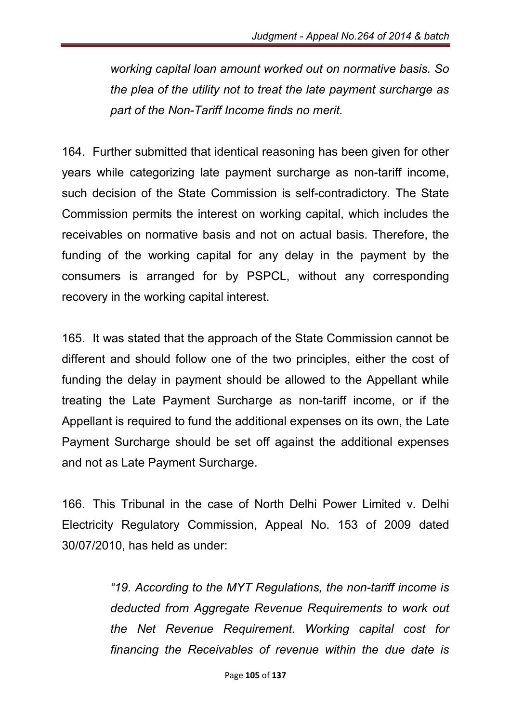*working capital loan amount worked out on normative basis. So the plea of the utility not to treat the late payment surcharge as part of the Non-Tariff Income finds no merit.*

164. Further submitted that identical reasoning has been given for other years while categorizing late payment surcharge as non-tariff income, such decision of the State Commission is self-contradictory. The State Commission permits the interest on working capital, which includes the receivables on normative basis and not on actual basis. Therefore, the funding of the working capital for any delay in the payment by the consumers is arranged for by PSPCL, without any corresponding recovery in the working capital interest.

165. It was stated that the approach of the State Commission cannot be different and should follow one of the two principles, either the cost of funding the delay in payment should be allowed to the Appellant while treating the Late Payment Surcharge as non-tariff income, or if the Appellant is required to fund the additional expenses on its own, the Late Payment Surcharge should be set off against the additional expenses and not as Late Payment Surcharge.

166. This Tribunal in the case of North Delhi Power Limited v. Delhi Electricity Regulatory Commission, Appeal No. 153 of 2009 dated 30/07/2010, has held as under:

> *"19. According to the MYT Regulations, the non-tariff income is deducted from Aggregate Revenue Requirements to work out the Net Revenue Requirement. Working capital cost for financing the Receivables of revenue within the due date is*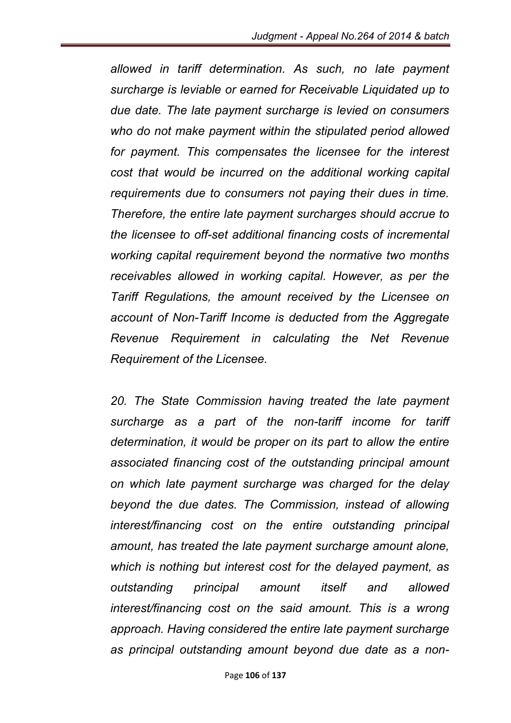*allowed in tariff determination. As such, no late payment surcharge is leviable or earned for Receivable Liquidated up to due date. The late payment surcharge is levied on consumers who do not make payment within the stipulated period allowed for payment. This compensates the licensee for the interest cost that would be incurred on the additional working capital requirements due to consumers not paying their dues in time. Therefore, the entire late payment surcharges should accrue to the licensee to off-set additional financing costs of incremental working capital requirement beyond the normative two months receivables allowed in working capital. However, as per the Tariff Regulations, the amount received by the Licensee on account of Non-Tariff Income is deducted from the Aggregate Revenue Requirement in calculating the Net Revenue Requirement of the Licensee.* 

20. The State Commission having treated the late payment *surcharge as a part of the non-tariff income for tariff determination, it would be proper on its part to allow the entire associated financing cost of the outstanding principal amount on which late payment surcharge was charged for the delay beyond the due dates. The Commission, instead of allowing interest/financing cost on the entire outstanding principal amount, has treated the late payment surcharge amount alone, which is nothing but interest cost for the delayed payment, as outstanding principal amount itself and allowed interest/financing cost on the said amount. This is a wrong approach. Having considered the entire late payment surcharge as principal outstanding amount beyond due date as a non-*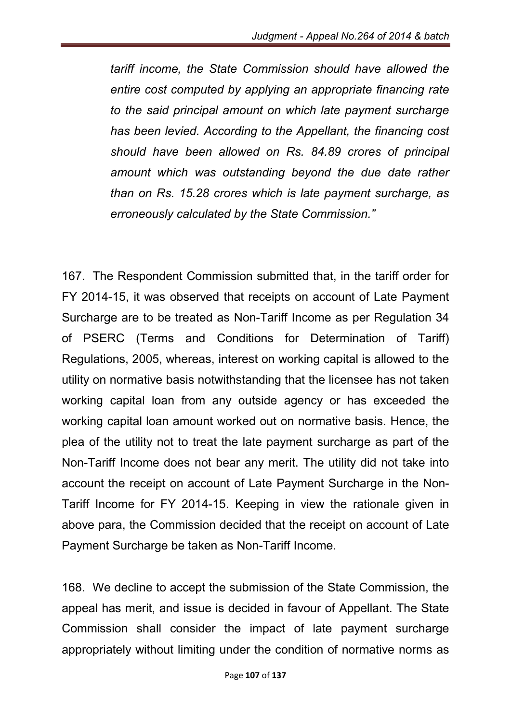*tariff income, the State Commission should have allowed the entire cost computed by applying an appropriate financing rate to the said principal amount on which late payment surcharge has been levied. According to the Appellant, the financing cost should have been allowed on Rs. 84.89 crores of principal amount which was outstanding beyond the due date rather than on Rs. 15.28 crores which is late payment surcharge, as erroneously calculated by the State Commission."*

167. The Respondent Commission submitted that, in the tariff order for FY 2014-15, it was observed that receipts on account of Late Payment Surcharge are to be treated as Non-Tariff Income as per Regulation 34 of PSERC (Terms and Conditions for Determination of Tariff) Regulations, 2005, whereas, interest on working capital is allowed to the utility on normative basis notwithstanding that the licensee has not taken working capital loan from any outside agency or has exceeded the working capital loan amount worked out on normative basis. Hence, the plea of the utility not to treat the late payment surcharge as part of the Non-Tariff Income does not bear any merit. The utility did not take into account the receipt on account of Late Payment Surcharge in the Non-Tariff Income for FY 2014-15. Keeping in view the rationale given in above para, the Commission decided that the receipt on account of Late Payment Surcharge be taken as Non-Tariff Income.

168. We decline to accept the submission of the State Commission, the appeal has merit, and issue is decided in favour of Appellant. The State Commission shall consider the impact of late payment surcharge appropriately without limiting under the condition of normative norms as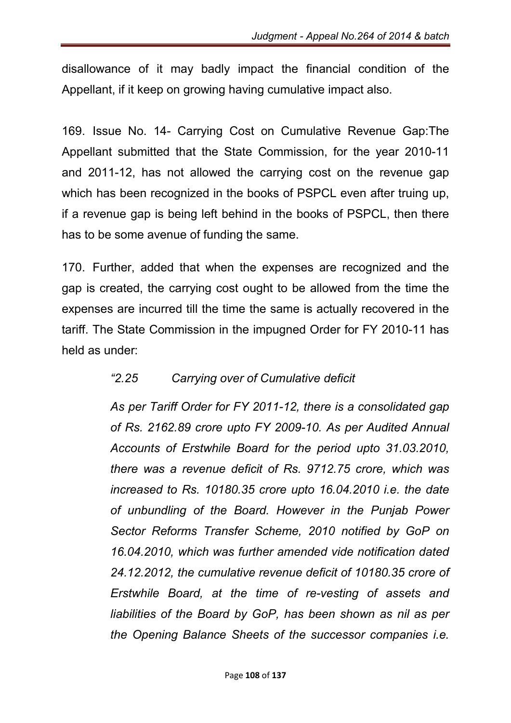disallowance of it may badly impact the financial condition of the Appellant, if it keep on growing having cumulative impact also.

169. Issue No. 14- Carrying Cost on Cumulative Revenue Gap:The Appellant submitted that the State Commission, for the year 2010-11 and 2011-12, has not allowed the carrying cost on the revenue gap which has been recognized in the books of PSPCL even after truing up, if a revenue gap is being left behind in the books of PSPCL, then there has to be some avenue of funding the same.

170. Further, added that when the expenses are recognized and the gap is created, the carrying cost ought to be allowed from the time the expenses are incurred till the time the same is actually recovered in the tariff. The State Commission in the impugned Order for FY 2010-11 has held as under:

### *"2.25 Carrying over of Cumulative deficit*

*As per Tariff Order for FY 2011-12, there is a consolidated gap of Rs. 2162.89 crore upto FY 2009-10. As per Audited Annual Accounts of Erstwhile Board for the period upto 31.03.2010, there was a revenue deficit of Rs. 9712.75 crore, which was increased to Rs. 10180.35 crore upto 16.04.2010 i.e. the date of unbundling of the Board. However in the Punjab Power Sector Reforms Transfer Scheme, 2010 notified by GoP on 16.04.2010, which was further amended vide notification dated 24.12.2012, the cumulative revenue deficit of 10180.35 crore of Erstwhile Board, at the time of re-vesting of assets and liabilities of the Board by GoP, has been shown as nil as per the Opening Balance Sheets of the successor companies i.e.*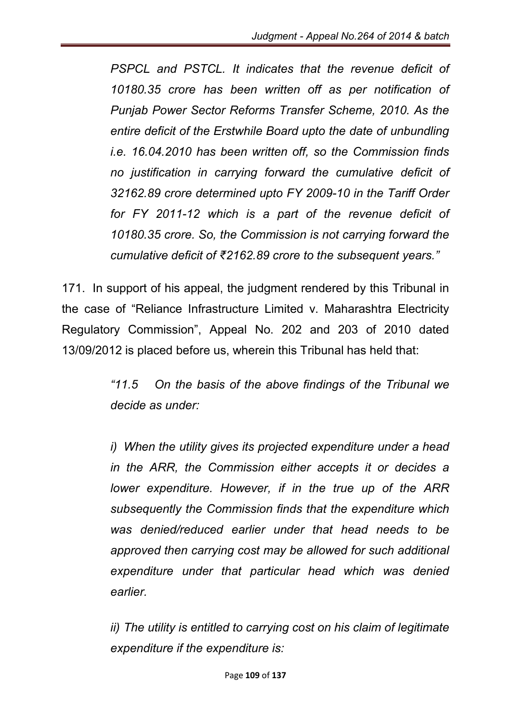*PSPCL and PSTCL. It indicates that the revenue deficit of 10180.35 crore has been written off as per notification of Punjab Power Sector Reforms Transfer Scheme, 2010. As the entire deficit of the Erstwhile Board upto the date of unbundling i.e. 16.04.2010 has been written off, so the Commission finds no justification in carrying forward the cumulative deficit of 32162.89 crore determined upto FY 2009-10 in the Tariff Order for FY 2011-12 which is a part of the revenue deficit of 10180.35 crore. So, the Commission is not carrying forward the cumulative deficit of ₹2162.89 crore to the subsequent years."*

171. In support of his appeal, the judgment rendered by this Tribunal in the case of "Reliance Infrastructure Limited v. Maharashtra Electricity Regulatory Commission", Appeal No. 202 and 203 of 2010 dated 13/09/2012 is placed before us, wherein this Tribunal has held that:

> *"11.5 On the basis of the above findings of the Tribunal we decide as under:*

> *i) When the utility gives its projected expenditure under a head in the ARR, the Commission either accepts it or decides a lower expenditure. However, if in the true up of the ARR subsequently the Commission finds that the expenditure which was denied/reduced earlier under that head needs to be approved then carrying cost may be allowed for such additional expenditure under that particular head which was denied earlier.*

> *ii) The utility is entitled to carrying cost on his claim of legitimate expenditure if the expenditure is:*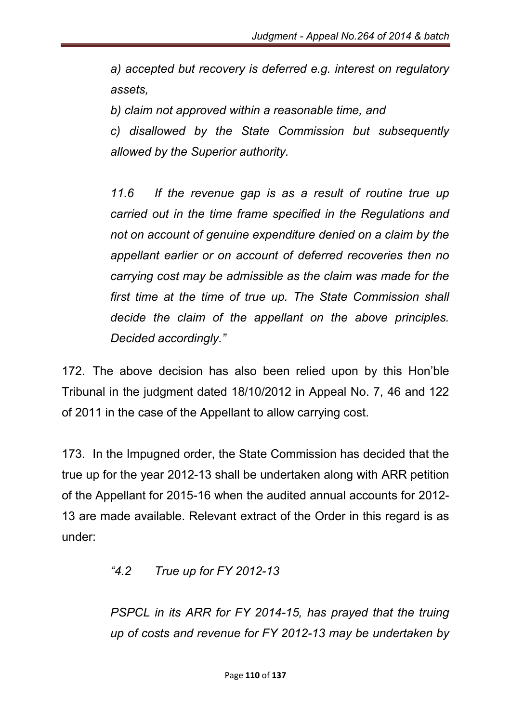*a) accepted but recovery is deferred e.g. interest on regulatory assets,* 

*b) claim not approved within a reasonable time, and* 

*c) disallowed by the State Commission but subsequently allowed by the Superior authority.* 

*11.6 If the revenue gap is as a result of routine true up carried out in the time frame specified in the Regulations and not on account of genuine expenditure denied on a claim by the appellant earlier or on account of deferred recoveries then no carrying cost may be admissible as the claim was made for the first time at the time of true up. The State Commission shall decide the claim of the appellant on the above principles. Decided accordingly."*

172. The above decision has also been relied upon by this Hon'ble Tribunal in the judgment dated 18/10/2012 in Appeal No. 7, 46 and 122 of 2011 in the case of the Appellant to allow carrying cost.

173. In the Impugned order, the State Commission has decided that the true up for the year 2012-13 shall be undertaken along with ARR petition of the Appellant for 2015-16 when the audited annual accounts for 2012- 13 are made available. Relevant extract of the Order in this regard is as under:

#### *"4.2 True up for FY 2012-13*

*PSPCL in its ARR for FY 2014-15, has prayed that the truing up of costs and revenue for FY 2012-13 may be undertaken by*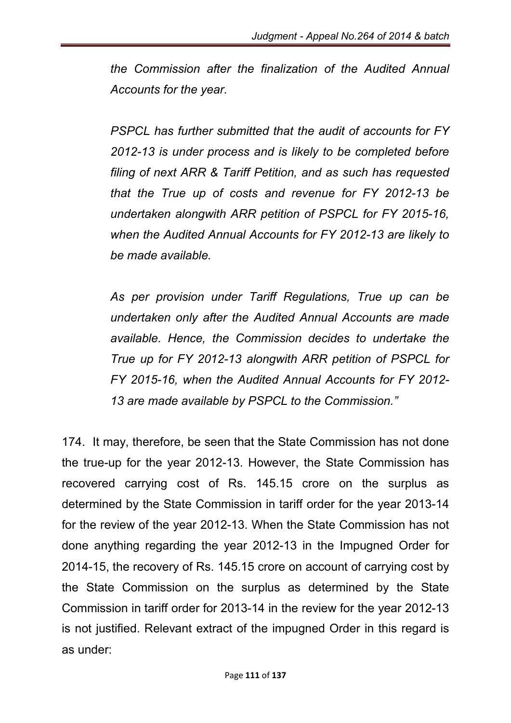*the Commission after the finalization of the Audited Annual Accounts for the year.*

*PSPCL has further submitted that the audit of accounts for FY 2012-13 is under process and is likely to be completed before filing of next ARR & Tariff Petition, and as such has requested that the True up of costs and revenue for FY 2012-13 be undertaken alongwith ARR petition of PSPCL for FY 2015-16, when the Audited Annual Accounts for FY 2012-13 are likely to be made available.*

*As per provision under Tariff Regulations, True up can be undertaken only after the Audited Annual Accounts are made available. Hence, the Commission decides to undertake the True up for FY 2012-13 alongwith ARR petition of PSPCL for FY 2015-16, when the Audited Annual Accounts for FY 2012- 13 are made available by PSPCL to the Commission."*

174. It may, therefore, be seen that the State Commission has not done the true-up for the year 2012-13. However, the State Commission has recovered carrying cost of Rs. 145.15 crore on the surplus as determined by the State Commission in tariff order for the year 2013-14 for the review of the year 2012-13. When the State Commission has not done anything regarding the year 2012-13 in the Impugned Order for 2014-15, the recovery of Rs. 145.15 crore on account of carrying cost by the State Commission on the surplus as determined by the State Commission in tariff order for 2013-14 in the review for the year 2012-13 is not justified. Relevant extract of the impugned Order in this regard is as under: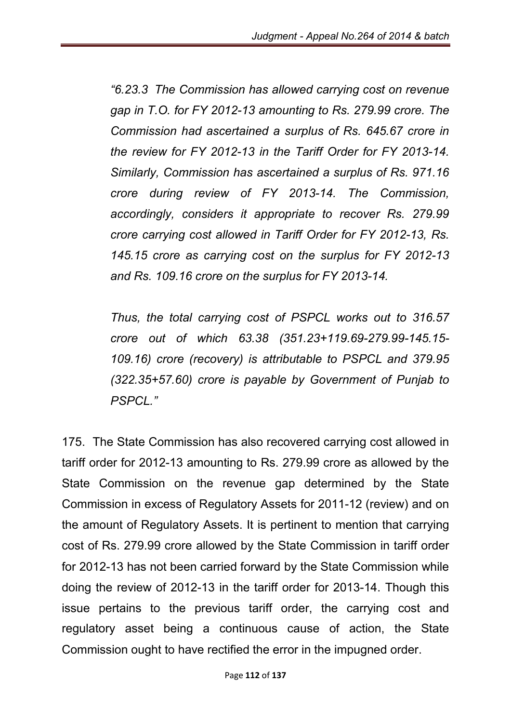*"6.23.3 The Commission has allowed carrying cost on revenue gap in T.O. for FY 2012-13 amounting to Rs. 279.99 crore. The Commission had ascertained a surplus of Rs. 645.67 crore in the review for FY 2012-13 in the Tariff Order for FY 2013-14. Similarly, Commission has ascertained a surplus of Rs. 971.16 crore during review of FY 2013-14. The Commission, accordingly, considers it appropriate to recover Rs. 279.99 crore carrying cost allowed in Tariff Order for FY 2012-13, Rs. 145.15 crore as carrying cost on the surplus for FY 2012-13 and Rs. 109.16 crore on the surplus for FY 2013-14.*

*Thus, the total carrying cost of PSPCL works out to 316.57 crore out of which 63.38 (351.23+119.69-279.99-145.15- 109.16) crore (recovery) is attributable to PSPCL and 379.95 (322.35+57.60) crore is payable by Government of Punjab to PSPCL."*

175. The State Commission has also recovered carrying cost allowed in tariff order for 2012-13 amounting to Rs. 279.99 crore as allowed by the State Commission on the revenue gap determined by the State Commission in excess of Regulatory Assets for 2011-12 (review) and on the amount of Regulatory Assets. It is pertinent to mention that carrying cost of Rs. 279.99 crore allowed by the State Commission in tariff order for 2012-13 has not been carried forward by the State Commission while doing the review of 2012-13 in the tariff order for 2013-14. Though this issue pertains to the previous tariff order, the carrying cost and regulatory asset being a continuous cause of action, the State Commission ought to have rectified the error in the impugned order.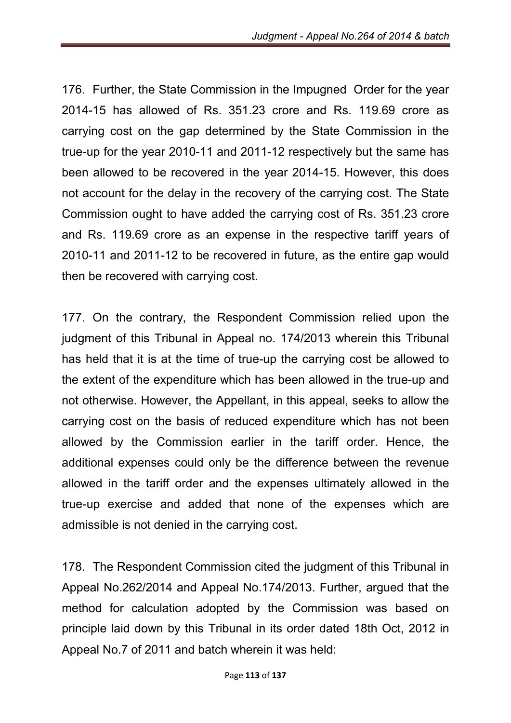176. Further, the State Commission in the Impugned Order for the year 2014-15 has allowed of Rs. 351.23 crore and Rs. 119.69 crore as carrying cost on the gap determined by the State Commission in the true-up for the year 2010-11 and 2011-12 respectively but the same has been allowed to be recovered in the year 2014-15. However, this does not account for the delay in the recovery of the carrying cost. The State Commission ought to have added the carrying cost of Rs. 351.23 crore and Rs. 119.69 crore as an expense in the respective tariff years of 2010-11 and 2011-12 to be recovered in future, as the entire gap would then be recovered with carrying cost.

177. On the contrary, the Respondent Commission relied upon the judgment of this Tribunal in Appeal no. 174/2013 wherein this Tribunal has held that it is at the time of true-up the carrying cost be allowed to the extent of the expenditure which has been allowed in the true-up and not otherwise. However, the Appellant, in this appeal, seeks to allow the carrying cost on the basis of reduced expenditure which has not been allowed by the Commission earlier in the tariff order. Hence, the additional expenses could only be the difference between the revenue allowed in the tariff order and the expenses ultimately allowed in the true-up exercise and added that none of the expenses which are admissible is not denied in the carrying cost.

178. The Respondent Commission cited the judgment of this Tribunal in Appeal No.262/2014 and Appeal No.174/2013. Further, argued that the method for calculation adopted by the Commission was based on principle laid down by this Tribunal in its order dated 18th Oct, 2012 in Appeal No.7 of 2011 and batch wherein it was held: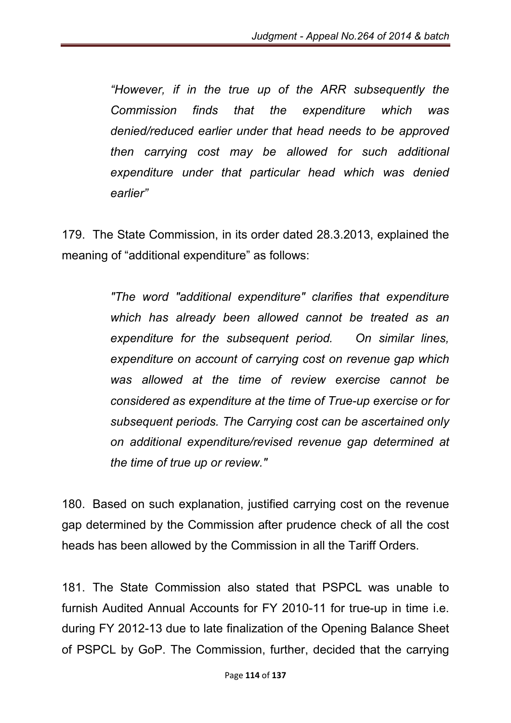*"However, if in the true up of the ARR subsequently the Commission finds that the expenditure which was denied/reduced earlier under that head needs to be approved then carrying cost may be allowed for such additional expenditure under that particular head which was denied earlier"*

179. The State Commission, in its order dated 28.3.2013, explained the meaning of "additional expenditure" as follows:

> *"The word "additional expenditure" clarifies that expenditure which has already been allowed cannot be treated as an expenditure for the subsequent period. On similar lines, expenditure on account of carrying cost on revenue gap which was allowed at the time of review exercise cannot be considered as expenditure at the time of True-up exercise or for subsequent periods. The Carrying cost can be ascertained only on additional expenditure/revised revenue gap determined at the time of true up or review."*

180. Based on such explanation, justified carrying cost on the revenue gap determined by the Commission after prudence check of all the cost heads has been allowed by the Commission in all the Tariff Orders.

181. The State Commission also stated that PSPCL was unable to furnish Audited Annual Accounts for FY 2010-11 for true-up in time i.e. during FY 2012-13 due to late finalization of the Opening Balance Sheet of PSPCL by GoP. The Commission, further, decided that the carrying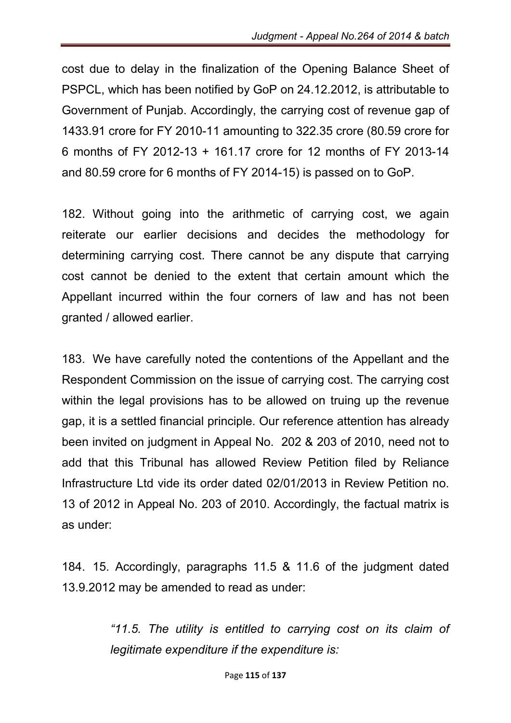cost due to delay in the finalization of the Opening Balance Sheet of PSPCL, which has been notified by GoP on 24.12.2012, is attributable to Government of Punjab. Accordingly, the carrying cost of revenue gap of 1433.91 crore for FY 2010-11 amounting to 322.35 crore (80.59 crore for 6 months of FY 2012-13 + 161.17 crore for 12 months of FY 2013-14 and 80.59 crore for 6 months of FY 2014-15) is passed on to GoP.

182. Without going into the arithmetic of carrying cost, we again reiterate our earlier decisions and decides the methodology for determining carrying cost. There cannot be any dispute that carrying cost cannot be denied to the extent that certain amount which the Appellant incurred within the four corners of law and has not been granted / allowed earlier.

183. We have carefully noted the contentions of the Appellant and the Respondent Commission on the issue of carrying cost. The carrying cost within the legal provisions has to be allowed on truing up the revenue gap, it is a settled financial principle. Our reference attention has already been invited on judgment in Appeal No. 202 & 203 of 2010, need not to add that this Tribunal has allowed Review Petition filed by Reliance Infrastructure Ltd vide its order dated 02/01/2013 in Review Petition no. 13 of 2012 in Appeal No. 203 of 2010. Accordingly, the factual matrix is as under:

184. 15. Accordingly, paragraphs 11.5 & 11.6 of the judgment dated 13.9.2012 may be amended to read as under:

> *"11.5. The utility is entitled to carrying cost on its claim of legitimate expenditure if the expenditure is:*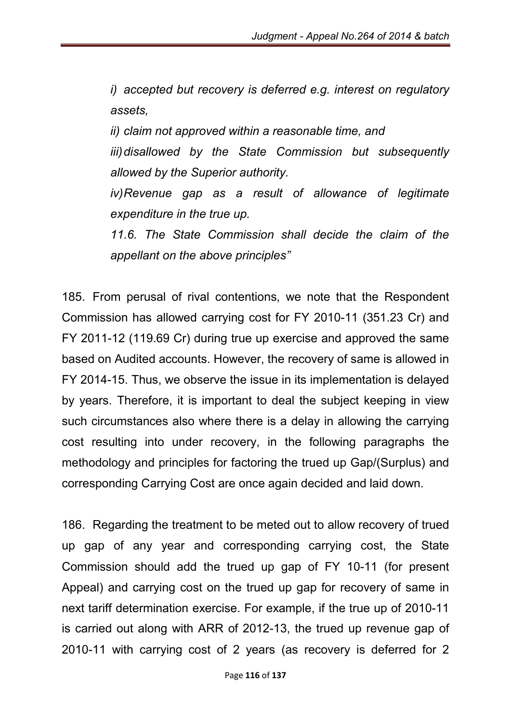*i) accepted but recovery is deferred e.g. interest on regulatory assets,* 

*ii) claim not approved within a reasonable time, and iii)disallowed by the State Commission but subsequently allowed by the Superior authority.* 

*iv)Revenue gap as a result of allowance of legitimate expenditure in the true up.* 

*11.6. The State Commission shall decide the claim of the appellant on the above principles"* 

185. From perusal of rival contentions, we note that the Respondent Commission has allowed carrying cost for FY 2010-11 (351.23 Cr) and FY 2011-12 (119.69 Cr) during true up exercise and approved the same based on Audited accounts. However, the recovery of same is allowed in FY 2014-15. Thus, we observe the issue in its implementation is delayed by years. Therefore, it is important to deal the subject keeping in view such circumstances also where there is a delay in allowing the carrying cost resulting into under recovery, in the following paragraphs the methodology and principles for factoring the trued up Gap/(Surplus) and corresponding Carrying Cost are once again decided and laid down.

186. Regarding the treatment to be meted out to allow recovery of trued up gap of any year and corresponding carrying cost, the State Commission should add the trued up gap of FY 10-11 (for present Appeal) and carrying cost on the trued up gap for recovery of same in next tariff determination exercise. For example, if the true up of 2010-11 is carried out along with ARR of 2012-13, the trued up revenue gap of 2010-11 with carrying cost of 2 years (as recovery is deferred for 2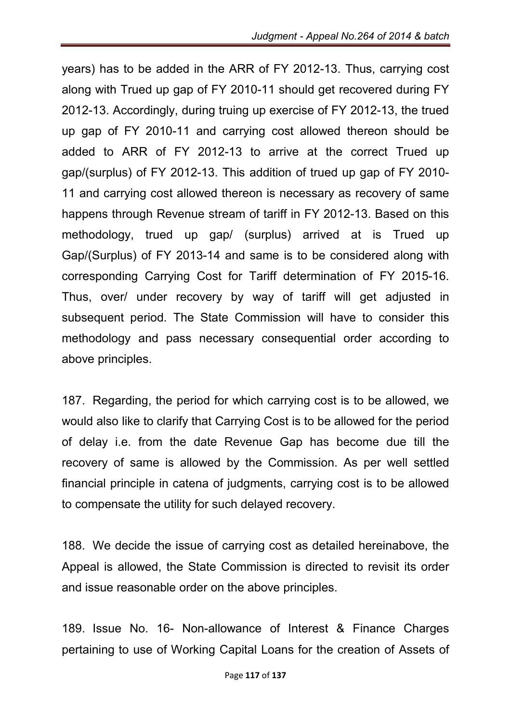years) has to be added in the ARR of FY 2012-13. Thus, carrying cost along with Trued up gap of FY 2010-11 should get recovered during FY 2012-13. Accordingly, during truing up exercise of FY 2012-13, the trued up gap of FY 2010-11 and carrying cost allowed thereon should be added to ARR of FY 2012-13 to arrive at the correct Trued up gap/(surplus) of FY 2012-13. This addition of trued up gap of FY 2010- 11 and carrying cost allowed thereon is necessary as recovery of same happens through Revenue stream of tariff in FY 2012-13. Based on this methodology, trued up gap/ (surplus) arrived at is Trued up Gap/(Surplus) of FY 2013-14 and same is to be considered along with corresponding Carrying Cost for Tariff determination of FY 2015-16. Thus, over/ under recovery by way of tariff will get adjusted in subsequent period. The State Commission will have to consider this methodology and pass necessary consequential order according to above principles.

187. Regarding, the period for which carrying cost is to be allowed, we would also like to clarify that Carrying Cost is to be allowed for the period of delay i.e. from the date Revenue Gap has become due till the recovery of same is allowed by the Commission. As per well settled financial principle in catena of judgments, carrying cost is to be allowed to compensate the utility for such delayed recovery.

188. We decide the issue of carrying cost as detailed hereinabove, the Appeal is allowed, the State Commission is directed to revisit its order and issue reasonable order on the above principles.

189. Issue No. 16- Non-allowance of Interest & Finance Charges pertaining to use of Working Capital Loans for the creation of Assets of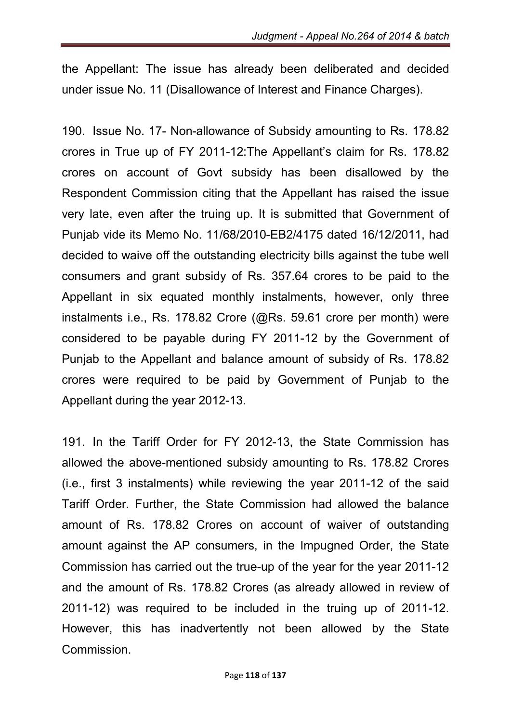the Appellant: The issue has already been deliberated and decided under issue No. 11 (Disallowance of Interest and Finance Charges).

190. Issue No. 17- Non-allowance of Subsidy amounting to Rs. 178.82 crores in True up of FY 2011-12:The Appellant's claim for Rs. 178.82 crores on account of Govt subsidy has been disallowed by the Respondent Commission citing that the Appellant has raised the issue very late, even after the truing up. It is submitted that Government of Punjab vide its Memo No. 11/68/2010-EB2/4175 dated 16/12/2011, had decided to waive off the outstanding electricity bills against the tube well consumers and grant subsidy of Rs. 357.64 crores to be paid to the Appellant in six equated monthly instalments, however, only three instalments i.e., Rs. 178.82 Crore (@Rs. 59.61 crore per month) were considered to be payable during FY 2011-12 by the Government of Punjab to the Appellant and balance amount of subsidy of Rs. 178.82 crores were required to be paid by Government of Punjab to the Appellant during the year 2012-13.

191. In the Tariff Order for FY 2012-13, the State Commission has allowed the above-mentioned subsidy amounting to Rs. 178.82 Crores (i.e., first 3 instalments) while reviewing the year 2011-12 of the said Tariff Order. Further, the State Commission had allowed the balance amount of Rs. 178.82 Crores on account of waiver of outstanding amount against the AP consumers, in the Impugned Order, the State Commission has carried out the true-up of the year for the year 2011-12 and the amount of Rs. 178.82 Crores (as already allowed in review of 2011-12) was required to be included in the truing up of 2011-12. However, this has inadvertently not been allowed by the State Commission.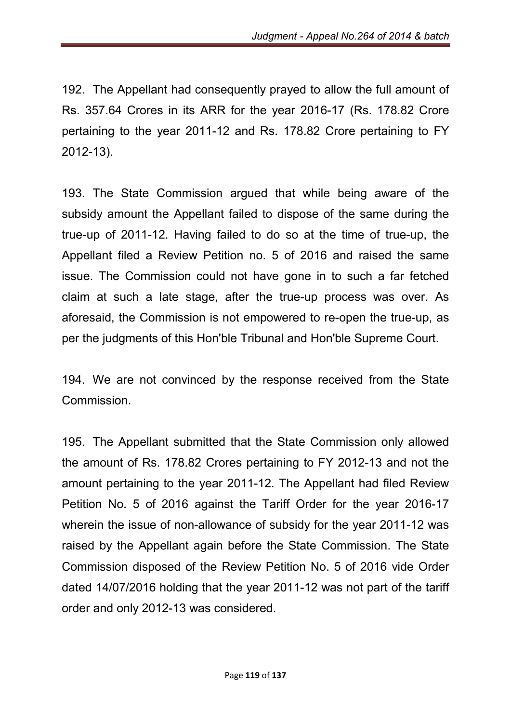192. The Appellant had consequently prayed to allow the full amount of Rs. 357.64 Crores in its ARR for the year 2016-17 (Rs. 178.82 Crore pertaining to the year 2011-12 and Rs. 178.82 Crore pertaining to FY 2012-13).

193. The State Commission argued that while being aware of the subsidy amount the Appellant failed to dispose of the same during the true-up of 2011-12. Having failed to do so at the time of true-up, the Appellant filed a Review Petition no. 5 of 2016 and raised the same issue. The Commission could not have gone in to such a far fetched claim at such a late stage, after the true-up process was over. As aforesaid, the Commission is not empowered to re-open the true-up, as per the judgments of this Hon'ble Tribunal and Hon'ble Supreme Court.

194. We are not convinced by the response received from the State Commission.

195. The Appellant submitted that the State Commission only allowed the amount of Rs. 178.82 Crores pertaining to FY 2012-13 and not the amount pertaining to the year 2011-12. The Appellant had filed Review Petition No. 5 of 2016 against the Tariff Order for the year 2016-17 wherein the issue of non-allowance of subsidy for the year 2011-12 was raised by the Appellant again before the State Commission. The State Commission disposed of the Review Petition No. 5 of 2016 vide Order dated 14/07/2016 holding that the year 2011-12 was not part of the tariff order and only 2012-13 was considered.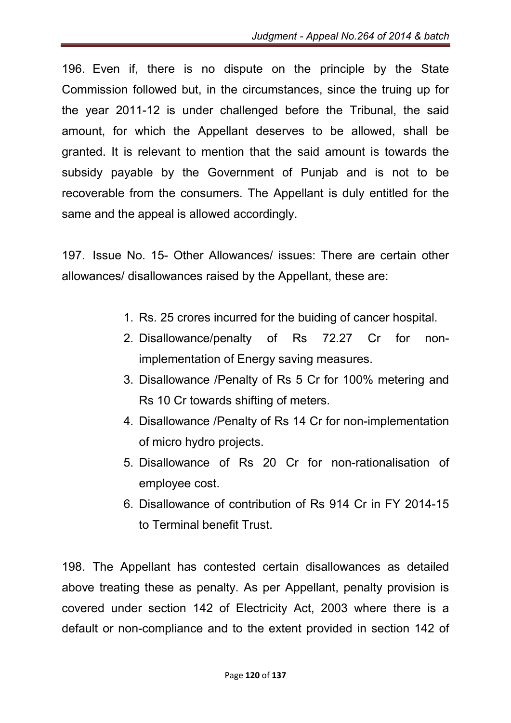196. Even if, there is no dispute on the principle by the State Commission followed but, in the circumstances, since the truing up for the year 2011-12 is under challenged before the Tribunal, the said amount, for which the Appellant deserves to be allowed, shall be granted. It is relevant to mention that the said amount is towards the subsidy payable by the Government of Punjab and is not to be recoverable from the consumers. The Appellant is duly entitled for the same and the appeal is allowed accordingly.

197. Issue No. 15- Other Allowances/ issues: There are certain other allowances/ disallowances raised by the Appellant, these are:

- 1. Rs. 25 crores incurred for the buiding of cancer hospital.
- 2. Disallowance/penalty of Rs 72.27 Cr for nonimplementation of Energy saving measures.
- 3. Disallowance /Penalty of Rs 5 Cr for 100% metering and Rs 10 Cr towards shifting of meters.
- 4. Disallowance /Penalty of Rs 14 Cr for non-implementation of micro hydro projects.
- 5. Disallowance of Rs 20 Cr for non-rationalisation of employee cost.
- 6. Disallowance of contribution of Rs 914 Cr in FY 2014-15 to Terminal benefit Trust.

198. The Appellant has contested certain disallowances as detailed above treating these as penalty. As per Appellant, penalty provision is covered under section 142 of Electricity Act, 2003 where there is a default or non-compliance and to the extent provided in section 142 of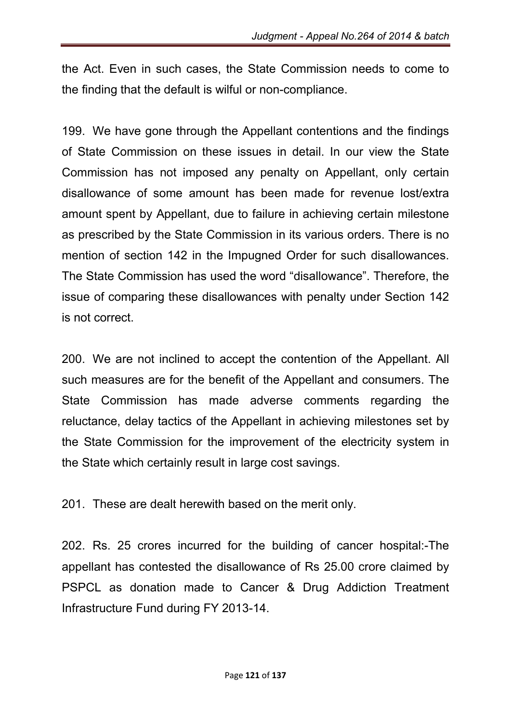the Act. Even in such cases, the State Commission needs to come to the finding that the default is wilful or non-compliance.

199. We have gone through the Appellant contentions and the findings of State Commission on these issues in detail. In our view the State Commission has not imposed any penalty on Appellant, only certain disallowance of some amount has been made for revenue lost/extra amount spent by Appellant, due to failure in achieving certain milestone as prescribed by the State Commission in its various orders. There is no mention of section 142 in the Impugned Order for such disallowances. The State Commission has used the word "disallowance". Therefore, the issue of comparing these disallowances with penalty under Section 142 is not correct.

200. We are not inclined to accept the contention of the Appellant. All such measures are for the benefit of the Appellant and consumers. The State Commission has made adverse comments regarding the reluctance, delay tactics of the Appellant in achieving milestones set by the State Commission for the improvement of the electricity system in the State which certainly result in large cost savings.

201. These are dealt herewith based on the merit only.

202. Rs. 25 crores incurred for the building of cancer hospital:-The appellant has contested the disallowance of Rs 25.00 crore claimed by PSPCL as donation made to Cancer & Drug Addiction Treatment Infrastructure Fund during FY 2013-14.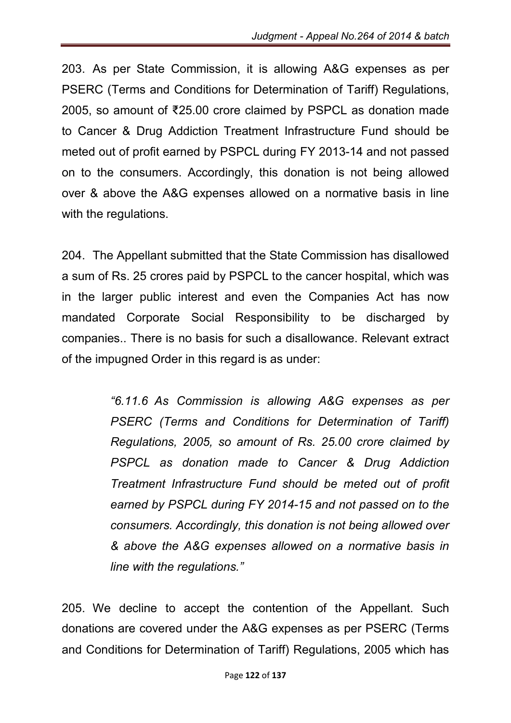203. As per State Commission, it is allowing A&G expenses as per PSERC (Terms and Conditions for Determination of Tariff) Regulations, 2005, so amount of ₹25.00 crore claimed by PSPCL as donation made to Cancer & Drug Addiction Treatment Infrastructure Fund should be meted out of profit earned by PSPCL during FY 2013-14 and not passed on to the consumers. Accordingly, this donation is not being allowed over & above the A&G expenses allowed on a normative basis in line with the regulations.

204. The Appellant submitted that the State Commission has disallowed a sum of Rs. 25 crores paid by PSPCL to the cancer hospital, which was in the larger public interest and even the Companies Act has now mandated Corporate Social Responsibility to be discharged by companies.. There is no basis for such a disallowance. Relevant extract of the impugned Order in this regard is as under:

> *"6.11.6 As Commission is allowing A&G expenses as per PSERC (Terms and Conditions for Determination of Tariff) Regulations, 2005, so amount of Rs. 25.00 crore claimed by PSPCL as donation made to Cancer & Drug Addiction Treatment Infrastructure Fund should be meted out of profit earned by PSPCL during FY 2014-15 and not passed on to the consumers. Accordingly, this donation is not being allowed over & above the A&G expenses allowed on a normative basis in line with the regulations."*

205. We decline to accept the contention of the Appellant. Such donations are covered under the A&G expenses as per PSERC (Terms and Conditions for Determination of Tariff) Regulations, 2005 which has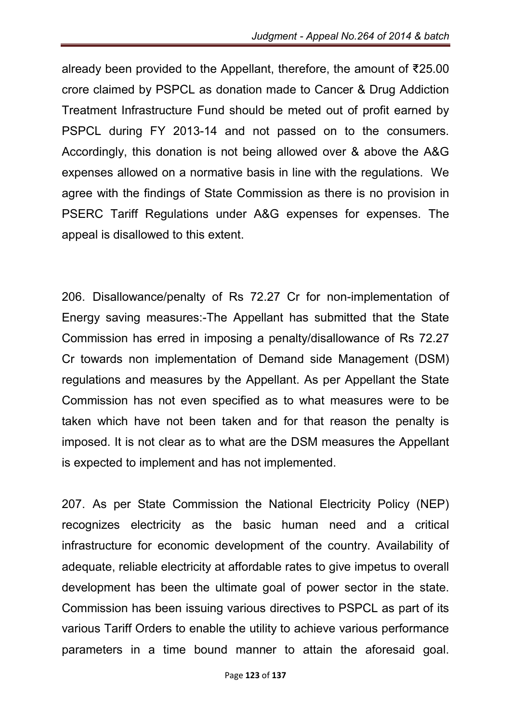already been provided to the Appellant, therefore, the amount of ₹25.00 crore claimed by PSPCL as donation made to Cancer & Drug Addiction Treatment Infrastructure Fund should be meted out of profit earned by PSPCL during FY 2013-14 and not passed on to the consumers. Accordingly, this donation is not being allowed over & above the A&G expenses allowed on a normative basis in line with the regulations. We agree with the findings of State Commission as there is no provision in PSERC Tariff Regulations under A&G expenses for expenses. The appeal is disallowed to this extent.

206. Disallowance/penalty of Rs 72.27 Cr for non-implementation of Energy saving measures:-The Appellant has submitted that the State Commission has erred in imposing a penalty/disallowance of Rs 72.27 Cr towards non implementation of Demand side Management (DSM) regulations and measures by the Appellant. As per Appellant the State Commission has not even specified as to what measures were to be taken which have not been taken and for that reason the penalty is imposed. It is not clear as to what are the DSM measures the Appellant is expected to implement and has not implemented.

207. As per State Commission the National Electricity Policy (NEP) recognizes electricity as the basic human need and a critical infrastructure for economic development of the country. Availability of adequate, reliable electricity at affordable rates to give impetus to overall development has been the ultimate goal of power sector in the state. Commission has been issuing various directives to PSPCL as part of its various Tariff Orders to enable the utility to achieve various performance parameters in a time bound manner to attain the aforesaid goal.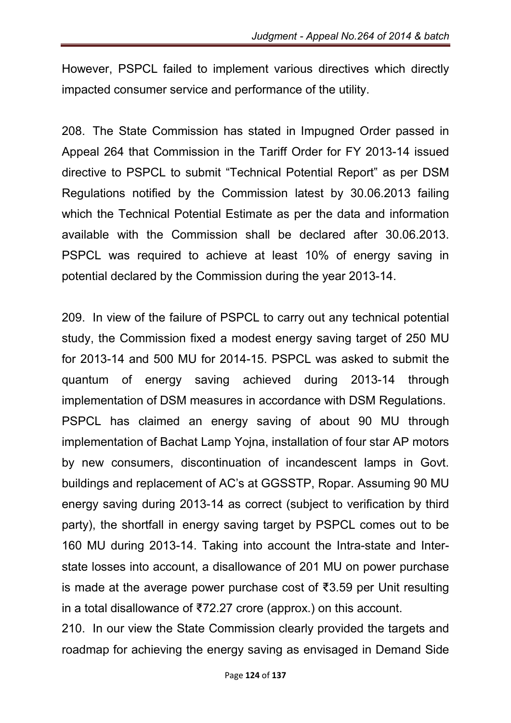However, PSPCL failed to implement various directives which directly impacted consumer service and performance of the utility.

208. The State Commission has stated in Impugned Order passed in Appeal 264 that Commission in the Tariff Order for FY 2013-14 issued directive to PSPCL to submit "Technical Potential Report" as per DSM Regulations notified by the Commission latest by 30.06.2013 failing which the Technical Potential Estimate as per the data and information available with the Commission shall be declared after 30.06.2013. PSPCL was required to achieve at least 10% of energy saving in potential declared by the Commission during the year 2013-14.

209. In view of the failure of PSPCL to carry out any technical potential study, the Commission fixed a modest energy saving target of 250 MU for 2013-14 and 500 MU for 2014-15. PSPCL was asked to submit the quantum of energy saving achieved during 2013-14 through implementation of DSM measures in accordance with DSM Regulations. PSPCL has claimed an energy saving of about 90 MU through implementation of Bachat Lamp Yojna, installation of four star AP motors by new consumers, discontinuation of incandescent lamps in Govt. buildings and replacement of AC's at GGSSTP, Ropar. Assuming 90 MU energy saving during 2013-14 as correct (subject to verification by third party), the shortfall in energy saving target by PSPCL comes out to be 160 MU during 2013-14. Taking into account the Intra-state and Interstate losses into account, a disallowance of 201 MU on power purchase is made at the average power purchase cost of ₹3.59 per Unit resulting in a total disallowance of ₹72.27 crore (approx.) on this account.

210. In our view the State Commission clearly provided the targets and roadmap for achieving the energy saving as envisaged in Demand Side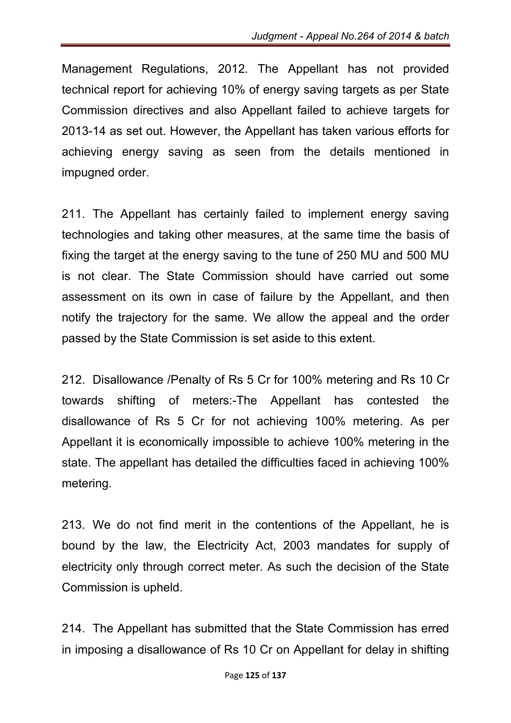Management Regulations, 2012. The Appellant has not provided technical report for achieving 10% of energy saving targets as per State Commission directives and also Appellant failed to achieve targets for 2013-14 as set out. However, the Appellant has taken various efforts for achieving energy saving as seen from the details mentioned in impugned order.

211. The Appellant has certainly failed to implement energy saving technologies and taking other measures, at the same time the basis of fixing the target at the energy saving to the tune of 250 MU and 500 MU is not clear. The State Commission should have carried out some assessment on its own in case of failure by the Appellant, and then notify the trajectory for the same. We allow the appeal and the order passed by the State Commission is set aside to this extent.

212. Disallowance /Penalty of Rs 5 Cr for 100% metering and Rs 10 Cr towards shifting of meters:-The Appellant has contested the disallowance of Rs 5 Cr for not achieving 100% metering. As per Appellant it is economically impossible to achieve 100% metering in the state. The appellant has detailed the difficulties faced in achieving 100% metering.

213. We do not find merit in the contentions of the Appellant, he is bound by the law, the Electricity Act, 2003 mandates for supply of electricity only through correct meter. As such the decision of the State Commission is upheld.

214. The Appellant has submitted that the State Commission has erred in imposing a disallowance of Rs 10 Cr on Appellant for delay in shifting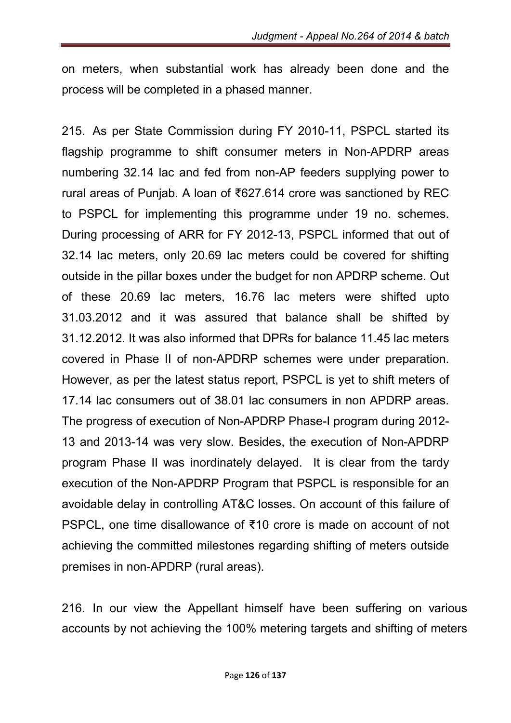on meters, when substantial work has already been done and the process will be completed in a phased manner.

215. As per State Commission during FY 2010-11, PSPCL started its flagship programme to shift consumer meters in Non-APDRP areas numbering 32.14 lac and fed from non-AP feeders supplying power to rural areas of Punjab. A loan of ₹627.614 crore was sanctioned by REC to PSPCL for implementing this programme under 19 no. schemes. During processing of ARR for FY 2012-13, PSPCL informed that out of 32.14 lac meters, only 20.69 lac meters could be covered for shifting outside in the pillar boxes under the budget for non APDRP scheme. Out of these 20.69 lac meters, 16.76 lac meters were shifted upto 31.03.2012 and it was assured that balance shall be shifted by 31.12.2012. It was also informed that DPRs for balance 11.45 lac meters covered in Phase II of non-APDRP schemes were under preparation. However, as per the latest status report, PSPCL is yet to shift meters of 17.14 lac consumers out of 38.01 lac consumers in non APDRP areas. The progress of execution of Non-APDRP Phase-I program during 2012- 13 and 2013-14 was very slow. Besides, the execution of Non-APDRP program Phase II was inordinately delayed. It is clear from the tardy execution of the Non-APDRP Program that PSPCL is responsible for an avoidable delay in controlling AT&C losses. On account of this failure of PSPCL, one time disallowance of ₹10 crore is made on account of not achieving the committed milestones regarding shifting of meters outside premises in non-APDRP (rural areas).

216. In our view the Appellant himself have been suffering on various accounts by not achieving the 100% metering targets and shifting of meters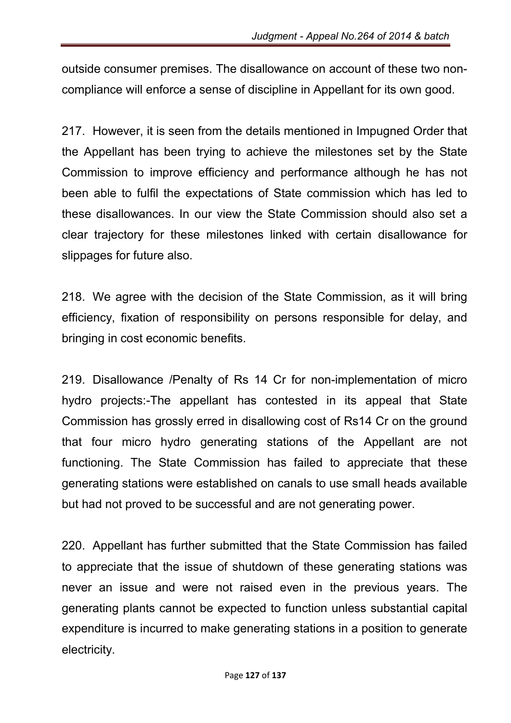outside consumer premises. The disallowance on account of these two noncompliance will enforce a sense of discipline in Appellant for its own good.

217. However, it is seen from the details mentioned in Impugned Order that the Appellant has been trying to achieve the milestones set by the State Commission to improve efficiency and performance although he has not been able to fulfil the expectations of State commission which has led to these disallowances. In our view the State Commission should also set a clear trajectory for these milestones linked with certain disallowance for slippages for future also.

218. We agree with the decision of the State Commission, as it will bring efficiency, fixation of responsibility on persons responsible for delay, and bringing in cost economic benefits.

219. Disallowance /Penalty of Rs 14 Cr for non-implementation of micro hydro projects:-The appellant has contested in its appeal that State Commission has grossly erred in disallowing cost of Rs14 Cr on the ground that four micro hydro generating stations of the Appellant are not functioning. The State Commission has failed to appreciate that these generating stations were established on canals to use small heads available but had not proved to be successful and are not generating power.

220. Appellant has further submitted that the State Commission has failed to appreciate that the issue of shutdown of these generating stations was never an issue and were not raised even in the previous years. The generating plants cannot be expected to function unless substantial capital expenditure is incurred to make generating stations in a position to generate electricity.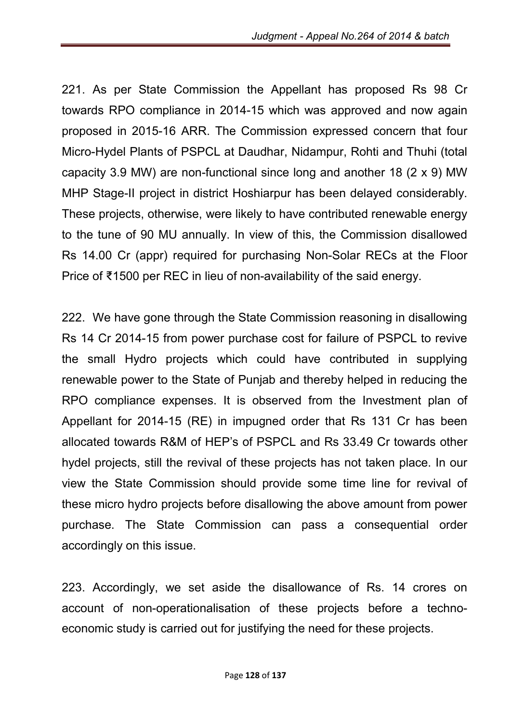221. As per State Commission the Appellant has proposed Rs 98 Cr towards RPO compliance in 2014-15 which was approved and now again proposed in 2015-16 ARR. The Commission expressed concern that four Micro-Hydel Plants of PSPCL at Daudhar, Nidampur, Rohti and Thuhi (total capacity 3.9 MW) are non-functional since long and another 18 (2 x 9) MW MHP Stage-II project in district Hoshiarpur has been delayed considerably. These projects, otherwise, were likely to have contributed renewable energy to the tune of 90 MU annually. In view of this, the Commission disallowed Rs 14.00 Cr (appr) required for purchasing Non-Solar RECs at the Floor Price of ₹1500 per REC in lieu of non-availability of the said energy.

222. We have gone through the State Commission reasoning in disallowing Rs 14 Cr 2014-15 from power purchase cost for failure of PSPCL to revive the small Hydro projects which could have contributed in supplying renewable power to the State of Punjab and thereby helped in reducing the RPO compliance expenses. It is observed from the Investment plan of Appellant for 2014-15 (RE) in impugned order that Rs 131 Cr has been allocated towards R&M of HEP's of PSPCL and Rs 33.49 Cr towards other hydel projects, still the revival of these projects has not taken place. In our view the State Commission should provide some time line for revival of these micro hydro projects before disallowing the above amount from power purchase. The State Commission can pass a consequential order accordingly on this issue.

223. Accordingly, we set aside the disallowance of Rs. 14 crores on account of non-operationalisation of these projects before a technoeconomic study is carried out for justifying the need for these projects.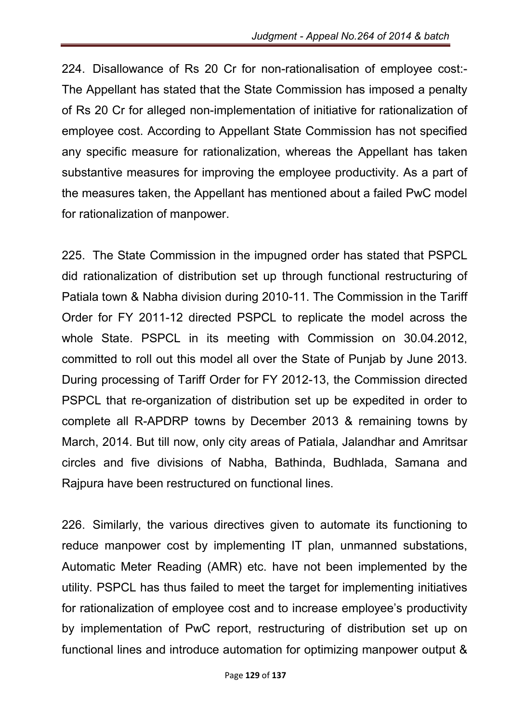224. Disallowance of Rs 20 Cr for non-rationalisation of employee cost:- The Appellant has stated that the State Commission has imposed a penalty of Rs 20 Cr for alleged non-implementation of initiative for rationalization of employee cost. According to Appellant State Commission has not specified any specific measure for rationalization, whereas the Appellant has taken substantive measures for improving the employee productivity. As a part of the measures taken, the Appellant has mentioned about a failed PwC model for rationalization of manpower.

225. The State Commission in the impugned order has stated that PSPCL did rationalization of distribution set up through functional restructuring of Patiala town & Nabha division during 2010-11. The Commission in the Tariff Order for FY 2011-12 directed PSPCL to replicate the model across the whole State. PSPCL in its meeting with Commission on 30.04.2012, committed to roll out this model all over the State of Punjab by June 2013. During processing of Tariff Order for FY 2012-13, the Commission directed PSPCL that re-organization of distribution set up be expedited in order to complete all R-APDRP towns by December 2013 & remaining towns by March, 2014. But till now, only city areas of Patiala, Jalandhar and Amritsar circles and five divisions of Nabha, Bathinda, Budhlada, Samana and Rajpura have been restructured on functional lines.

226. Similarly, the various directives given to automate its functioning to reduce manpower cost by implementing IT plan, unmanned substations, Automatic Meter Reading (AMR) etc. have not been implemented by the utility. PSPCL has thus failed to meet the target for implementing initiatives for rationalization of employee cost and to increase employee's productivity by implementation of PwC report, restructuring of distribution set up on functional lines and introduce automation for optimizing manpower output &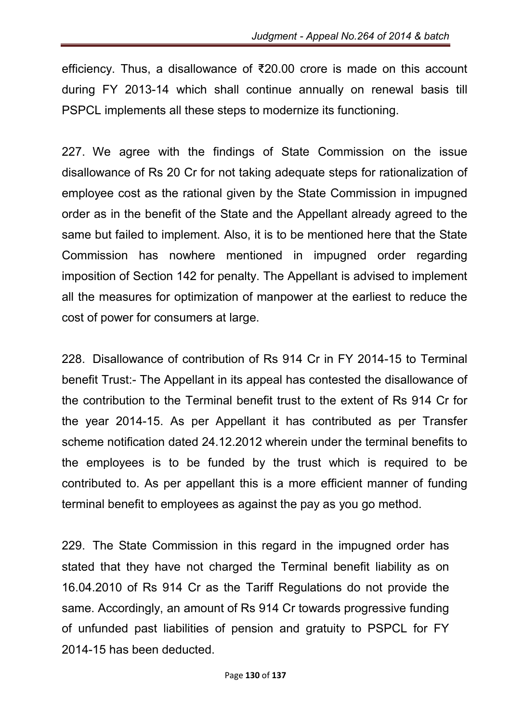efficiency. Thus, a disallowance of ₹20.00 crore is made on this account during FY 2013-14 which shall continue annually on renewal basis till PSPCL implements all these steps to modernize its functioning.

227. We agree with the findings of State Commission on the issue disallowance of Rs 20 Cr for not taking adequate steps for rationalization of employee cost as the rational given by the State Commission in impugned order as in the benefit of the State and the Appellant already agreed to the same but failed to implement. Also, it is to be mentioned here that the State Commission has nowhere mentioned in impugned order regarding imposition of Section 142 for penalty. The Appellant is advised to implement all the measures for optimization of manpower at the earliest to reduce the cost of power for consumers at large.

228. Disallowance of contribution of Rs 914 Cr in FY 2014-15 to Terminal benefit Trust:- The Appellant in its appeal has contested the disallowance of the contribution to the Terminal benefit trust to the extent of Rs 914 Cr for the year 2014-15. As per Appellant it has contributed as per Transfer scheme notification dated 24.12.2012 wherein under the terminal benefits to the employees is to be funded by the trust which is required to be contributed to. As per appellant this is a more efficient manner of funding terminal benefit to employees as against the pay as you go method.

229. The State Commission in this regard in the impugned order has stated that they have not charged the Terminal benefit liability as on 16.04.2010 of Rs 914 Cr as the Tariff Regulations do not provide the same. Accordingly, an amount of Rs 914 Cr towards progressive funding of unfunded past liabilities of pension and gratuity to PSPCL for FY 2014-15 has been deducted.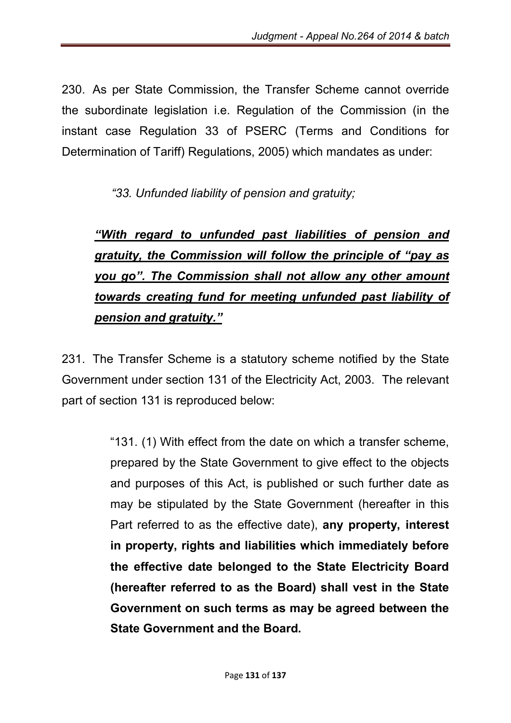230. As per State Commission, the Transfer Scheme cannot override the subordinate legislation i.e. Regulation of the Commission (in the instant case Regulation 33 of PSERC (Terms and Conditions for Determination of Tariff) Regulations, 2005) which mandates as under:

 *"33. Unfunded liability of pension and gratuity;* 

# *"With regard to unfunded past liabilities of pension and gratuity, the Commission will follow the principle of "pay as you go". The Commission shall not allow any other amount towards creating fund for meeting unfunded past liability of pension and gratuity."*

231. The Transfer Scheme is a statutory scheme notified by the State Government under section 131 of the Electricity Act, 2003. The relevant part of section 131 is reproduced below:

> "131. (1) With effect from the date on which a transfer scheme, prepared by the State Government to give effect to the objects and purposes of this Act, is published or such further date as may be stipulated by the State Government (hereafter in this Part referred to as the effective date), any property, interest in property, rights and liabilities which immediately before the effective date belonged to the State Electricity Board (hereafter referred to as the Board) shall vest in the State Government on such terms as may be agreed between the State Government and the Board.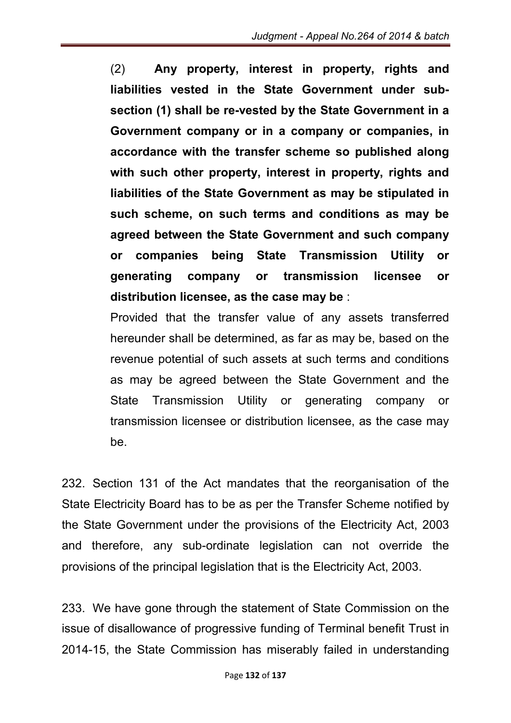(2) Any property, interest in property, rights and liabilities vested in the State Government under subsection (1) shall be re-vested by the State Government in a Government company or in a company or companies, in accordance with the transfer scheme so published along with such other property, interest in property, rights and liabilities of the State Government as may be stipulated in such scheme, on such terms and conditions as may be agreed between the State Government and such company or companies being State Transmission Utility or generating company or transmission licensee or distribution licensee, as the case may be :

Provided that the transfer value of any assets transferred hereunder shall be determined, as far as may be, based on the revenue potential of such assets at such terms and conditions as may be agreed between the State Government and the State Transmission Utility or generating company or transmission licensee or distribution licensee, as the case may be.

232. Section 131 of the Act mandates that the reorganisation of the State Electricity Board has to be as per the Transfer Scheme notified by the State Government under the provisions of the Electricity Act, 2003 and therefore, any sub-ordinate legislation can not override the provisions of the principal legislation that is the Electricity Act, 2003.

233. We have gone through the statement of State Commission on the issue of disallowance of progressive funding of Terminal benefit Trust in 2014-15, the State Commission has miserably failed in understanding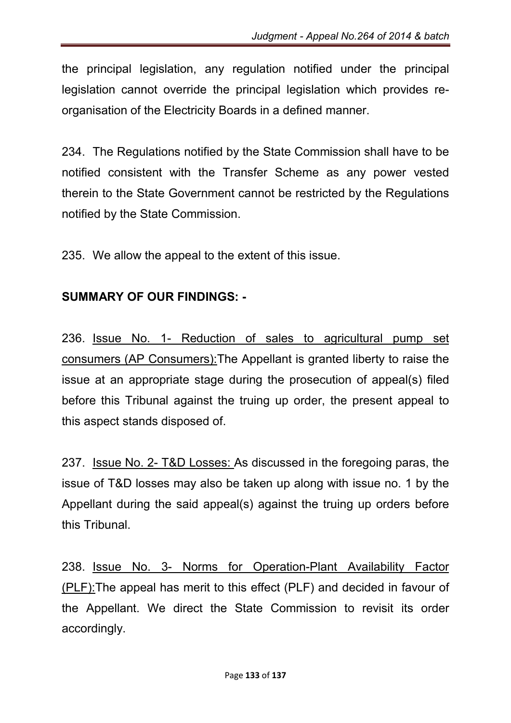the principal legislation, any regulation notified under the principal legislation cannot override the principal legislation which provides reorganisation of the Electricity Boards in a defined manner.

234. The Regulations notified by the State Commission shall have to be notified consistent with the Transfer Scheme as any power vested therein to the State Government cannot be restricted by the Regulations notified by the State Commission.

235. We allow the appeal to the extent of this issue.

### SUMMARY OF OUR FINDINGS: -

236. Issue No. 1- Reduction of sales to agricultural pump set consumers (AP Consumers):The Appellant is granted liberty to raise the issue at an appropriate stage during the prosecution of appeal(s) filed before this Tribunal against the truing up order, the present appeal to this aspect stands disposed of.

237. Issue No. 2- T&D Losses: As discussed in the foregoing paras, the issue of T&D losses may also be taken up along with issue no. 1 by the Appellant during the said appeal(s) against the truing up orders before this Tribunal.

238. Issue No. 3- Norms for Operation-Plant Availability Factor (PLF):The appeal has merit to this effect (PLF) and decided in favour of the Appellant. We direct the State Commission to revisit its order accordingly.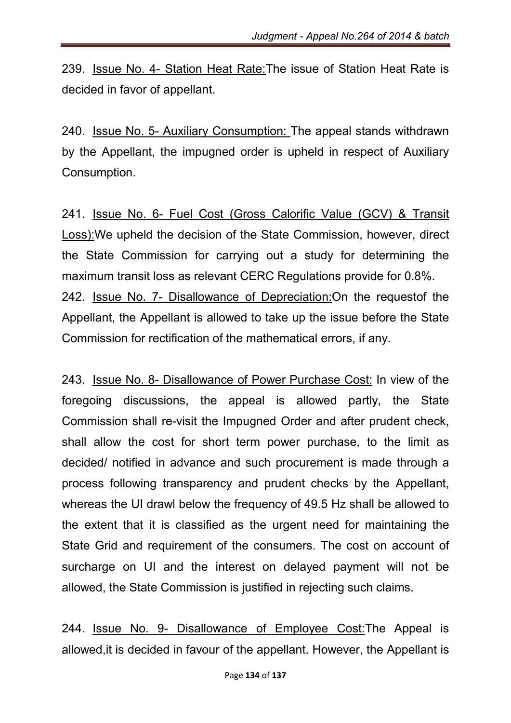239. Issue No. 4- Station Heat Rate:The issue of Station Heat Rate is decided in favor of appellant.

240. Issue No. 5- Auxiliary Consumption: The appeal stands withdrawn by the Appellant, the impugned order is upheld in respect of Auxiliary Consumption.

241. Issue No. 6- Fuel Cost (Gross Calorific Value (GCV) & Transit Loss):We upheld the decision of the State Commission, however, direct the State Commission for carrying out a study for determining the maximum transit loss as relevant CERC Regulations provide for 0.8%. 242. Issue No. 7- Disallowance of Depreciation:On the requestof the Appellant, the Appellant is allowed to take up the issue before the State Commission for rectification of the mathematical errors, if any.

243. Issue No. 8- Disallowance of Power Purchase Cost: In view of the foregoing discussions, the appeal is allowed partly, the State Commission shall re-visit the Impugned Order and after prudent check, shall allow the cost for short term power purchase, to the limit as decided/ notified in advance and such procurement is made through a process following transparency and prudent checks by the Appellant, whereas the UI drawl below the frequency of 49.5 Hz shall be allowed to the extent that it is classified as the urgent need for maintaining the State Grid and requirement of the consumers. The cost on account of surcharge on UI and the interest on delayed payment will not be allowed, the State Commission is justified in rejecting such claims.

244. Issue No. 9- Disallowance of Employee Cost:The Appeal is allowed,it is decided in favour of the appellant. However, the Appellant is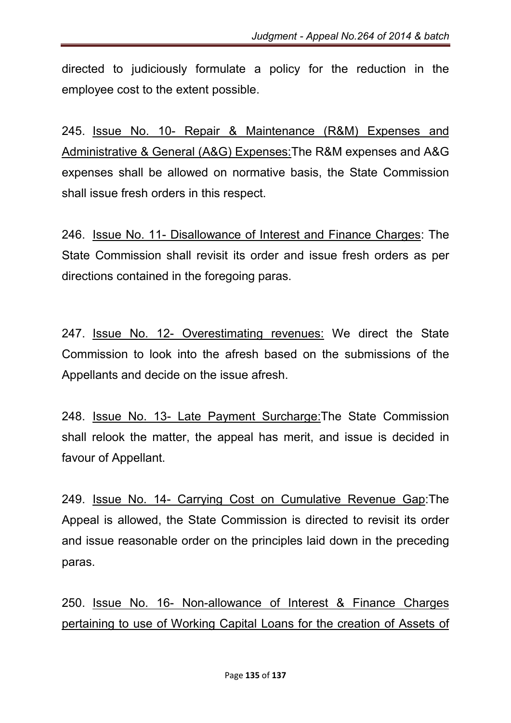directed to judiciously formulate a policy for the reduction in the employee cost to the extent possible.

245. Issue No. 10- Repair & Maintenance (R&M) Expenses and Administrative & General (A&G) Expenses:The R&M expenses and A&G expenses shall be allowed on normative basis, the State Commission shall issue fresh orders in this respect.

246. Issue No. 11- Disallowance of Interest and Finance Charges: The State Commission shall revisit its order and issue fresh orders as per directions contained in the foregoing paras.

247. Issue No. 12- Overestimating revenues: We direct the State Commission to look into the afresh based on the submissions of the Appellants and decide on the issue afresh.

248. Issue No. 13- Late Payment Surcharge:The State Commission shall relook the matter, the appeal has merit, and issue is decided in favour of Appellant.

249. Issue No. 14- Carrying Cost on Cumulative Revenue Gap:The Appeal is allowed, the State Commission is directed to revisit its order and issue reasonable order on the principles laid down in the preceding paras.

250. Issue No. 16- Non-allowance of Interest & Finance Charges pertaining to use of Working Capital Loans for the creation of Assets of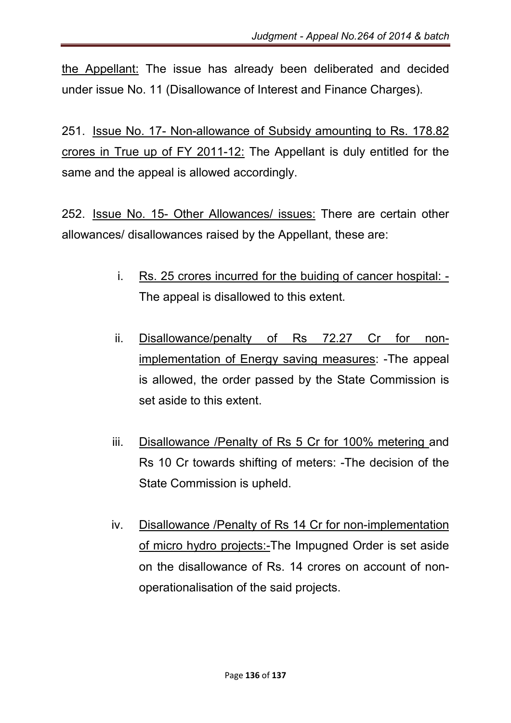the Appellant: The issue has already been deliberated and decided under issue No. 11 (Disallowance of Interest and Finance Charges).

251. Issue No. 17- Non-allowance of Subsidy amounting to Rs. 178.82 crores in True up of FY 2011-12: The Appellant is duly entitled for the same and the appeal is allowed accordingly.

252. Issue No. 15- Other Allowances/ issues: There are certain other allowances/ disallowances raised by the Appellant, these are:

- i. Rs. 25 crores incurred for the buiding of cancer hospital: The appeal is disallowed to this extent.
- ii. Disallowance/penalty of Rs 72.27 Cr for nonimplementation of Energy saving measures: -The appeal is allowed, the order passed by the State Commission is set aside to this extent.
- iii. Disallowance /Penalty of Rs 5 Cr for 100% metering and Rs 10 Cr towards shifting of meters: -The decision of the State Commission is upheld.
- iv. Disallowance /Penalty of Rs 14 Cr for non-implementation of micro hydro projects:-The Impugned Order is set aside on the disallowance of Rs. 14 crores on account of nonoperationalisation of the said projects.